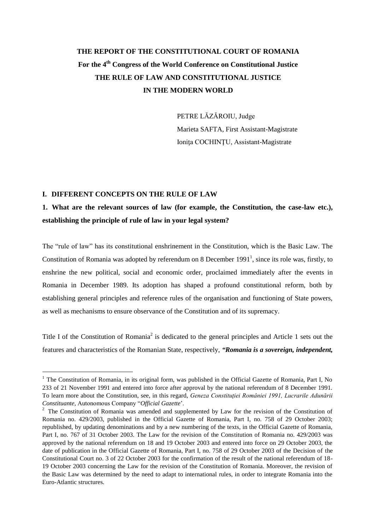# **THE REPORT OF THE CONSTITUTIONAL COURT OF ROMANIA For the 4th Congress of the World Conference on Constitutional Justice THE RULE OF LAW AND CONSTITUTIONAL JUSTICE IN THE MODERN WORLD**

PETRE LĂZĂROIU, Judge Marieta SAFTA, First Assistant-Magistrate Ionita COCHINTU, Assistant-Magistrate

### **I. DIFFERENT CONCEPTS ON THE RULE OF LAW**

1

# **1. What are the relevant sources of law (for example, the Constitution, the case-law etc.), establishing the principle of rule of law in your legal system?**

The "rule of law" has its constitutional enshrinement in the Constitution, which is the Basic Law. The Constitution of Romania was adopted by referendum on 8 December  $1991<sup>1</sup>$ , since its role was, firstly, to enshrine the new political, social and economic order, proclaimed immediately after the events in Romania in December 1989. Its adoption has shaped a profound constitutional reform, both by establishing general principles and reference rules of the organisation and functioning of State powers, as well as mechanisms to ensure observance of the Constitution and of its supremacy.

Title I of the Constitution of Romania<sup>2</sup> is dedicated to the general principles and Article 1 sets out the features and characteristics of the Romanian State, respectively, *"Romania is a sovereign, independent,* 

<sup>&</sup>lt;sup>1</sup> The Constitution of Romania, in its original form, was published in the Official Gazette of Romania, Part I, No 233 of 21 November 1991 and entered into force after approval by the national referendum of 8 December 1991. To learn more about the Constitution, see, in this regard, *Geneza Constituţiei României 1991, Lucrarile Adunării Constituante,* Autonomous Company "*Official Gazette*'.

<sup>&</sup>lt;sup>2</sup> The Constitution of Romania was amended and supplemented by Law for the revision of the Constitution of Romania no. 429/2003, published in the Official Gazette of Romania, Part I, no. 758 of 29 October 2003; republished, by updating denominations and by a new numbering of the texts, in the Official Gazette of Romania, Part I, no. 767 of 31 October 2003. The Law for the revision of the Constitution of Romania no. 429/2003 was approved by the national referendum on 18 and 19 October 2003 and entered into force on 29 October 2003, the date of publication in the Official Gazette of Romania, Part I, no. 758 of 29 October 2003 of the Decision of the Constitutional Court no. 3 of 22 October 2003 for the confirmation of the result of the national referendum of 18- 19 October 2003 concerning the Law for the revision of the Constitution of Romania. Moreover, the revision of the Basic Law was determined by the need to adapt to international rules, in order to integrate Romania into the Euro-Atlantic structures.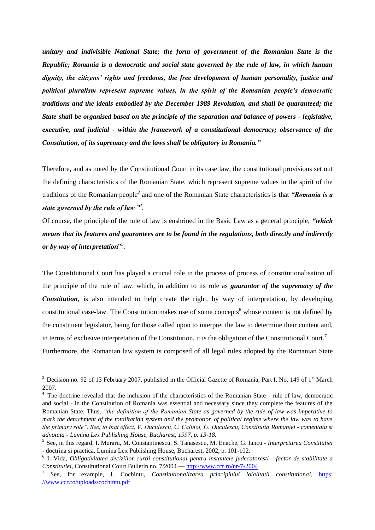*unitary and indivisible National State; the form of government of the Romanian State is the Republic; Romania is a democratic and social state governed by the rule of law, in which human dignity, the citizens' rights and freedoms, the free development of human personality, justice and political pluralism represent supreme values, in the spirit of the Romanian people's democratic traditions and the ideals embodied by the December 1989 Revolution, and shall be guaranteed; the State shall be organised based on the principle of the separation and balance of powers - legislative, executive, and judicial - within the framework of a constitutional democracy; observance of the Constitution, of its supremacy and the laws shall be obligatory in Romania."*

Therefore, and as noted by the Constitutional Court in its case law, the constitutional provisions set out the defining characteristics of the Romanian State, which represent supreme values in the spirit of the traditions of the Romanian people*<sup>3</sup>* and one of the Romanian State characteristics is that *"Romania is a state governed by the rule of law "<sup>4</sup>* .

Of course, the principle of the rule of law is enshrined in the Basic Law as a general principle, *"which means that its features and guarantees are to be found in the regulations, both directly and indirectly or by way of interpretation*" 5 .

The Constitutional Court has played a crucial role in the process of process of constitutionalisation of the principle of the rule of law, which, in addition to its role as *guarantor of the supremacy of the*  **Constitution**, is also intended to help create the right, by way of interpretation, by developing constitutional case-law. The Constitution makes use of some concepts<sup>6</sup> whose content is not defined by the constituent legislator, being for those called upon to interpret the law to determine their content and, in terms of exclusive interpretation of the Constitution, it is the obligation of the Constitutional Court.<sup>7</sup> Furthermore, the Romanian law system is composed of all legal rules adopted by the Romanian State

 $3$  Decision no. 92 of 13 February 2007, published in the Official Gazette of Romania, Part I, No. 149 of  $1<sup>st</sup>$  March 2007.

<sup>&</sup>lt;sup>4</sup> The doctrine revealed that the inclusion of the characteristics of the Romanian State - rule of law, democratic and social - in the Constitution of Romania was essential and necessary since they complete the features of the Romanian State. Thus, *"the definition of the Romanian State as governed by the rule of law was imperative to mark the detachment of the totalitarian system and the promotion of political regime where the law was to have the primary role". See, to that effect, V. Duculescu, C. Calinoi, G. Duculescu, Constitutia Romaniei - comentata si adnotata - Lumina Lex Publishing House, Bucharest, 1997, p. 13-18.*

<sup>5</sup> See, in this regard, I. Muraru, M. Constantinescu, S. Tanasescu, M. Enache, G. Iancu - *Interpretarea Constitutiei* - doctrina si practica, Lumina Lex Publishing House, Bucharest, 2002, p. 101-102.

<sup>6</sup> I. Vida, *Obligativitatea deciziilor curtii constitutional pentru instantele judecatoresti* - *factor de stabilitate a Constitutiei,* Constitutional Court Bulletin no. 7/2004 — <http://www.ccr.ro/nr-7-2004>

<sup>7</sup> See, for example, I. Cochintu, *Constitutionalizarea principiului loialitatii constitutional,* [https:](https://www.ccr.ro/uploads/cochintu.pdf)  [//www.ccr.ro/uploads/cochintu.pdf](https://www.ccr.ro/uploads/cochintu.pdf)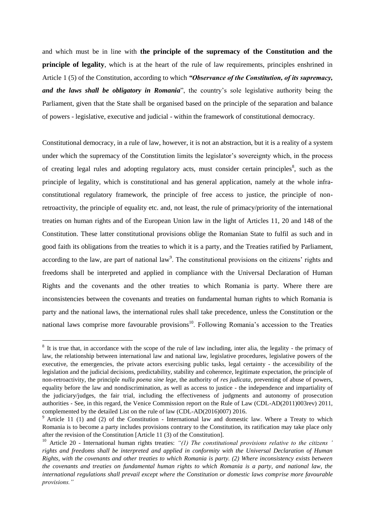and which must be in line with **the principle of the supremacy of the Constitution and the principle of legality**, which is at the heart of the rule of law requirements, principles enshrined in Article 1 (5) of the Constitution, according to which *"Observance of the Constitution, of its supremacy, and the laws shall be obligatory in Romania*", the country's sole legislative authority being the Parliament, given that the State shall be organised based on the principle of the separation and balance of powers - legislative, executive and judicial - within the framework of constitutional democracy.

Constitutional democracy, in a rule of law, however, it is not an abstraction, but it is a reality of a system under which the supremacy of the Constitution limits the legislator's sovereignty which, in the process of creating legal rules and adopting regulatory acts, must consider certain principles<sup>8</sup>, such as the principle of legality, which is constitutional and has general application, namely at the whole infraconstitutional regulatory framework, the principle of free access to justice, the principle of nonretroactivity, the principle of equality etc. and, not least, the rule of primacy/priority of the international treaties on human rights and of the European Union law in the light of Articles 11, 20 and 148 of the Constitution. These latter constitutional provisions oblige the Romanian State to fulfil as such and in good faith its obligations from the treaties to which it is a party, and the Treaties ratified by Parliament, according to the law, are part of national law<sup>9</sup>. The constitutional provisions on the citizens' rights and freedoms shall be interpreted and applied in compliance with the Universal Declaration of Human Rights and the covenants and the other treaties to which Romania is party. Where there are inconsistencies between the covenants and treaties on fundamental human rights to which Romania is party and the national laws, the international rules shall take precedence, unless the Constitution or the national laws comprise more favourable provisions<sup>10</sup>. Following Romania's accession to the Treaties

<sup>&</sup>lt;sup>8</sup> It is true that, in accordance with the scope of the rule of law including, inter alia, the legality - the primacy of law, the relationship between international law and national law, legislative procedures, legislative powers of the executive, the emergencies, the private actors exercising public tasks, legal certainty - the accessibility of the legislation and the judicial decisions, predictability, stability and coherence, legitimate expectation, the principle of non-retroactivity, the principle *nulla poena sine lege*, the authority of *res judicata*, preventing of abuse of powers, equality before the law and nondiscrimination, as well as access to justice - the independence and impartiality of the judiciary/judges, the fair trial, including the effectiveness of judgments and autonomy of prosecution authorities - See, in this regard, the Venice Commission report on the Rule of Law (CDL-AD(2011)003rev) 2011, complemented by the detailed List on the rule of law (CDL-AD(2016)007) 2016.

 $9$  Article 11 (1) and (2) of the Constitution - International law and domestic law. Where a Treaty to which Romania is to become a party includes provisions contrary to the Constitution, its ratification may take place only after the revision of the Constitution [Article 11 (3) of the Constitution].

<sup>&</sup>lt;sup>10</sup> Article 20 - International human rights treaties: "(1) The constitutional provisions relative to the citizens ' *rights and freedoms shall be interpreted and applied in conformity with the Universal Declaration of Human Rights, with the covenants and other treaties to which Romania is party. (2) Where inconsistency exists between the covenants and treaties on fundamental human rights to which Romania is a party, and national law, the international regulations shall prevail except where the Constitution or domestic laws comprise more favourable provisions."*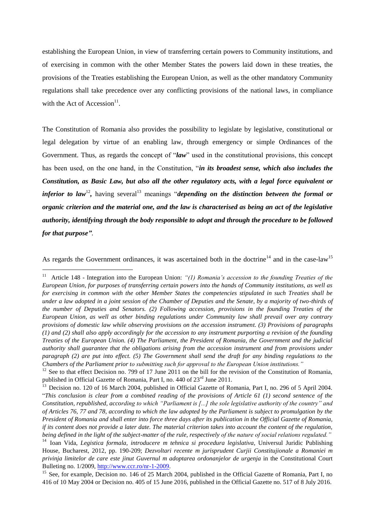establishing the European Union, in view of transferring certain powers to Community institutions, and of exercising in common with the other Member States the powers laid down in these treaties, the provisions of the Treaties establishing the European Union, as well as the other mandatory Community regulations shall take precedence over any conflicting provisions of the national laws, in compliance with the Act of Accession $11$ .

The Constitution of Romania also provides the possibility to legislate by legislative, constitutional or legal delegation by virtue of an enabling law, through emergency or simple Ordinances of the Government. Thus, as regards the concept of "*law*" used in the constitutional provisions, this concept has been used, on the one hand, in the Constitution, "*in its broadest sense, which also includes the Constitution, as Basic Law, but also all the other regulatory acts, with a legal force equivalent or inferior to law*<sup>12</sup>, having several<sup>13</sup> meanings "*depending on the distinction between the formal or organic criterion and the material one, and the law is characterised as being an act of the legislative authority, identifying through the body responsible to adopt and through the procedure to be followed for that purpose"*.

As regards the Government ordinances, it was ascertained both in the doctrine<sup>14</sup> and in the case-law<sup>15</sup>

<sup>&</sup>lt;sup>11</sup> Article 148 - Integration into the European Union: "(1) Romania's accession to the founding Treaties of the *European Union, for purposes of transferring certain powers into the hands of Community institutions, as well as for exercising in common with the other Member States the competencies stipulated in such Treaties shall be under a law adopted in a joint session of the Chamber of Deputies and the Senate, by a majority of two-thirds of the number of Deputies and Senators. (2) Following accession, provisions in the founding Treaties of the European Union, as well as other binding regulations under Community law shall prevail over any contrary provisions of domestic law while observing provisions on the accession instrument. (3) Provisions of paragraphs (1) and (2) shall also apply accordingly for the accession to any instrument purporting a revision of the founding Treaties of the European Union. (4) The Parliament, the President of Romania, the Government and the judicial authority shall guarantee that the obligations arising from the accession instrument and from provisions under paragraph (2) are put into effect. (5) The Government shall send the draft for any binding regulations to the Chambers of the Parliament prior to submitting such for approval to the European Union institutions."*

<sup>&</sup>lt;sup>12</sup> See to that effect Decision no. 799 of 17 June 2011 on the bill for the revision of the Constitution of Romania, published in Official Gazette of Romania, Part I, no. 440 of 23<sup>rd</sup> June 2011.

<sup>&</sup>lt;sup>13</sup> Decision no. 120 of 16 March 2004, published in Official Gazette of Romania, Part I, no. 296 of 5 April 2004. "*This conclusion is clear from a combined reading of the provisions of Article 61 (1) second sentence of the Constitution, republished, according to which "Parliament is [...] the sole legislative authority of the country" and of Articles 76, 77 and 78, according to which the law adopted by the Parliament is subject to promulgation by the President of Romania and shall enter into force three days after its publication in the Official Gazette of Romania, if its content does not provide a later date. The material criterion takes into account the content of the regulation, being defined in the light of the subject-matter of the rule, respectively of the nature of social relations regulated."*

<sup>14</sup> Ioan Vida, *Legistica formala, introducere m tehnica si procedura legislativa,* Universul Juridic Publishing House, Bucharest, 2012, pp. 190-209; *Dezvoltari recente m jurisprudent Curjii Constitujionale a Romaniei m privinja limitelor de care este jinut Guvernul m adoptarea ordonanjelor de urgenja* in the Constitutional Court Bulleting no. 1/2009, [http://www.ccr.ro/nr-1-2009.](http://www.ccr.ro/nr-1-2009)

<sup>&</sup>lt;sup>15</sup> See, for example, Decision no. 146 of 25 March 2004, published in the Official Gazette of Romania, Part I, no 416 of 10 May 2004 or Decision no. 405 of 15 June 2016, published in the Official Gazette no. 517 of 8 July 2016.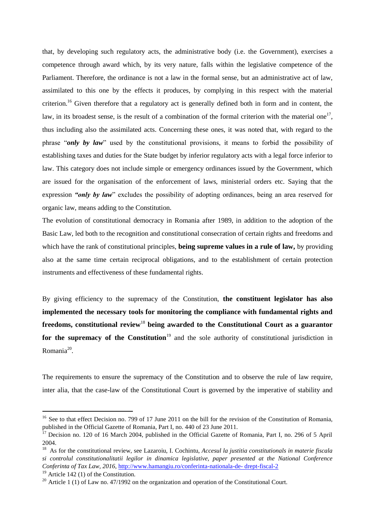that, by developing such regulatory acts, the administrative body (i.e. the Government), exercises a competence through award which, by its very nature, falls within the legislative competence of the Parliament. Therefore, the ordinance is not a law in the formal sense, but an administrative act of law, assimilated to this one by the effects it produces, by complying in this respect with the material criterion.<sup>16</sup> Given therefore that a regulatory act is generally defined both in form and in content, the law, in its broadest sense, is the result of a combination of the formal criterion with the material one<sup>17</sup>, thus including also the assimilated acts. Concerning these ones, it was noted that, with regard to the phrase "*only by law*" used by the constitutional provisions, it means to forbid the possibility of establishing taxes and duties for the State budget by inferior regulatory acts with a legal force inferior to law. This category does not include simple or emergency ordinances issued by the Government, which are issued for the organisation of the enforcement of laws, ministerial orders etc. Saying that the expression *"only by law*" excludes the possibility of adopting ordinances, being an area reserved for organic law, means adding to the Constitution.

The evolution of constitutional democracy in Romania after 1989, in addition to the adoption of the Basic Law, led both to the recognition and constitutional consecration of certain rights and freedoms and which have the rank of constitutional principles, **being supreme values in a rule of law,** by providing also at the same time certain reciprocal obligations, and to the establishment of certain protection instruments and effectiveness of these fundamental rights.

By giving efficiency to the supremacy of the Constitution, **the constituent legislator has also implemented the necessary tools for monitoring the compliance with fundamental rights and freedoms, constitutional review**<sup>18</sup> **being awarded to the Constitutional Court as a guarantor**  for the supremacy of the Constitution<sup>19</sup> and the sole authority of constitutional jurisdiction in Romania<sup>20</sup>.

The requirements to ensure the supremacy of the Constitution and to observe the rule of law require, inter alia, that the case-law of the Constitutional Court is governed by the imperative of stability and

<sup>&</sup>lt;sup>16</sup> See to that effect Decision no. 799 of 17 June 2011 on the bill for the revision of the Constitution of Romania, published in the Official Gazette of Romania, Part I, no. 440 of 23 June 2011.

<sup>&</sup>lt;sup>17</sup> Decision no. 120 of 16 March 2004, published in the Official Gazette of Romania, Part I, no. 296 of 5 April 2004.

<sup>18</sup> As for the constitutional review, see Lazaroiu, I. Cochintu, *Accesul la justitia constitutionals in materie fiscala si controlul constitutionalitatii legilor in dinamica legislative, paper presented at the National Conference Conferinta of Tax Law, 2016,* [http://www.hamangiu.ro/conferinta-nationala-de-](http://www.hamangiu.ro/conferinta-nationala-de-drept-fiscal-2) [drept-fiscal-2](http://www.hamangiu.ro/conferinta-nationala-de-drept-fiscal-2)  $19$  Article 142 (1) of the Constitution.

<sup>&</sup>lt;sup>20</sup> Article 1 (1) of Law no. 47/1992 on the organization and operation of the Constitutional Court.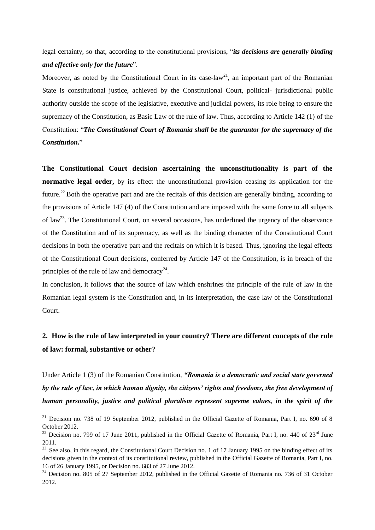legal certainty, so that, according to the constitutional provisions, "*its decisions are generally binding and effective only for the future*".

Moreover, as noted by the Constitutional Court in its case-law<sup>21</sup>, an important part of the Romanian State is constitutional justice, achieved by the Constitutional Court, political- jurisdictional public authority outside the scope of the legislative, executive and judicial powers, its role being to ensure the supremacy of the Constitution, as Basic Law of the rule of law. Thus, according to Article 142 (1) of the Constitution: "*The Constitutional Court of Romania shall be the guarantor for the supremacy of the Constitution.*"

**The Constitutional Court decision ascertaining the unconstitutionality is part of the normative legal order,** by its effect the unconstitutional provision ceasing its application for the future.<sup>22</sup> Both the operative part and are the recitals of this decision are generally binding, according to the provisions of Article 147 (4) of the Constitution and are imposed with the same force to all subjects of law<sup>23</sup>. The Constitutional Court, on several occasions, has underlined the urgency of the observance of the Constitution and of its supremacy, as well as the binding character of the Constitutional Court decisions in both the operative part and the recitals on which it is based. Thus, ignoring the legal effects of the Constitutional Court decisions, conferred by Article 147 of the Constitution, is in breach of the principles of the rule of law and democracy<sup>24</sup>.

In conclusion, it follows that the source of law which enshrines the principle of the rule of law in the Romanian legal system is the Constitution and, in its interpretation, the case law of the Constitutional Court.

# **2. How is the rule of law interpreted in your country? There are different concepts of the rule of law: formal, substantive or other?**

Under Article 1 (3) of the Romanian Constitution, *"Romania is a democratic and social state governed by the rule of law, in which human dignity, the citizens' rights and freedoms, the free development of human personality, justice and political pluralism represent supreme values, in the spirit of the* 

<sup>&</sup>lt;sup>21</sup> Decision no. 738 of 19 September 2012, published in the Official Gazette of Romania, Part I, no. 690 of 8 October 2012.

<sup>&</sup>lt;sup>22</sup> Decision no. 799 of 17 June 2011, published in the Official Gazette of Romania, Part I, no. 440 of  $23<sup>rd</sup>$  June 2011.

 $^{23}$  See also, in this regard, the Constitutional Court Decision no. 1 of 17 January 1995 on the binding effect of its decisions given in the context of its constitutional review, published in the Official Gazette of Romania, Part I, no. 16 of 26 January 1995, or Decision no. 683 of 27 June 2012.

<sup>&</sup>lt;sup>24</sup> Decision no. 805 of 27 September 2012, published in the Official Gazette of Romania no. 736 of 31 October 2012.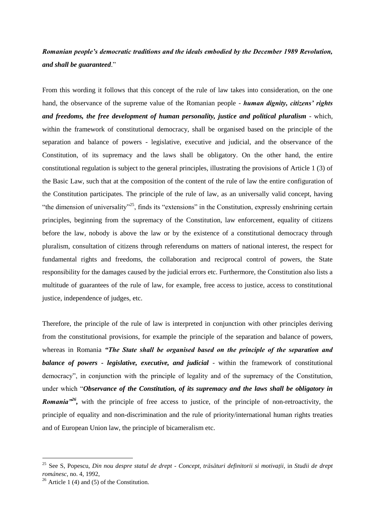# *Romanian people's democratic traditions and the ideals embodied by the December 1989 Revolution, and shall be guaranteed*."

From this wording it follows that this concept of the rule of law takes into consideration, on the one hand, the observance of the supreme value of the Romanian people - *human dignity, citizens' rights and freedoms, the free development of human personality, justice and political pluralism* - which, within the framework of constitutional democracy, shall be organised based on the principle of the separation and balance of powers - legislative, executive and judicial, and the observance of the Constitution, of its supremacy and the laws shall be obligatory. On the other hand, the entire constitutional regulation is subject to the general principles, illustrating the provisions of Article 1 (3) of the Basic Law, such that at the composition of the content of the rule of law the entire configuration of the Constitution participates. The principle of the rule of law, as an universally valid concept, having "the dimension of universality"<sup>25</sup>, finds its "extensions" in the Constitution, expressly enshrining certain principles, beginning from the supremacy of the Constitution, law enforcement, equality of citizens before the law, nobody is above the law or by the existence of a constitutional democracy through pluralism, consultation of citizens through referendums on matters of national interest, the respect for fundamental rights and freedoms, the collaboration and reciprocal control of powers, the State responsibility for the damages caused by the judicial errors etc. Furthermore, the Constitution also lists a multitude of guarantees of the rule of law, for example, free access to justice, access to constitutional justice, independence of judges, etc.

Therefore, the principle of the rule of law is interpreted in conjunction with other principles deriving from the constitutional provisions, for example the principle of the separation and balance of powers, whereas in Romania *"The State shall be organised based on the principle of the separation and balance of powers - legislative, executive, and judicial* - within the framework of constitutional democracy", in conjunction with the principle of legality and of the supremacy of the Constitution, under which "*Observance of the Constitution, of its supremacy and the laws shall be obligatory in Romania*<sup>26</sup>, with the principle of free access to justice, of the principle of non-retroactivity, the principle of equality and non-discrimination and the rule of priority/international human rights treaties and of European Union law, the principle of bicameralism etc.

<u>.</u>

<sup>25</sup> See S, Popescu, *Din nou despre statul de drept - Concept, trăsături definitorii si motivaţii,* in *Studii de drept românesc,* no. 4, 1992,

<sup>&</sup>lt;sup>26</sup> Article 1 (4) and (5) of the Constitution.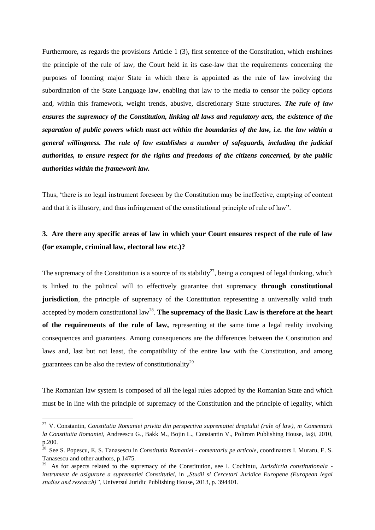Furthermore, as regards the provisions Article 1 (3), first sentence of the Constitution, which enshrines the principle of the rule of law, the Court held in its case-law that the requirements concerning the purposes of looming major State in which there is appointed as the rule of law involving the subordination of the State Language law, enabling that law to the media to censor the policy options and, within this framework, weight trends, abusive, discretionary State structures. *The rule of law ensures the supremacy of the Constitution, linking all laws and regulatory acts, the existence of the separation of public powers which must act within the boundaries of the law, i.e. the law within a general willingness. The rule of law establishes a number of safeguards, including the judicial authorities, to ensure respect for the rights and freedoms of the citizens concerned, by the public authorities within the framework law.*

Thus, 'there is no legal instrument foreseen by the Constitution may be ineffective, emptying of content and that it is illusory, and thus infringement of the constitutional principle of rule of law".

# **3. Are there any specific areas of law in which your Court ensures respect of the rule of law (for example, criminal law, electoral law etc.)?**

The supremacy of the Constitution is a source of its stability<sup>27</sup>, being a conquest of legal thinking, which is linked to the political will to effectively guarantee that supremacy **through constitutional jurisdiction**, the principle of supremacy of the Constitution representing a universally valid truth accepted by modern constitutional law<sup>28</sup>. The supremacy of the Basic Law is therefore at the heart **of the requirements of the rule of law,** representing at the same time a legal reality involving consequences and guarantees. Among consequences are the differences between the Constitution and laws and, last but not least, the compatibility of the entire law with the Constitution, and among guarantees can be also the review of constitutionality<sup>29</sup>

The Romanian law system is composed of all the legal rules adopted by the Romanian State and which must be in line with the principle of supremacy of the Constitution and the principle of legality, which

<sup>27</sup> V. Constantin, *Constitutia Romaniei privita din perspectiva suprematiei dreptului (rule of law), m Comentarii la Constitutia Romaniei,* Andreescu G., Bakk M., Bojin L., Constantin V., Polirom Publishing House, Ia§i, 2010, p.200.

<sup>28</sup> See S. Popescu, E. S. Tanasescu in *Constitutia Romaniei - comentariu pe articole,* coordinators I. Muraru, E. S. Tanasescu and other authors, p.1475.

<sup>29</sup> As for aspects related to the supremacy of the Constitution, see I. Cochintu, *Jurisdictia constitutionala instrument de asigurare a suprematiei Constitutiei,* in "*Studii si Cercetari Juridice Europene (European legal studies and research)",* Universul Juridic Publishing House, 2013, p. 394401.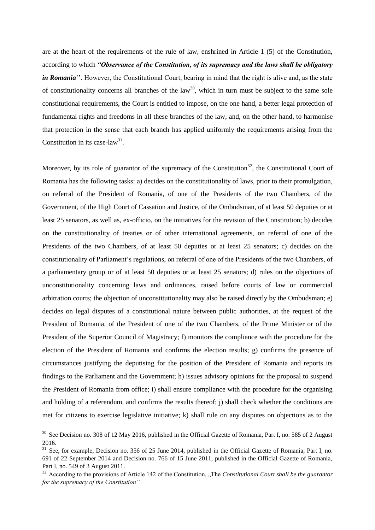are at the heart of the requirements of the rule of law, enshrined in Article 1 (5) of the Constitution, according to which *"Observance of the Constitution, of its supremacy and the laws shall be obligatory in Romania*''. However, the Constitutional Court, bearing in mind that the right is alive and, as the state of constitutionality concerns all branches of the law<sup>30</sup>, which in turn must be subject to the same sole constitutional requirements, the Court is entitled to impose, on the one hand, a better legal protection of fundamental rights and freedoms in all these branches of the law, and, on the other hand, to harmonise that protection in the sense that each branch has applied uniformly the requirements arising from the Constitution in its case-law<sup>31</sup>.

Moreover, by its role of guarantor of the supremacy of the Constitution<sup>32</sup>, the Constitutional Court of Romania has the following tasks: a) decides on the constitutionality of laws, prior to their promulgation, on referral of the President of Romania, of one of the Presidents of the two Chambers, of the Government, of the High Court of Cassation and Justice, of the Ombudsman, of at least 50 deputies or at least 25 senators, as well as, ex-officio, on the initiatives for the revision of the Constitution; b) decides on the constitutionality of treaties or of other international agreements, on referral of one of the Presidents of the two Chambers, of at least 50 deputies or at least 25 senators; c) decides on the constitutionality of Parliament's regulations, on referral of one of the Presidents of the two Chambers, of a parliamentary group or of at least 50 deputies or at least 25 senators; d) rules on the objections of unconstitutionality concerning laws and ordinances, raised before courts of law or commercial arbitration courts; the objection of unconstitutionality may also be raised directly by the Ombudsman; e) decides on legal disputes of a constitutional nature between public authorities, at the request of the President of Romania, of the President of one of the two Chambers, of the Prime Minister or of the President of the Superior Council of Magistracy; f) monitors the compliance with the procedure for the election of the President of Romania and confirms the election results; g) confirms the presence of circumstances justifying the deputising for the position of the President of Romania and reports its findings to the Parliament and the Government; h) issues advisory opinions for the proposal to suspend the President of Romania from office; i) shall ensure compliance with the procedure for the organising and holding of a referendum, and confirms the results thereof; j) shall check whether the conditions are met for citizens to exercise legislative initiative; k) shall rule on any disputes on objections as to the

<u>.</u>

<sup>&</sup>lt;sup>30</sup> See Decision no. 308 of 12 May 2016, published in the Official Gazette of Romania, Part I, no. 585 of 2 August 2016.

<sup>&</sup>lt;sup>31</sup> See, for example, Decision no. 356 of 25 June 2014, published in the Official Gazette of Romania, Part I, no. 691 of 22 September 2014 and Decision no. 766 of 15 June 2011, published in the Official Gazette of Romania, Part I, no. 549 of 3 August 2011.

<sup>&</sup>lt;sup>32</sup> According to the provisions of Article 142 of the Constitution, "The *Constitutional Court shall be the guarantor for the supremacy of the Constitution".*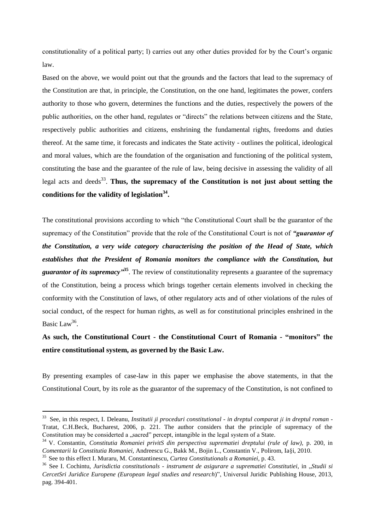constitutionality of a political party; l) carries out any other duties provided for by the Court's organic law.

Based on the above, we would point out that the grounds and the factors that lead to the supremacy of the Constitution are that, in principle, the Constitution, on the one hand, legitimates the power, confers authority to those who govern, determines the functions and the duties, respectively the powers of the public authorities, on the other hand, regulates or "directs" the relations between citizens and the State, respectively public authorities and citizens, enshrining the fundamental rights, freedoms and duties thereof. At the same time, it forecasts and indicates the State activity - outlines the political, ideological and moral values, which are the foundation of the organisation and functioning of the political system, constituting the base and the guarantee of the rule of law, being decisive in assessing the validity of all legal acts and deeds<sup>33</sup>. Thus, the supremacy of the Constitution is not just about setting the **conditions for the validity of legislation<sup>34</sup> .**

The constitutional provisions according to which "the Constitutional Court shall be the guarantor of the supremacy of the Constitution" provide that the role of the Constitutional Court is not of *"guarantor of the Constitution, a very wide category characterising the position of the Head of State, which establishes that the President of Romania monitors the compliance with the Constitution, but*  guarantor of its supremacy<sup>35</sup>. The review of constitutionality represents a guarantee of the supremacy of the Constitution, being a process which brings together certain elements involved in checking the conformity with the Constitution of laws, of other regulatory acts and of other violations of the rules of social conduct, of the respect for human rights, as well as for constitutional principles enshrined in the Basic Law<sup>36</sup>.

# **As such, the Constitutional Court - the Constitutional Court of Romania - "monitors" the entire constitutional system, as governed by the Basic Law.**

By presenting examples of case-law in this paper we emphasise the above statements, in that the Constitutional Court, by its role as the guarantor of the supremacy of the Constitution, is not confined to

<sup>33</sup> See, in this respect, I. Deleanu, *Institutii įi proceduri constitutional - in dreptul comparat įi in dreptul roman* - Tratat, C.H.Beck, Bucharest, 2006, p. 221. The author considers that the principle of supremacy of the Constitution may be considerted a "sacred" percept, intangible in the legal system of a State.

<sup>34</sup> V. Constantin, *Constitutia Romaniei privitS din perspectiva suprematiei dreptului (rule of law),* p. 200, in *Comentarii la Constitutia Romaniei,* Andreescu G., Bakk M., Bojin L., Constantin V., Polirom, Ia§i, 2010.

<sup>35</sup> See to this effect I. Muraru, M. Constantinescu, *Curtea Constitutionals a Romaniei,* p. 43.

<sup>36</sup> See I. Cochintu, *Jurisdictia constitutionals - instrument de asigurare a suprematiei Constitutiei,* in "*Studii si CercetSri Juridice Europene (European legal studies and research*)", Universul Juridic Publishing House, 2013, pag. 394-401.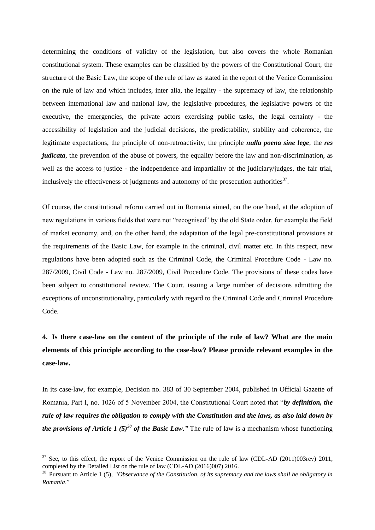determining the conditions of validity of the legislation, but also covers the whole Romanian constitutional system. These examples can be classified by the powers of the Constitutional Court, the structure of the Basic Law, the scope of the rule of law as stated in the report of the Venice Commission on the rule of law and which includes, inter alia, the legality - the supremacy of law, the relationship between international law and national law, the legislative procedures, the legislative powers of the executive, the emergencies, the private actors exercising public tasks, the legal certainty - the accessibility of legislation and the judicial decisions, the predictability, stability and coherence, the legitimate expectations, the principle of non-retroactivity, the principle *nulla poena sine lege*, the *res judicata*, the prevention of the abuse of powers, the equality before the law and non-discrimination, as well as the access to justice - the independence and impartiality of the judiciary/judges, the fair trial, inclusively the effectiveness of judgments and autonomy of the prosecution authorities $3^7$ .

Of course, the constitutional reform carried out in Romania aimed, on the one hand, at the adoption of new regulations in various fields that were not "recognised" by the old State order, for example the field of market economy, and, on the other hand, the adaptation of the legal pre-constitutional provisions at the requirements of the Basic Law, for example in the criminal, civil matter etc. In this respect, new regulations have been adopted such as the Criminal Code, the Criminal Procedure Code - Law no. 287/2009, Civil Code - Law no. 287/2009, Civil Procedure Code. The provisions of these codes have been subject to constitutional review. The Court, issuing a large number of decisions admitting the exceptions of unconstitutionality, particularly with regard to the Criminal Code and Criminal Procedure Code.

# **4. Is there case-law on the content of the principle of the rule of law? What are the main elements of this principle according to the case-law? Please provide relevant examples in the case-law.**

In its case-law, for example, Decision no. 383 of 30 September 2004, published in Official Gazette of Romania, Part I, no. 1026 of 5 November 2004, the Constitutional Court noted that "*by definition, the rule of law requires the obligation to comply with the Constitution and the laws, as also laid down by the provisions of Article 1 (5)<sup>38</sup> of the Basic Law."* The rule of law is a mechanism whose functioning

 $37$  See, to this effect, the report of the Venice Commission on the rule of law (CDL-AD (2011)003rev) 2011, completed by the Detailed List on the rule of law (CDL-AD (2016)007) 2016.

<sup>38</sup> Pursuant to Article 1 (5), *"Observance of the Constitution, of its supremacy and the laws shall be obligatory in Romania*."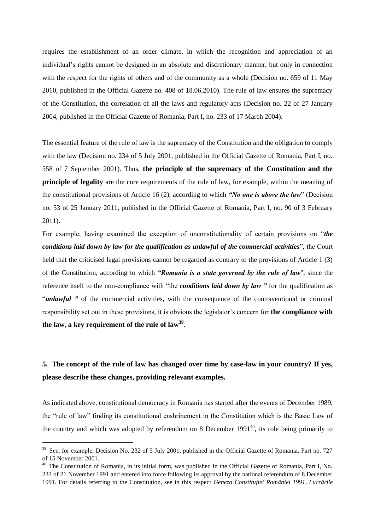requires the establishment of an order climate, in which the recognition and appreciation of an individual's rights cannot be designed in an absolute and discretionary manner, but only in connection with the respect for the rights of others and of the community as a whole (Decision no. 659 of 11 May 2010, published in the Official Gazette no. 408 of 18.06.2010). The rule of law ensures the supremacy of the Constitution, the correlation of all the laws and regulatory acts (Decision no. 22 of 27 January 2004, published in the Official Gazette of Romania, Part I, no. 233 of 17 March 2004).

The essential feature of the rule of law is the supremacy of the Constitution and the obligation to comply with the law (Decision no. 234 of 5 July 2001, published in the Official Gazette of Romania, Part I, no. 558 of 7 September 2001). Thus, **the principle of the supremacy of the Constitution and the principle of legality** are the core requirements of the rule of law, for example, within the meaning of the constitutional provisions of Article 16 (2), according to which *"No one is above the law*" (Decision no. 53 of 25 January 2011, published in the Official Gazette of Romania, Part I, no. 90 of 3 February 2011).

For example, having examined the exception of unconstitutionality of certain provisions on "*the conditions laid down by law for the qualification as unlawful of the commercial activities*", the Court held that the criticised legal provisions cannot be regarded as contrary to the provisions of Article 1 (3) of the Constitution, according to which *"Romania is a state governed by the rule of law*", since the reference itself to the non-compliance with "the *conditions laid down by law "* for the qualification as "*unlawful "* of the commercial activities, with the consequence of the contraventional or criminal responsibility set out in these provisions, it is obvious the legislator's concern for **the compliance with the law**, **a key requirement of the rule of law<sup>39</sup>** .

# **5. The concept of the rule of law has changed over time by case-law in your country? If yes, please describe these changes, providing relevant examples.**

As indicated above, constitutional democracy in Romania has started after the events of December 1989, the "rule of law" finding its constitutional enshrinement in the Constitution which is the Basic Law of the country and which was adopted by referendum on 8 December 1991 $^{40}$ , its role being primarily to

<sup>&</sup>lt;sup>39</sup> See, for example, Decision No. 232 of 5 July 2001, published in the Official Gazette of Romania, Part no. 727 of 15 November 2001.

 $^{40}$  The Constitution of Romania, in its initial form, was published in the Official Gazette of Romania, Part I, No. 233 of 21 November 1991 and entered into force following its approval by the national referendum of 8 December 1991. For details referring to the Constitution, see in this respect *Geneza Constituţiei României 1991, Lucrările*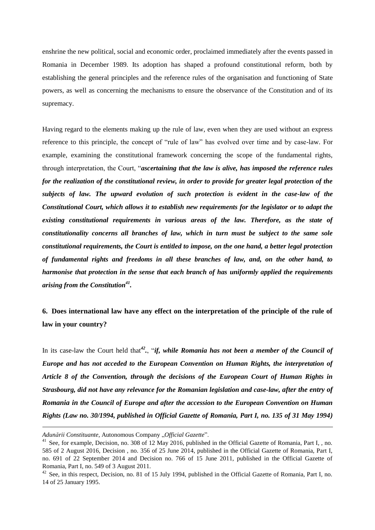enshrine the new political, social and economic order, proclaimed immediately after the events passed in Romania in December 1989. Its adoption has shaped a profound constitutional reform, both by establishing the general principles and the reference rules of the organisation and functioning of State powers, as well as concerning the mechanisms to ensure the observance of the Constitution and of its supremacy.

Having regard to the elements making up the rule of law, even when they are used without an express reference to this principle, the concept of "rule of law" has evolved over time and by case-law. For example, examining the constitutional framework concerning the scope of the fundamental rights, through interpretation, the Court, "*ascertaining that the law is alive, has imposed the reference rules for the realization of the constitutional review, in order to provide for greater legal protection of the subjects of law. The upward evolution of such protection is evident in the case-law of the Constitutional Court, which allows it to establish new requirements for the legislator or to adapt the existing constitutional requirements in various areas of the law. Therefore, as the state of constitutionality concerns all branches of law, which in turn must be subject to the same sole constitutional requirements, the Court is entitled to impose, on the one hand, a better legal protection of fundamental rights and freedoms in all these branches of law, and, on the other hand, to harmonise that protection in the sense that each branch of has uniformly applied the requirements arising from the Constitution<sup>41</sup> .*

# **6. Does international law have any effect on the interpretation of the principle of the rule of law in your country?**

In its case-law the Court held that<sup>42</sup>., "*if, while Romania has not been a member of the Council of Europe and has not acceded to the European Convention on Human Rights, the interpretation of Article 8 of the Convention, through the decisions of the European Court of Human Rights in Strasbourg, did not have any relevance for the Romanian legislation and case-law, after the entry of Romania in the Council of Europe and after the accession to the European Convention on Human Rights (Law no. 30/1994, published in Official Gazette of Romania, Part I, no. 135 of 31 May 1994)* 

<u>.</u>

*Adunării Constituante*, Autonomous Company "*Official Gazette*".

<sup>&</sup>lt;sup>41</sup> See, for example, Decision, no. 308 of 12 May 2016, published in the Official Gazette of Romania, Part I, , no. 585 of 2 August 2016, Decision , no. 356 of 25 June 2014, published in the Official Gazette of Romania, Part I, no. 691 of 22 September 2014 and Decision no. 766 of 15 June 2011, published in the Official Gazette of Romania, Part I, no. 549 of 3 August 2011.

<sup>&</sup>lt;sup>42</sup> See, in this respect, Decision, no. 81 of 15 July 1994, published in the Official Gazette of Romania, Part I, no. 14 of 25 January 1995.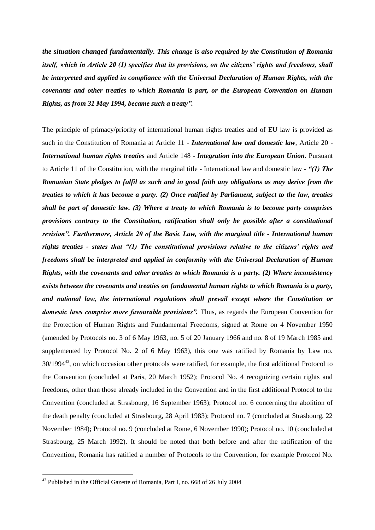*the situation changed fundamentally. This change is also required by the Constitution of Romania itself, which in Article 20 (1) specifies that its provisions, on the citizens' rights and freedoms, shall be interpreted and applied in compliance with the Universal Declaration of Human Rights, with the covenants and other treaties to which Romania is part, or the European Convention on Human Rights, as from 31 May 1994, became such a treaty".*

The principle of primacy/priority of international human rights treaties and of EU law is provided as such in the Constitution of Romania at Article 11 - *International law and domestic law*, Article 20 - *International human rights treaties* and Article 148 - *Integration into the European Union.* Pursuant to Article 11 of the Constitution, with the marginal title - International law and domestic law - *"(1) The Romanian State pledges to fulfil as such and in good faith any obligations as may derive from the treaties to which it has become a party. (2) Once ratified by Parliament, subject to the law, treaties shall be part of domestic law. (3) Where a treaty to which Romania is to become party comprises provisions contrary to the Constitution, ratification shall only be possible after a constitutional revision". Furthermore, Article 20 of the Basic Law, with the marginal title - International human rights treaties - states that "(1) The constitutional provisions relative to the citizens' rights and freedoms shall be interpreted and applied in conformity with the Universal Declaration of Human Rights, with the covenants and other treaties to which Romania is a party. (2) Where inconsistency exists between the covenants and treaties on fundamental human rights to which Romania is a party, and national law, the international regulations shall prevail except where the Constitution or domestic laws comprise more favourable provisions".* Thus, as regards the European Convention for the Protection of Human Rights and Fundamental Freedoms, signed at Rome on 4 November 1950 (amended by Protocols no. 3 of 6 May 1963, no. 5 of 20 January 1966 and no. 8 of 19 March 1985 and supplemented by Protocol No. 2 of 6 May 1963), this one was ratified by Romania by Law no.  $30/1994^{43}$ , on which occasion other protocols were ratified, for example, the first additional Protocol to the Convention (concluded at Paris, 20 March 1952); Protocol No. 4 recognizing certain rights and freedoms, other than those already included in the Convention and in the first additional Protocol to the Convention (concluded at Strasbourg, 16 September 1963); Protocol no. 6 concerning the abolition of the death penalty (concluded at Strasbourg, 28 April 1983); Protocol no. 7 (concluded at Strasbourg, 22 November 1984); Protocol no. 9 (concluded at Rome, 6 November 1990); Protocol no. 10 (concluded at Strasbourg, 25 March 1992). It should be noted that both before and after the ratification of the Convention, Romania has ratified a number of Protocols to the Convention, for example Protocol No.

<sup>&</sup>lt;sup>43</sup> Published in the Official Gazette of Romania, Part I, no. 668 of 26 July 2004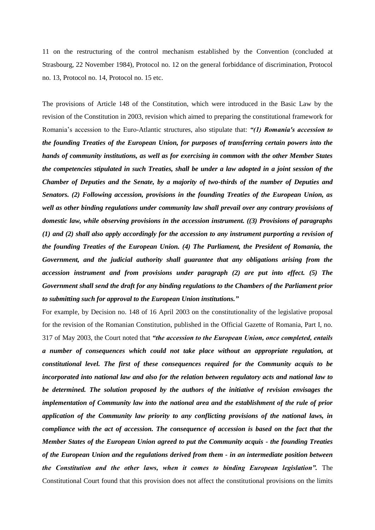11 on the restructuring of the control mechanism established by the Convention (concluded at Strasbourg, 22 November 1984), Protocol no. 12 on the general forbiddance of discrimination, Protocol no. 13, Protocol no. 14, Protocol no. 15 etc.

The provisions of Article 148 of the Constitution, which were introduced in the Basic Law by the revision of the Constitution in 2003, revision which aimed to preparing the constitutional framework for Romania's accession to the Euro-Atlantic structures, also stipulate that: *"(1) Romania's accession to the founding Treaties of the European Union, for purposes of transferring certain powers into the hands of community institutions, as well as for exercising in common with the other Member States the competencies stipulated in such Treaties, shall be under a law adopted in a joint session of the Chamber of Deputies and the Senate, by a majority of two-thirds of the number of Deputies and Senators. (2) Following accession, provisions in the founding Treaties of the European Union, as well as other binding regulations under community law shall prevail over any contrary provisions of domestic law, while observing provisions in the accession instrument. ((3) Provisions of paragraphs (1) and (2) shall also apply accordingly for the accession to any instrument purporting a revision of the founding Treaties of the European Union. (4) The Parliament, the President of Romania, the Government, and the judicial authority shall guarantee that any obligations arising from the accession instrument and from provisions under paragraph (2) are put into effect. (5) The Government shall send the draft for any binding regulations to the Chambers of the Parliament prior to submitting such for approval to the European Union institutions."*

For example, by Decision no. 148 of 16 April 2003 on the constitutionality of the legislative proposal for the revision of the Romanian Constitution, published in the Official Gazette of Romania, Part I, no. 317 of May 2003, the Court noted that *"the accession to the European Union, once completed, entails a number of consequences which could not take place without an appropriate regulation, at constitutional level. The first of these consequences required for the Community acquis to be incorporated into national law and also for the relation between regulatory acts and national law to be determined. The solution proposed by the authors of the initiative of revision envisages the implementation of Community law into the national area and the establishment of the rule of prior application of the Community law priority to any conflicting provisions of the national laws, in compliance with the act of accession. The consequence of accession is based on the fact that the Member States of the European Union agreed to put the Community acquis - the founding Treaties of the European Union and the regulations derived from them - in an intermediate position between the Constitution and the other laws, when it comes to binding European legislation".* The Constitutional Court found that this provision does not affect the constitutional provisions on the limits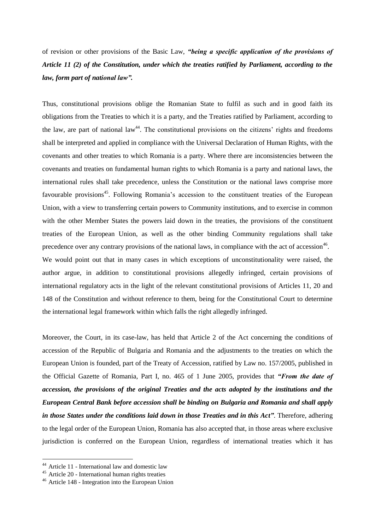of revision or other provisions of the Basic Law, *"being a specific application of the provisions of Article 11 (2) of the Constitution, under which the treaties ratified by Parliament, according to the law, form part of national law".*

Thus, constitutional provisions oblige the Romanian State to fulfil as such and in good faith its obligations from the Treaties to which it is a party, and the Treaties ratified by Parliament, according to the law, are part of national law<sup>44</sup>. The constitutional provisions on the citizens' rights and freedoms shall be interpreted and applied in compliance with the Universal Declaration of Human Rights, with the covenants and other treaties to which Romania is a party. Where there are inconsistencies between the covenants and treaties on fundamental human rights to which Romania is a party and national laws, the international rules shall take precedence, unless the Constitution or the national laws comprise more favourable provisions<sup>45</sup>. Following Romania's accession to the constituent treaties of the European Union, with a view to transferring certain powers to Community institutions, and to exercise in common with the other Member States the powers laid down in the treaties, the provisions of the constituent treaties of the European Union, as well as the other binding Community regulations shall take precedence over any contrary provisions of the national laws, in compliance with the act of accession<sup>46</sup>. We would point out that in many cases in which exceptions of unconstitutionality were raised, the author argue, in addition to constitutional provisions allegedly infringed, certain provisions of international regulatory acts in the light of the relevant constitutional provisions of Articles 11, 20 and 148 of the Constitution and without reference to them, being for the Constitutional Court to determine the international legal framework within which falls the right allegedly infringed.

Moreover, the Court, in its case-law, has held that Article 2 of the Act concerning the conditions of accession of the Republic of Bulgaria and Romania and the adjustments to the treaties on which the European Union is founded, part of the Treaty of Accession, ratified by Law no. 157/2005, published in the Official Gazette of Romania, Part I, no. 465 of 1 June 2005, provides that *"From the date of accession, the provisions of the original Treaties and the acts adopted by the institutions and the European Central Bank before accession shall be binding on Bulgaria and Romania and shall apply in those States under the conditions laid down in those Treaties and in this Act"*. Therefore, adhering to the legal order of the European Union, Romania has also accepted that, in those areas where exclusive jurisdiction is conferred on the European Union, regardless of international treaties which it has

<sup>44</sup> Article 11 - International law and domestic law

<sup>45</sup> Article 20 - International human rights treaties

<sup>46</sup> Article 148 - Integration into the European Union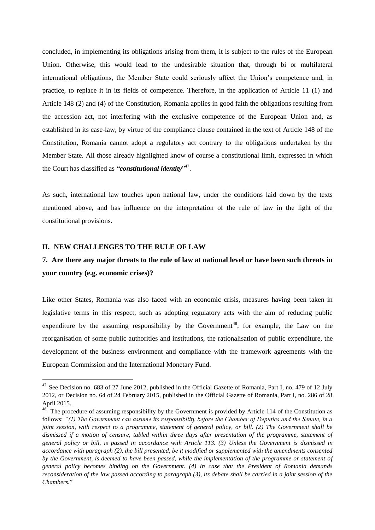concluded, in implementing its obligations arising from them, it is subject to the rules of the European Union. Otherwise, this would lead to the undesirable situation that, through bi or multilateral international obligations, the Member State could seriously affect the Union's competence and, in practice, to replace it in its fields of competence. Therefore, in the application of Article 11 (1) and Article 148 (2) and (4) of the Constitution, Romania applies in good faith the obligations resulting from the accession act, not interfering with the exclusive competence of the European Union and, as established in its case-law, by virtue of the compliance clause contained in the text of Article 148 of the Constitution, Romania cannot adopt a regulatory act contrary to the obligations undertaken by the Member State. All those already highlighted know of course a constitutional limit, expressed in which the Court has classified as "constitutional identity"<sup>47</sup>.

As such, international law touches upon national law, under the conditions laid down by the texts mentioned above, and has influence on the interpretation of the rule of law in the light of the constitutional provisions.

### **II. NEW CHALLENGES TO THE RULE OF LAW**

1

# **7. Are there any major threats to the rule of law at national level or have been such threats in your country (e.g. economic crises)?**

Like other States, Romania was also faced with an economic crisis, measures having been taken in legislative terms in this respect, such as adopting regulatory acts with the aim of reducing public expenditure by the assuming responsibility by the Government<sup>48</sup>, for example, the Law on the reorganisation of some public authorities and institutions, the rationalisation of public expenditure, the development of the business environment and compliance with the framework agreements with the European Commission and the International Monetary Fund.

 $47$  See Decision no. 683 of 27 June 2012, published in the Official Gazette of Romania, Part I, no. 479 of 12 July 2012, or Decision no. 64 of 24 February 2015, published in the Official Gazette of Romania, Part I, no. 286 of 28 April 2015.

<sup>&</sup>lt;sup>48</sup> The procedure of assuming responsibility by the Government is provided by Article 114 of the Constitution as follows: *"(1) The Government can assume its responsibility before the Chamber of Deputies and the Senate, in a joint session, with respect to a programme, statement of general policy, or bill. (2) The Government shall be dismissed if a motion of censure, tabled within three days after presentation of the programme, statement of general policy or bill, is passed in accordance with Article 113. (3) Unless the Government is dismissed in accordance with paragraph (2), the bill presented, be it modified or supplemented with the amendments consented by the Government, is deemed to have been passed, while the implementation of the programme or statement of general policy becomes binding on the Government. (4) In case that the President of Romania demands reconsideration of the law passed according to paragraph (3), its debate shall be carried in a joint session of the Chambers.*"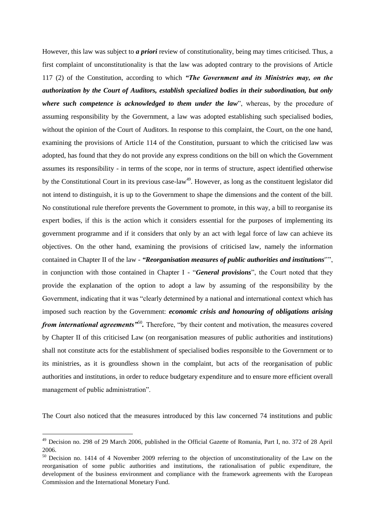However, this law was subject to *a priori* review of constitutionality, being may times criticised. Thus, a first complaint of unconstitutionality is that the law was adopted contrary to the provisions of Article 117 (2) of the Constitution, according to which *"The Government and its Ministries may, on the authorization by the Court of Auditors, establish specialized bodies in their subordination, but only where such competence is acknowledged to them under the law*", whereas, by the procedure of assuming responsibility by the Government, a law was adopted establishing such specialised bodies, without the opinion of the Court of Auditors. In response to this complaint, the Court, on the one hand, examining the provisions of Article 114 of the Constitution, pursuant to which the criticised law was adopted, has found that they do not provide any express conditions on the bill on which the Government assumes its responsibility - in terms of the scope, nor in terms of structure, aspect identified otherwise by the Constitutional Court in its previous case-law<sup>49</sup>. However, as long as the constituent legislator did not intend to distinguish, it is up to the Government to shape the dimensions and the content of the bill. No constitutional rule therefore prevents the Government to promote, in this way, a bill to reorganise its expert bodies, if this is the action which it considers essential for the purposes of implementing its government programme and if it considers that only by an act with legal force of law can achieve its objectives. On the other hand, examining the provisions of criticised law, namely the information contained in Chapter II of the law - *"Reorganisation measures of public authorities and institutions*''", in conjunction with those contained in Chapter I - "*General provisions*", the Court noted that they provide the explanation of the option to adopt a law by assuming of the responsibility by the Government, indicating that it was "clearly determined by a national and international context which has imposed such reaction by the Government: *economic crisis and honouring of obligations arising from international agreements*<sup>150</sup>. Therefore, "by their content and motivation, the measures covered by Chapter II of this criticised Law (on reorganisation measures of public authorities and institutions) shall not constitute acts for the establishment of specialised bodies responsible to the Government or to its ministries, as it is groundless shown in the complaint, but acts of the reorganisation of public authorities and institutions, in order to reduce budgetary expenditure and to ensure more efficient overall management of public administration".

The Court also noticed that the measures introduced by this law concerned 74 institutions and public

<sup>&</sup>lt;sup>49</sup> Decision no. 298 of 29 March 2006, published in the Official Gazette of Romania, Part I, no. 372 of 28 April 2006.

<sup>&</sup>lt;sup>50</sup> Decision no. 1414 of 4 November 2009 referring to the objection of unconstitutionality of the Law on the reorganisation of some public authorities and institutions, the rationalisation of public expenditure, the development of the business environment and compliance with the framework agreements with the European Commission and the International Monetary Fund.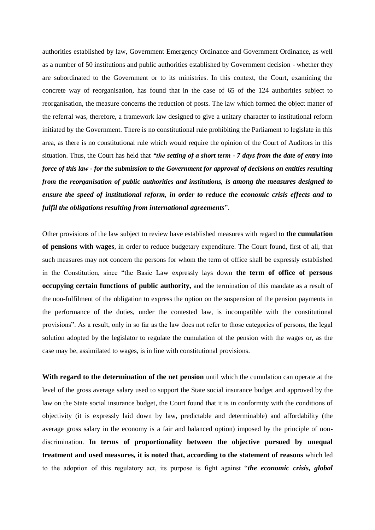authorities established by law, Government Emergency Ordinance and Government Ordinance, as well as a number of 50 institutions and public authorities established by Government decision - whether they are subordinated to the Government or to its ministries. In this context, the Court, examining the concrete way of reorganisation, has found that in the case of 65 of the 124 authorities subject to reorganisation, the measure concerns the reduction of posts. The law which formed the object matter of the referral was, therefore, a framework law designed to give a unitary character to institutional reform initiated by the Government. There is no constitutional rule prohibiting the Parliament to legislate in this area, as there is no constitutional rule which would require the opinion of the Court of Auditors in this situation. Thus, the Court has held that *"the setting of a short term* - *7 days from the date of entry into force of this law - for the submission to the Government for approval of decisions on entities resulting from the reorganisation of public authorities and institutions, is among the measures designed to ensure the speed of institutional reform, in order to reduce the economic crisis effects and to fulfil the obligations resulting from international agreements*".

Other provisions of the law subject to review have established measures with regard to **the cumulation of pensions with wages**, in order to reduce budgetary expenditure. The Court found, first of all, that such measures may not concern the persons for whom the term of office shall be expressly established in the Constitution, since "the Basic Law expressly lays down **the term of office of persons occupying certain functions of public authority,** and the termination of this mandate as a result of the non-fulfilment of the obligation to express the option on the suspension of the pension payments in the performance of the duties, under the contested law, is incompatible with the constitutional provisions". As a result, only in so far as the law does not refer to those categories of persons, the legal solution adopted by the legislator to regulate the cumulation of the pension with the wages or, as the case may be, assimilated to wages, is in line with constitutional provisions.

With regard to the determination of the net pension until which the cumulation can operate at the level of the gross average salary used to support the State social insurance budget and approved by the law on the State social insurance budget, the Court found that it is in conformity with the conditions of objectivity (it is expressly laid down by law, predictable and determinable) and affordability (the average gross salary in the economy is a fair and balanced option) imposed by the principle of nondiscrimination. **In terms of proportionality between the objective pursued by unequal treatment and used measures, it is noted that, according to the statement of reasons** which led to the adoption of this regulatory act, its purpose is fight against "*the economic crisis, global*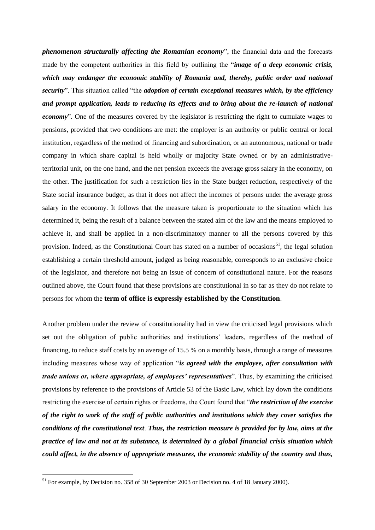*phenomenon structurally affecting the Romanian economy*", the financial data and the forecasts made by the competent authorities in this field by outlining the "*image of a deep economic crisis, which may endanger the economic stability of Romania and, thereby, public order and national security*". This situation called "the *adoption of certain exceptional measures which, by the efficiency and prompt application, leads to reducing its effects and to bring about the re-launch of national economy*". One of the measures covered by the legislator is restricting the right to cumulate wages to pensions, provided that two conditions are met: the employer is an authority or public central or local institution, regardless of the method of financing and subordination, or an autonomous, national or trade company in which share capital is held wholly or majority State owned or by an administrativeterritorial unit, on the one hand, and the net pension exceeds the average gross salary in the economy, on the other. The justification for such a restriction lies in the State budget reduction, respectively of the State social insurance budget, as that it does not affect the incomes of persons under the average gross salary in the economy. It follows that the measure taken is proportionate to the situation which has determined it, being the result of a balance between the stated aim of the law and the means employed to achieve it, and shall be applied in a non-discriminatory manner to all the persons covered by this provision. Indeed, as the Constitutional Court has stated on a number of occasions<sup>51</sup>, the legal solution establishing a certain threshold amount, judged as being reasonable, corresponds to an exclusive choice of the legislator, and therefore not being an issue of concern of constitutional nature. For the reasons outlined above, the Court found that these provisions are constitutional in so far as they do not relate to persons for whom the **term of office is expressly established by the Constitution**.

Another problem under the review of constitutionality had in view the criticised legal provisions which set out the obligation of public authorities and institutions' leaders, regardless of the method of financing, to reduce staff costs by an average of 15.5 % on a monthly basis, through a range of measures including measures whose way of application "*is agreed with the employee, after consultation with trade unions or, where appropriate, of employees' representatives*". Thus, by examining the criticised provisions by reference to the provisions of Article 53 of the Basic Law, which lay down the conditions restricting the exercise of certain rights or freedoms, the Court found that "*the restriction of the exercise of the right to work of the staff of public authorities and institutions which they cover satisfies the conditions of the constitutional text*. *Thus, the restriction measure is provided for by law, aims at the practice of law and not at its substance, is determined by a global financial crisis situation which could affect, in the absence of appropriate measures, the economic stability of the country and thus,* 

 $51$  For example, by Decision no. 358 of 30 September 2003 or Decision no. 4 of 18 January 2000).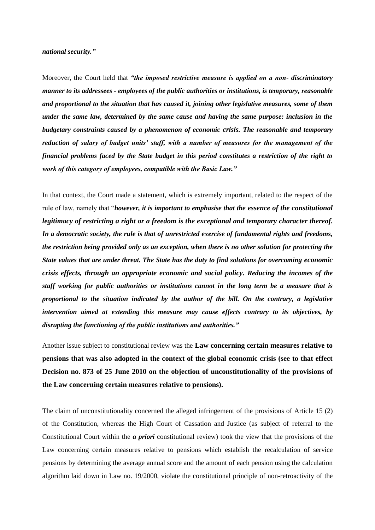#### *national security."*

Moreover, the Court held that *"the imposed restrictive measure is applied on a non- discriminatory manner to its addressees - employees of the public authorities or institutions, is temporary, reasonable and proportional to the situation that has caused it, joining other legislative measures, some of them under the same law, determined by the same cause and having the same purpose: inclusion in the budgetary constraints caused by a phenomenon of economic crisis. The reasonable and temporary reduction of salary of budget units' staff, with a number of measures for the management of the financial problems faced by the State budget in this period constitutes a restriction of the right to work of this category of employees, compatible with the Basic Law."*

In that context, the Court made a statement, which is extremely important, related to the respect of the rule of law, namely that "*however, it is important to emphasise that the essence of the constitutional legitimacy of restricting a right or a freedom is the exceptional and temporary character thereof. In a democratic society, the rule is that of unrestricted exercise of fundamental rights and freedoms, the restriction being provided only as an exception, when there is no other solution for protecting the State values that are under threat. The State has the duty to find solutions for overcoming economic crisis effects, through an appropriate economic and social policy. Reducing the incomes of the staff working for public authorities or institutions cannot in the long term be a measure that is proportional to the situation indicated by the author of the bill. On the contrary, a legislative intervention aimed at extending this measure may cause effects contrary to its objectives, by disrupting the functioning of the public institutions and authorities."*

Another issue subject to constitutional review was the **Law concerning certain measures relative to pensions that was also adopted in the context of the global economic crisis (see to that effect Decision no. 873 of 25 June 2010 on the objection of unconstitutionality of the provisions of the Law concerning certain measures relative to pensions).**

[The claim of unconstitutionality concerned the alleged infringement of the](http://idrept.ro/00033622.htm) provisions of Article [15 \(2\)](http://idrept.ro/00033622.htm)  [of the Constitution, whereas the High Court of Cassation and Justice \(as subject of](http://idrept.ro/00033622.htm) [referral to the](http://idrept.ro/00033622.htm)  Constitutional Court within the *a priori* [constitutional review\) took the view that](http://idrept.ro/00033622.htm) [the provisions of the](http://idrept.ro/00033622.htm)  [Law concerning certain measures relative to pensions which establish the](http://idrept.ro/00033622.htm) [recalculation of service](http://idrept.ro/00033622.htm)  [pensions by determining the average annual score and the amount of](http://idrept.ro/00033622.htm) [each pension using the calculation](http://idrept.ro/00033622.htm)  [algorithm laid down in Law no. 19/2000, violate the](http://idrept.ro/00033622.htm) [constitutional principle of non-retroactivity of the](http://idrept.ro/00033622.htm)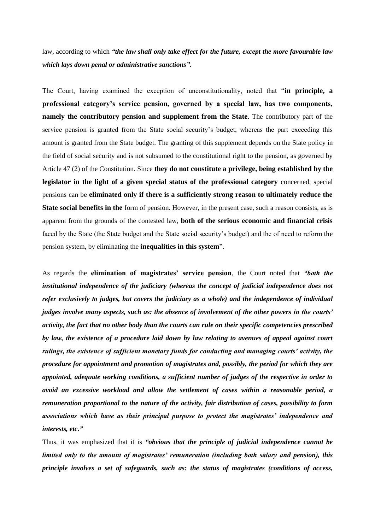[law, according to which](http://idrept.ro/00033622.htm) *"the law shall only [take effect for the future, except the more favourable law](http://idrept.ro/00033622.htm)  [which lays down penal or](http://idrept.ro/00033622.htm) [administrative sanctions"](http://idrept.ro/00033622.htm)*.

The Court, having examined the exception of unconstitutionality, noted that "**in principle, a professional category's service pension, governed by a special law, has two components, namely the contributory pension and supplement from the State**. The contributory part of the service pension is granted from the State social security's budget, whereas the part exceeding this amount is granted from the State budget. The granting of this supplement depends on the State policy in the field of social security and is not subsumed to the constitutional right to the pension, as governed by Article 47 (2) of the Constitutio[n. Si](http://idrept.ro/00068397.htm)nce **they do not constitute a privilege, being established by the legislator in the light of a given special status of the professional category** concerned, special pensions can be **eliminated only if there is a sufficiently strong reason to ultimately reduce the State social benefits in the** form of pension. However, in the present case, such a reason consists, as is apparent from the grounds of the contested law, **both of the serious economic and financial crisis**  faced by the State (the State budget and the State social security's budget) and the of need to reform the pension system, by eliminating the **inequalities in this system**".

As regards the **elimination of magistrates' service pension**, the Court noted that *"both the institutional independence of the judiciary (whereas the concept of judicial independence does not refer exclusively to judges, but covers the judiciary as a whole) and the independence of individual judges involve many aspects, such as: the absence of involvement of the other powers in the courts' activity, the fact that no other body than the courts can rule on their specific competencies prescribed by law, the existence of a procedure laid down by law relating to avenues of appeal against court rulings, the existence of sufficient monetary funds for conducting and managing courts' activity, the procedure for appointment and promotion of magistrates and, possibly, the period for which they are appointed, adequate working conditions, a sufficient number of judges of the respective in order to avoid an excessive workload and allow the settlement of cases within a reasonable period, a remuneration proportional to the nature of the activity, fair distribution of cases, possibility to form associations which have as their principal purpose to protect the magistrates' independence and interests, etc."*

Thus, it was emphasized that it is *"obvious that the principle of judicial independence cannot be limited only to the amount of magistrates' remuneration (including both salary and pension), this principle involves a set of safeguards, such as: the status of magistrates (conditions of access,*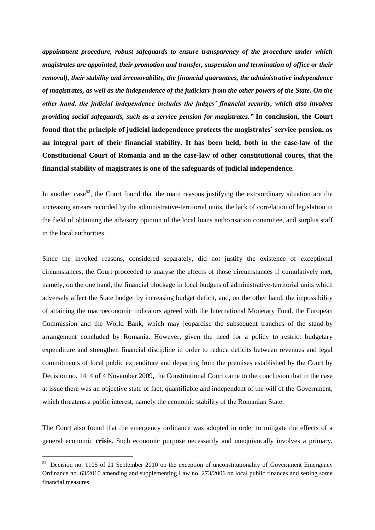*appointment procedure, robust safeguards to ensure transparency of the procedure under which magistrates are appointed, their promotion and transfer, suspension and termination of office or their removal), their stability and irremovability, the financial guarantees, the administrative independence of magistrates, as well as the independence of the judiciary from the other powers of the State. On the other hand, the judicial independence includes the judges' financial security, which also involves providing social safeguards, such as a service pension for magistrates."* **In conclusion, the Court found that the principle of judicial independence protects the magistrates' service pension, as an integral part of their financial stability. It has been held, both in the case-law of the Constitutional Court of Romania and in the case-law of other constitutional courts, that the financial stability of magistrates is one of the safeguards of judicial independence.**

In another case<sup>52</sup>, the Court found that the main reasons justifying the extraordinary situation are the increasing arrears recorded by the administrative-territorial units, the lack of correlation of legislation in the field of obtaining the advisory opinion of the local loans authorisation committee, and surplus staff in the local authorities.

[Since the invoked reasons, considered separately, did not justify the existence of exceptional](http://idrept.ro/00127119.htm) [circumstances, the Court proceeded to analyse the effects of those circumstances if](http://idrept.ro/00127119.htm) [cumulatively met,](http://idrept.ro/00127119.htm)  [namely, on the one hand, the financial blockage in local budgets of](http://idrept.ro/00127119.htm) [administrative-territorial units which](http://idrept.ro/00127119.htm)  [adversely affect the State budget by increasing budget](http://idrept.ro/00127119.htm) [deficit, and, on the other hand, the impossibility](http://idrept.ro/00127119.htm)  [of attaining the macroeconomic indicators](http://idrept.ro/00127119.htm) [agreed with the International Monetary Fund, the European](http://idrept.ro/00127119.htm)  [Commission and the World Bank,](http://idrept.ro/00127119.htm) [which may jeopardise the subsequent tranches of the stand-by](http://idrept.ro/00127119.htm)  [arrangement concluded by](http://idrept.ro/00127119.htm) [Romania. However, given the need for a policy to restrict budgetary](http://idrept.ro/00127119.htm)  [expenditure and strengthen](http://idrept.ro/00127119.htm) [financial discipline in order to reduce deficits between revenues and legal](http://idrept.ro/00127119.htm)  [commitments of local](http://idrept.ro/00127119.htm) [public expenditure and departing from the premises established by the Court by](http://idrept.ro/00127119.htm)  [Decision no.](http://idrept.ro/00127119.htm) [1414 of 4 November 2009, the Constitutional Court came to the conclusion that in the case](http://idrept.ro/00127119.htm)  [at](http://idrept.ro/00127119.htm) [issue there was an objective state of fact, quantifiable and independent of the will of the](http://idrept.ro/00127119.htm) [Government,](http://idrept.ro/00127119.htm)  [which threatens a public interest, namely the economic stability of the Romanian](http://idrept.ro/00127119.htm) [State.](http://idrept.ro/00127119.htm)

The Court also found that the emergency ordinance was adopted in order to mitigate the effects of a general economic **crisis**. Such economic purpose necessarily and unequivocally involves a primary,

<u>.</u>

<sup>&</sup>lt;sup>52</sup> [Decision no. 1105 of 21 September 2010 on the exception of unconstitutionality of](http://idrept.ro/00094597.htm) Government Emergency [Ordinance no. 63/2010 amending and supplementing Law no.](http://idrept.ro/00094597.htm) [273/2006 on local public finances and setting some](http://idrept.ro/00094597.htm)  [financial measures.](http://idrept.ro/00094597.htm)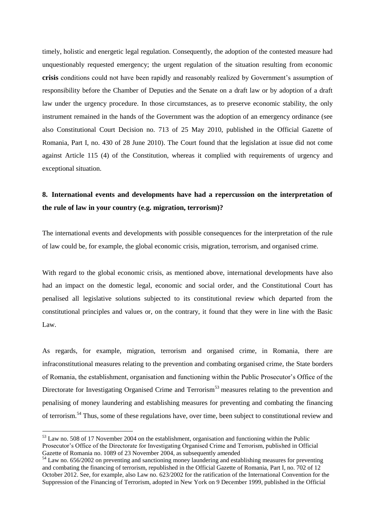timely, holistic and energetic legal regulation. Consequently, the adoption of the contested measure had unquestionably requested emergency; the urgent regulation of the situation resulting from economic **crisis** conditions could not have been rapidly and reasonably realized by Government's assumption of responsibility before the Chamber of Deputies and the Senate on a draft law or by adoption of a draft law under the urgency procedure. In those circumstances, as to preserve economic stability, the only instrument remained in the hands of the Government was the adoption of an emergency ordinance (see also Constitutional Court Decision no. 713 of 25 May 2010, published in the Official Gazette of Romania, Part I, no. 430 of 28 June 2010[\). The Court found that the legislation at issue did not come](http://idrept.ro/00068397.htm)  [against Article 115](http://idrept.ro/00068397.htm) [\(4\) of the Constitution, whereas it complied with requirements of urgency and](http://idrept.ro/00068397.htm)  [exceptional](http://idrept.ro/00068397.htm) [situation.](http://idrept.ro/00068397.htm)

### **8. International events and developments have had a repercussion on the interpretation of the rule of law in your country (e.g. migration, terrorism)?**

The international events and developments with possible consequences for the interpretation of the rule of law could be, for example, the global economic crisis, migration, terrorism, and organised crime.

With regard to the global economic crisis, as mentioned above, international developments have also had an impact on the domestic legal, economic and social order, and the Constitutional Court has penalised all legislative solutions subjected to its constitutional review which departed from the constitutional principles and values or, on the contrary, it found that they were in line with the Basic Law.

As regards, for example, migration, terrorism and organised crime, in Romania, there are infraconstitutional measures relating to the prevention and combating organised crime, the State borders of Romania, the establishment, organisation and functioning within the Public Prosecutor's Office of the Directorate for Investigating Organised Crime and Terrorism<sup>53</sup> measures relating to the prevention and penalising of money laundering and establishing measures for preventing and combating the financing of terrorism.<sup>54</sup> Thus, some of these regulations have, over time, been subject to constitutional review and

 $53$  Law no. 508 of 17 November 2004 on the establishment, organisation and functioning within the Public Prosecutor's Office of the Directorate for Investigating Organised Crime and Terrorism, published in Official Gazette of Romania no. 1089 of 23 November 2004, as subsequently amended

 $54$  Law no. 656/2002 on preventing and sanctioning money laundering and establishing measures for preventing and combating the financing of terrorism, republished in the Official Gazette of Romania, Part I, no. 702 of 12 October 201[2. See, for example, also Law no.](file:///C:/Users/ionita/sintact%204.0/cache/Legislatie/temp266000/00059842.htm) [623/2002 for the ratification of the International Convention for the](file:///C:/Users/ionita/sintact%204.0/cache/Legislatie/temp266000/00059842.htm)  [Suppression of the](file:///C:/Users/ionita/sintact%204.0/cache/Legislatie/temp266000/00059842.htm) [Financing of Terrorism, adopted in New York on 9 December 1999, published in the Official](file:///C:/Users/ionita/sintact%204.0/cache/Legislatie/temp266000/00059842.htm)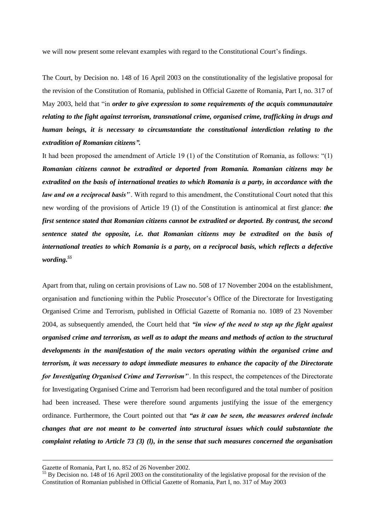we will now present some relevant examples with regard to the Constitutional Court's findings.

The Court, by Decision no. 148 of 16 April 2003 on the constitutionality of the legislative proposal for the revision of the Constitution of Romania, published in Official Gazette of Romania, Part I, no. 317 of May 2003, held that "in *order to give expression to some requirements of the acquis communautaire relating to the fight against terrorism, transnational crime, organised crime, trafficking in drugs and human beings, it is necessary to circumstantiate the constitutional interdiction relating to the extradition of Romanian citizens".*

It had been proposed the amendment of Article 19 (1) of the Constitution of Romania, as follows: "(1) *Romanian citizens cannot be extradited or deported from Romania. Romanian citizens may be extradited on the basis of international treaties to which Romania is a party, in accordance with the law and on a reciprocal basis'*'. With regard to this amendment, the Constitutional Court noted that this new wording of the provisions of Article 19 (1) of the Constitution is antinomical at first glance: *the first sentence stated that Romanian citizens cannot be extradited or deported. By contrast, the second sentence stated the opposite, i.e. that Romanian citizens may be extradited on the basis of international treaties to which Romania is a party, on a reciprocal basis, which reflects a defective wording.<sup>55</sup>*

Apart from that, ruling on certain provisions of Law no. 508 of 17 November 2004 on the establishment, organisation and functioning within the Public Prosecutor's Office of the Directorate for Investigating Organised Crime and Terrorism, published in Official Gazette of Romania no. 1089 of 23 November 2004, as subsequently amended, the Court held that *"in view of the need to step up the fight against organised crime and terrorism, as well as to adapt the means and methods of action to the structural developments in the manifestation of the main vectors operating within the organised crime and terrorism, it was necessary to adopt immediate measures to enhance the capacity of the Directorate for Investigating Organised Crime and Terrorism'*'. In this respect, the competences of the Directorate for Investigating Organised Crime and Terrorism had been reconfigured and the total number of position had been increased. These were therefore sound arguments justifying the issue of the emergency ordinance. Furthermore, the Court pointed out that *"as it can be seen, the measures ordered include changes that are not meant to be converted into structural issues which could substantiate the complaint relating to Article 73 (3) (l), in the sense that such measures concerned the organisation* 

[Gazette of Romania, Part I, no. 852 of 26 November 2002.](file:///C:/Users/ionita/sintact%204.0/cache/Legislatie/temp266000/00059842.htm)

 $55$  By Decision no. 148 of 16 April 2003 on the constitutionality of the legislative proposal for the revision of the Constitution of Romanian published in Official Gazette of Romania, Part I, no. 317 of May 2003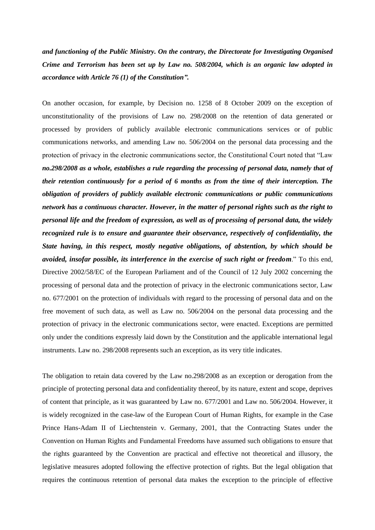*and functioning of the Public Ministr[y. On the contrary, the](http://idrept.ro/00068397.htm) [Directorate for Investigating Organised](http://idrept.ro/00068397.htm)  [Crime and Terrorism has been set up by Law no.](http://idrept.ro/00068397.htm) [508/2004, which is an organic law adopted in](http://idrept.ro/00068397.htm)  [accordance with Article 76 \(1\) of the](http://idrept.ro/00068397.htm) [Constitution".](http://idrept.ro/00068397.htm)*

On another occasion, for example, by Decision no. 1258 of 8 October 2009 on the exception of unconstitutionality of the provisions of Law no. 298/2008 on the retention of data generated or processed by providers of publicly available electronic communications services or of public communications networks, and amending Law no. 506/2004 on the personal data processing and the protection of privacy in the electronic communications sector, the Constitutional Court noted that "Law *no.298/2008 as a whole, establishes a rule regarding the processing of personal data, namely that of their retention continuously for a period of 6 months as from the time of their interception. The obligation of providers of publicly available electronic communications or public communications network has a continuous character. However, in the matter of personal rights such as the right to personal life and the freedom of expression, as well as of processing of personal data, the widely recognized rule is to ensure and guarantee their observance, respectively of confidentiality, the State having, in this respect, mostly negative obligations, of abstention, by which should be avoided, insofar possible, its interference in the exercise of such right or freedom*." To this end, Directive 2002/58/EC of the European Parliament and of the Council of 12 July 2002 concerning the processing of personal data and the protection of privacy in the electronic communications sector, Law no. 677/2001 on the protection of individuals with regard to the processing of personal data and on the free movement of such data, as well as Law no. 506/2004 on the personal data processing and the protection of privacy in the electronic communications sector, were enacte[d. Exceptions](http://idrept.ro/00078953.htm) [are permitted](http://idrept.ro/00078953.htm)  [only under the conditions expressly laid down by the Constitution and the](http://idrept.ro/00078953.htm) [applicable international legal](http://idrept.ro/00078953.htm)  [instruments. Law no. 298/2008 represents such an exception, as](http://idrept.ro/00078953.htm) [its very title indicates.](http://idrept.ro/00078953.htm)

The obligation to retain data covered by the Law no.298/2008 as an exception or derogation from the principle of protecting personal data and confidentiality thereof, by its nature, extent and scope, deprives of content that principle, as it was guaranteed by Law no. 677/2001 and Law no. 506/2004. However, it is widely recognized in the case-law of the European Court of Human Rights, for example in the Case Prince Hans-Adam II of Liechtenstein v. Germany, 2001, that the Contracting States under the Convention on Human Rights and Fundamental Freedoms have assumed such obligations to ensure that the rights guaranteed by the Convention are practical and effective not theoretical and illusory, the legislative measures adopted following the effective protection of rights. But the legal obligation that requires the continuous retention of personal data makes the exception to the principle of effective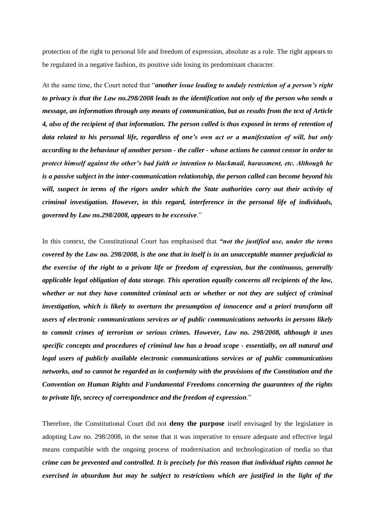protection of the right to personal life and freedom of expression, absolute as a rule. The right appears to be regulated in a negative fashion, its positive side losing its predominant character.

At the same time, the Court noted that "*another issue leading to unduly restriction of a person's right to privacy is that the Law no.298/2008 leads to the identification not only of the person who sends a message, an information through any means of communication, but as results from the text of Article 4, also of the recipient of that information. The person called is thus exposed in terms of retention of data related to his personal life, regardless of one's own act or a manifestation of will, but only according to the behaviour of another person - the caller - whose actions he cannot censor in order to protect himself against the other's bad faith or intention to blackmail, harassment, etc. Although he is a passive subject in the inter-communication relationship, the person called can become beyond his will, suspect in terms of the rigors under which the State authorities carry out their activity of criminal investigation. However, in this regard, interference in the personal life of individuals, governed by Law no.298/2008, appears to be excessive*."

In this context, the Constitutional Court has emphasised that *"not the justified use, under the terms covered by the Law no. 298/2008, is the one that in itself is in an unacceptable manner prejudicial to the exercise of the right to a private life or freedom of expression, but the continuous, generally applicable legal obligation of data storage. This operation equally concerns all recipients of the law, whether or not they have committed criminal acts or whether or not they are subject of criminal investigation, which is likely to overturn the presumption of innocence and a priori transform all users of electronic communications services or of public communications networks in persons likely to commit crimes of terrorism or serious crimes. However, Law no. 298/2008, although it uses specific concepts and procedures of criminal law has a broad scope - essentially, on all natural and legal users of publicly available electronic communications services or of public communications networks, and so cannot be regarded as in conformity with the provisions of the Constitution and the Convention on Human Rights and Fundamental Freedoms concerning the guarantees of the rights to private life, secrecy of correspondence and the freedom of expression*."

Therefore, the Constitutional Court did not **deny the purpose** itself envisaged by the legislature in adopting Law no. 298/2008, in the sense that it was imperative to ensure adequate and effective legal means compatible with the ongoing process of modernisation and technologization of media so that *crime can be prevented and controlle[d. It is precisely for this](http://idrept.ro/00116507.htm) [reason that individual rights cannot be](http://idrept.ro/00116507.htm)  [exercised in absurdum but may be subject to restrictions](http://idrept.ro/00116507.htm) [which are justified in the light of the](http://idrept.ro/00116507.htm)*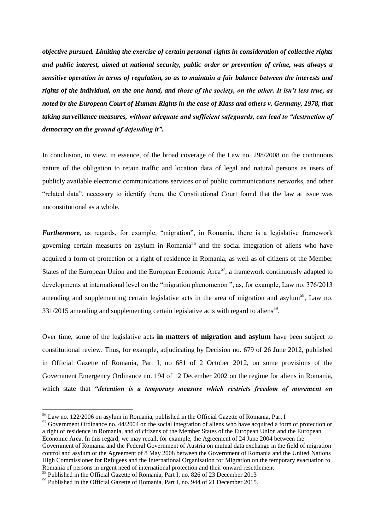*[objective pursued. Limiting the exercise of certain personal](http://idrept.ro/00116507.htm) [rights in consideration of collective rights](http://idrept.ro/00116507.htm) and [public interest, aimed at national security, public](http://idrept.ro/00116507.htm) [order or prevention of crime, was always a](http://idrept.ro/00116507.htm)  [sensitive operation in terms of regulation, so as to](http://idrept.ro/00116507.htm) [maintain a fair balance between the interests and](http://idrept.ro/00116507.htm)  [rights of the individual, on the one hand, and](http://idrept.ro/00116507.htm) [those of the society, on the other. It isn't less true, as](http://idrept.ro/00116507.htm)  [noted by the European Court of Human](http://idrept.ro/00116507.htm) [Rights in the case of Klass and others v. Germany, 1978, that](http://idrept.ro/00116507.htm)  [taking surveillance measures,](http://idrept.ro/00116507.htm) [without adequate and sufficient safeguards, can lead to "destruction of](http://idrept.ro/00116507.htm)  [democracy on the](http://idrept.ro/00116507.htm) [ground of defending it".](http://idrept.ro/00116507.htm)*

[In conclusion, in view, in essence, of the broad coverage of the Law no. 298/2008 on the](http://idrept.ro/00116507.htm) [continuous](http://idrept.ro/00116507.htm)  [nature of the obligation to retain traffic and location data of legal and natural persons](http://idrept.ro/00116507.htm) [as users of](http://idrept.ro/00116507.htm)  [publicly available electronic communications services or of public communications](http://idrept.ro/00116507.htm) [networks, and other](http://idrept.ro/00116507.htm)  ["related data", necessary to identify them, the Constitutional Court found](http://idrept.ro/00116507.htm) [that the law at issue was](http://idrept.ro/00116507.htm)  [unconstitutional as a whole.](http://idrept.ro/00116507.htm)

*Furthermore,* as regards, for example, "migration", in Romania, there is a legislative framework governing certain measures on asylum in Romania<sup>56</sup> and the social integration of aliens who have acquired a form of protection or a right of residence in Romania, as well as of citizens of the Member States of the European Union and the European Economic Area<sup>57</sup>, a framework continuously adapted to developments at international level on the "migration phenomenon", as, for example, Law no. 376/2013 amending and supplementing certain legislative acts in the area of migration and asylum<sup>58</sup>, Law no.  $331/2015$  amending and supplementing certain legislative acts with regard to aliens<sup>59</sup>.

Over time, some of the legislative acts **in matters of migration and asylum** have been subject to constitutional review. Thus, for example, adjudicating by Decision no. 679 of 26 June 2012, published in Official Gazette of Romania, Part I, no 681 of 2 October 2012, on some provisions of the Government Emergency Ordinance no. 194 of 12 December 2002 on the regime for aliens in Romania, which state that *"detention is a temporary measure which restricts freedom of movement on* 

<sup>56</sup> Law no. 122/2006 on asylum in Romania, published in the Official Gazette of Romania, Part I

<sup>&</sup>lt;sup>57</sup> Government Ordinance no. 44/2004 on the social integration of aliens who have acquired a form of protection or a right of residence in Romania, and of citizens of the Member States of the European Union and the European Economic Are[a. In this regard, we may recall,](file:///C:/Users/ionita/sintact%204.0/cache/Legislatie/temp137588/00071078.htm) [for example, the Agreement of 24 June 2004 between the](file:///C:/Users/ionita/sintact%204.0/cache/Legislatie/temp137588/00071078.htm)  [Government of Romania and the](file:///C:/Users/ionita/sintact%204.0/cache/Legislatie/temp137588/00071078.htm) [Federal Government of Austria on mutual data exchange in the field of migration](file:///C:/Users/ionita/sintact%204.0/cache/Legislatie/temp137588/00071078.htm)  [control and](file:///C:/Users/ionita/sintact%204.0/cache/Legislatie/temp137588/00071078.htm) [asylum or the Agreement of 8 May 2008 between the Government of Romania and the United](file:///C:/Users/ionita/sintact%204.0/cache/Legislatie/temp137588/00071078.htm) [Nations](file:///C:/Users/ionita/sintact%204.0/cache/Legislatie/temp137588/00071078.htm)  [High Commissioner for Refugees and the International Organisation for Migration on](file:///C:/Users/ionita/sintact%204.0/cache/Legislatie/temp137588/00071078.htm) [the temporary evacuation to](file:///C:/Users/ionita/sintact%204.0/cache/Legislatie/temp137588/00071078.htm)  [Romania of persons in urgent need of international protection and](file:///C:/Users/ionita/sintact%204.0/cache/Legislatie/temp137588/00071078.htm) [their onward resettlement](file:///C:/Users/ionita/sintact%204.0/cache/Legislatie/temp137588/00071078.htm)

<sup>58</sup> Published in the Official Gazette of Romania, Part I, no. 826 of 23 December 2013

<sup>59</sup> Published in the Official Gazette of Romania, Part I, no. 944 of 21 December 2015.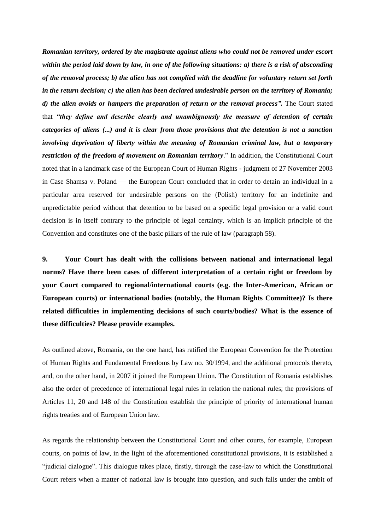*Romanian territory, ordered by the magistrate against aliens who could not be removed under escort within the period laid down by law, in one of the following situation[s: a\)](file:///C:/Users/ionita/sintact%204.0/cache/Legislatie/temp465952/00060319.htm) there is a risk of absconding of the removal process; b) the alien has not complied with the deadline for voluntary return set forth in the return decision; c) the alien has been declared undesirable person on the territory of Romania; d) the alien avoids or hampers the preparation of return or the removal process".* The Court stated that *"they define and describe clearly and unambiguously the measure of detention of certain categories of aliens (...) and it is clear from those provisions that the detention is not a sanction involving deprivation of liberty within the meaning of Romanian criminal law, but a temporary restriction of the freedom of movement on Romanian territory.*" In addition, the Constitutional Court [noted that in a landmark case of the](file:///C:/Users/ionita/sintact%204.0/cache/Legislatie/temp6693596/00067035.htm) [European Court of Human Rights -](file:///C:/Users/ionita/sintact%204.0/cache/Legislatie/temp6693596/00067035.htm) judgment of 27 November 2003 [in Case Shamsa v. Poland](file:///C:/Users/ionita/sintact%204.0/cache/Legislatie/temp6693596/00067035.htm) — [the European Court concluded that in order to detain an individual in a](file:///C:/Users/ionita/sintact%204.0/cache/Legislatie/temp6693596/00067035.htm)  [particular area](file:///C:/Users/ionita/sintact%204.0/cache/Legislatie/temp6693596/00067035.htm) [reserved for undesirable persons on the \(Polish\) territory for an indefinite and](file:///C:/Users/ionita/sintact%204.0/cache/Legislatie/temp6693596/00067035.htm)  [unpredictable](file:///C:/Users/ionita/sintact%204.0/cache/Legislatie/temp6693596/00067035.htm) [period without that detention to be based on a specific legal provision or a valid court](file:///C:/Users/ionita/sintact%204.0/cache/Legislatie/temp6693596/00067035.htm)  [decision](file:///C:/Users/ionita/sintact%204.0/cache/Legislatie/temp6693596/00067035.htm) [is in itself contrary to the principle of legal certainty, which is an implicit principle of the](file:///C:/Users/ionita/sintact%204.0/cache/Legislatie/temp6693596/00067035.htm) [Convention and constitutes one of the basic pillars of the rule of law \(paragraph 58\).](file:///C:/Users/ionita/sintact%204.0/cache/Legislatie/temp6693596/00067035.htm)

**9. Your Court has dealt with the collisions between national and international legal norms? Have there been cases of different interpretation of a certain right or freedom by your Court compared to regional/international courts (e.g. the Inter-American, African or European courts) or international bodies (notably, the Human Rights Committee)? Is there related difficulties in implementing decisions of such courts/bodies? What is the essence of these difficulties? Please provide examples.**

As outlined above, Romania, on the one hand, has ratified the European Convention for the Protection of Human Rights and Fundamental Freedoms by Law no. 30/1994, and the additional protocols thereto, and, on the other hand, in 2007 it joined the European Union. The Constitution of Romania establishes also the order of precedence of international legal rules in relation the national rules; the provisions of Articles 11, 20 and 148 of the Constitution establish the principle of priority of international human rights treaties and of European Union law.

As regards the relationship between the Constitutional Court and other courts, for example, European courts, on points of law, in the light of the aforementioned constitutional provisions, it is established a "judicial dialogue". This dialogue takes place, firstly, through the case-law to which the Constitutional Court refers when a matter of national law is brought into question, and such falls under the ambit of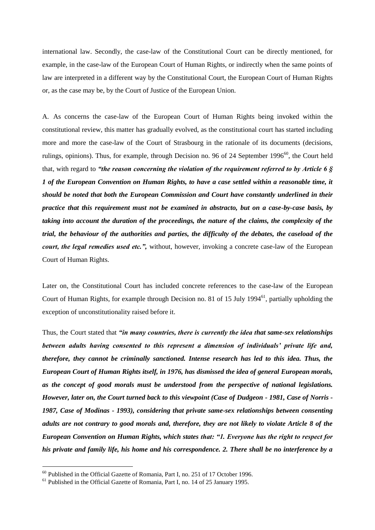international law. Secondly, the case-law of the Constitutional Court can be directly mentioned, for example, in the case-law of the European Court of Human Rights, or indirectly when the same points of law are interpreted in a different way by the Constitutional Court, the European Court of Human Rights or, as the case may be, by the Court of Justice of the European Union.

A. As concerns the case-law of the European Court of Human Rights being invoked within the constitutional review, this matter has gradually evolved, as the constitutional court has started including more and more the case-law of the Court of Strasbourg in the rationale of its documents (decisions, rulings, opinions). Thus, for example, through Decision no. 96 of 24 September 1996 $^{60}$ , the Court held that, with regard to *"the reason concerning the violation of the requirement referred to by Article 6 § 1 of the European Convention on Human Rights, to have a case settled within a reasonable time, it should be noted that both the European Commission and Court have constantly underlined in their practice that this requirement must not be examined in abstracto, but on a case-by-case basis, by taking into account the duration of the proceedings, the nature of the claims, the complexity of the trial, the behaviour of the authorities and parties, the difficulty of the debates, the caseload of the court, the legal remedies used etc.",* without, however, invoking a concrete case-law of the European Court of Human Rights.

Later on, the Constitutional Court has included concrete references to the case-law of the European Court of Human Rights, for example through Decision no. 81 of 15 July 1994 $^{61}$ , partially upholding the exception of unconstitutionality raised before it.

Thus, the Court stated that *"in many countries, there is currently the idea that same-sex relationships between adults having consented to this represent a dimension of individuals' private life and, therefore, they cannot be criminally sanctioned. Intense research has led to this idea. Thus, the European Court of Human Rights itself, in 1976, has dismissed the idea of general European morals, as the concept of good morals must be understood from the perspective of national legislations. However, later on, the Court turned back to this viewpoint (Case of Dudgeon - 1981, Case of Norris - 1987, Case of Modinas - 1993), considering that private same-sex relationships between consenting adults are not contrary to good morals and, therefore, they are not likely to violate Article 8 of the European Convention on Human Rights, which states that: "1. Everyone has the right to respect for his private and family life, his home and his correspondence. 2. There shall be no interference by a* 

<sup>60</sup> Published in the Official Gazette of Romania, Part I, no. 251 of 17 October 1996.

<sup>&</sup>lt;sup>61</sup> Published in the Official Gazette of Romania, Part I, no. 14 of 25 January 1995.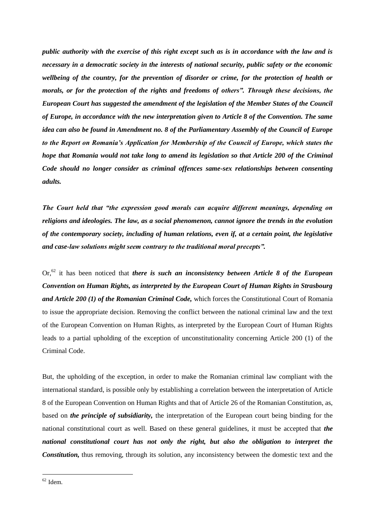*public authority with the exercise of this right except such as is in accordance with the law and is necessary in a democratic society in the interests of national security, public safety or the economic wellbeing of the country, for the prevention of disorder or crime, for the protection of health or morals, or for the protection of the rights and freedoms of others". Through these decisions, the European Court has suggested the amendment of the legislation of the Member States of the Council of Europe, in accordance with the new interpretation given to Article 8 of the Convention. The same idea can also be found in Amendment no. 8 of the Parliamentary Assembly of the Council of Europe to the Report on Romania's Application for Membership of the Council of Europe, which states the hope that Romania would not take long to amend its legislation so that Article 200 of the Criminal Code should no longer consider as criminal offences same-sex relationships between consenting adults.*

*The Court held that "the expression good morals can acquire different meanings, depending on religions and ideologies. The law, as a social phenomenon, cannot ignore the trends in the evolution of the contemporary society, including of human relations, even if, at a certain point, the legislative and case-law solutions might seem contrary to the traditional moral precepts".*

Or.<sup>62</sup> it has been noticed that *there is such an inconsistency between Article 8 of the European Convention on Human Rights, as interpreted by the European Court of Human Rights in Strasbourg and Article 200 (1) of the Romanian Criminal Code,* which forces the Constitutional Court of Romania to issue the appropriate decision. Removing the conflict between the national criminal law and the text of the European Convention on Human Rights, as interpreted by the European Court of Human Rights leads to a partial upholding of the exception of unconstitutionality concerning Article 200 (1) of the Criminal Code.

But, the upholding of the exception, in order to make the Romanian criminal law compliant with the international standard, is possible only by establishing a correlation between the interpretation of Article 8 of the European Convention on Human Rights and that of Article 26 of the Romanian Constitution, as, based on *the principle of subsidiarity,* the interpretation of the European court being binding for the national constitutional court as well. Based on these general guidelines, it must be accepted that *the national constitutional court has not only the right, but also the obligation to interpret the Constitution,* thus removing, through its solution, any inconsistency between the domestic text and the

 $62$  Idem.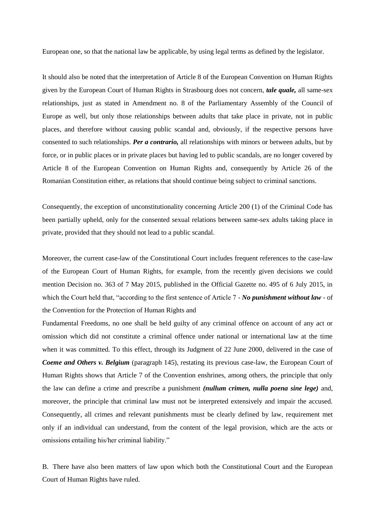European one, so that the national law be applicable, by using legal terms as defined by the legislator.

It should also be noted that the interpretation of Article 8 of the European Convention on Human Rights given by the European Court of Human Rights in Strasbourg does not concern, *tale quale,* all same-sex relationships, just as stated in Amendment no. 8 of the Parliamentary Assembly of the Council of Europe as well, but only those relationships between adults that take place in private, not in public places, and therefore without causing public scandal and, obviously, if the respective persons have consented to such relationships. *Per a contrario,* all relationships with minors or between adults, but by force, or in public places or in private places but having led to public scandals, are no longer covered by Article 8 of the European Convention on Human Rights and, consequently by Article 26 of the Romanian Constitution either, as relations that should continue being subject to criminal sanctions.

Consequently, the exception of unconstitutionality concerning Article 200 (1) of the Criminal Code has been partially upheld, only for the consented sexual relations between same-sex adults taking place in private, provided that they should not lead to a public scandal.

Moreover, the current case-law of the Constitutional Court includes frequent references to the case-law of the European Court of Human Rights, for example, from the recently given decisions we could mention Decision no. 363 of 7 May 2015, published in the Official Gazette no. 495 of 6 July 2015, in which the Court held that, "according to the first sentence of Article 7 - *No punishment without law* - of the Convention for the Protection of Human Rights and

Fundamental Freedoms, no one shall be held guilty of any criminal offence on account of any act or omission which did not constitute a criminal offence under national or international law at the time when it was committed. To this effect, through its Judgment of 22 June 2000, delivered in the case of *Coeme and Others v. Belgium* (paragraph 145), restating its previous case-law, the European Court of Human Rights shows that Article 7 of the Convention enshrines, among others, the principle that only the law can define a crime and prescribe a punishment *(nullum crimen, nulla poena sine lege)* and, moreover, the principle that criminal law must not be interpreted extensively and impair the accused. Consequently, all crimes and relevant punishments must be clearly defined by law, requirement met only if an individual can understand, from the content of the legal provision, which are the acts or omissions entailing his/her criminal liability."

B. There have also been matters of law upon which both the Constitutional Court and the European Court of Human Rights have ruled.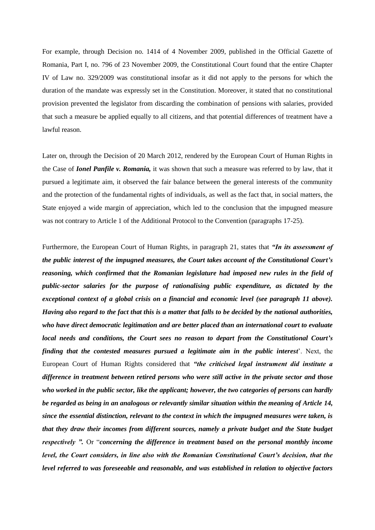For example, through Decision no. 1414 of 4 November 2009, published in the Official Gazette of Romania, Part I, no. 796 of 23 November 2009, the Constitutional Court found that the entire Chapter IV of Law no. 329/2009 was constitutional insofar as it did not apply to the persons for which the duration of the mandate was expressly set in the Constitution. Moreover, it stated that no constitutional provision prevented the legislator from discarding the combination of pensions with salaries, provided that such a measure be applied equally to all citizens, and that potential differences of treatment have a lawful reason.

Later on, through the Decision of 20 March 2012, rendered by the European Court of Human Rights in the Case of *Ionel Panfile v. Romania,* it was shown that such a measure was referred to by law, that it pursued a legitimate aim, it observed the fair balance between the general interests of the community and the protection of the fundamental rights of individuals, as well as the fact that, in social matters, the State enjoyed a wide margin of appreciation, which led to the conclusion that the impugned measure was not contrary to Article 1 of the Additional Protocol to the Convention (paragraphs 17-25).

Furthermore, the European Court of Human Rights, in paragraph 21, states that *"In its assessment of the public interest of the impugned measures, the Court takes account of the Constitutional Court's reasoning, which confirmed that the Romanian legislature had imposed new rules in the field of public-sector salaries for the purpose of rationalising public expenditure, as dictated by the exceptional context of a global crisis on a financial and economic level (see paragraph 11 above). Having also regard to the fact that this is a matter that falls to be decided by the national authorities, who have direct democratic legitimation and are better placed than an international court to evaluate local needs and conditions, the Court sees no reason to depart from the Constitutional Court's finding that the contested measures pursued a legitimate aim in the public interest*'. Next, the European Court of Human Rights considered that *"the criticised legal instrument did institute a difference in treatment between retired persons who were still active in the private sector and those who worked in the public sector, like the applicant; however, the two categories of persons can hardly be regarded as being in an analogous or relevantly similar situation within the meaning of Article 14, since the essential distinction, relevant to the context in which the impugned measures were taken, is that they draw their incomes from different sources, namely a private budget and the State budget respectively ".* Or "*concerning the difference in treatment based on the personal monthly income level, the Court considers, in line also with the Romanian Constitutional Court's decision, that the level referred to was foreseeable and reasonable, and was established in relation to objective factors*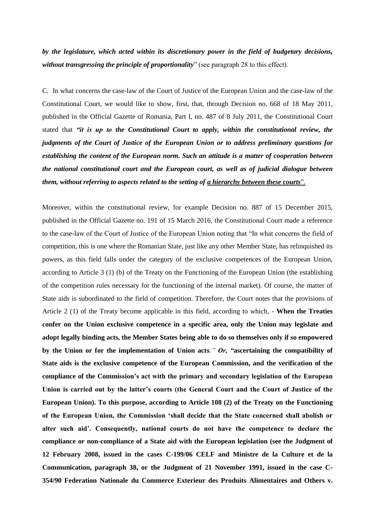*by the legislature, which acted within its discretionary power in the field of budgetary decisions, without transgressing the principle of proportionality*" (see paragraph 28 to this effect).

C. In what concerns the case-law of the Court of Justice of the European Union and the case-law of the Constitutional Court, we would like to show, first, that, through Decision no. 668 of 18 May 2011, published in the Official Gazette of Romania, Part I, no. 487 of 8 July 2011, the Constitutional Court stated that *"it is up to the Constitutional Court to apply, within the constitutional review, the judgments of the Court of Justice of the European Union or to address preliminary questions for establishing the content of the European norm. Such an attitude is a matter of cooperation between the national constitutional court and the European court, as well as of judicial dialogue between them, without referring to aspects related to the setting of a hierarchy between these courts*".

Moreover, within the constitutional review, for example Decision no. 887 of 15 December 2015, published in the Official Gazette no. 191 of 15 March 2016, the Constitutional Court made a reference to the case-law of the Court of Justice of the European Union noting that "In what concerns the field of competition, this is one where the Romanian State, just like any other Member State, has relinquished its powers, as this field falls under the category of the exclusive competences of the European Union, according to Article 3 (1) (b) of the Treaty on the Functioning of the European Union (the establishing of the competition rules necessary for the functioning of the internal market). Of course, the matter of State aids is subordinated to the field of competition. Therefore, the Court notes that the provisions of Article 2 (1) of the Treaty become applicable in this field, according to which, - **When the Treaties confer on the Union exclusive competence in a specific area, only the Union may legislate and adopt legally binding acts, the Member States being able to do so themselves only if so empowered by the Union or for the implementation of Union acts***." Or, "***ascertaining the compatibility of State aids is the exclusive competence of the European Commission, and the verification of the compliance of the Commission's act with the primary and secondary legislation of the European Union is carried out by the latter's courts (the General Court and the Court of Justice of the European Union). To this purpose, according to Article 108 (2) of the Treaty on the Functioning of the European Union, the Commission 'shall decide that the State concerned shall abolish or alter such aid'. Consequently, national courts do not have the competence to declare the compliance or non-compliance of a State aid with the European legislation (see the Judgment of 12 February 2008, issued in the cases C-199/06 CELF and Ministre de la Culture et de la Communication, paragraph 38, or the Judgment of 21 November 1991, issued in the case C-354/90 Federation Nationale du Commerce Exterieur des Produits Alimentaires and Others v.**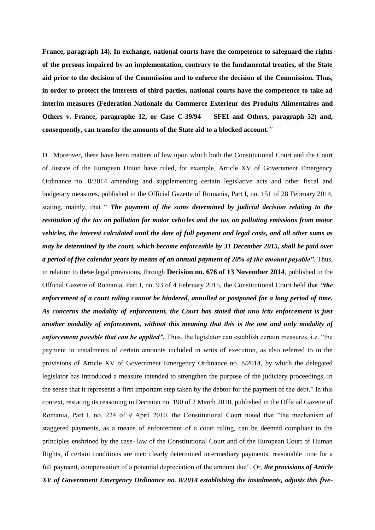**France, paragraph 14). In exchange, national courts have the competence to safeguard the rights of the persons impaired by an implementation, contrary to the fundamental treaties, of the State aid prior to the decision of the Commission and to enforce the decision of the Commission. Thus, in order to protect the interests of third parties, national courts have the competence to take ad interim measures (Federation Nationale du Commerce Exterieur des Produits Alimentaires and Others v. France, paragraphe 12, or Case C-39/94** *—* **SFEI and Others, paragraph 52) and, consequently, can transfer the amounts of the State aid to a blocked account***."*

D. Moreover, there have been matters of law upon which both the Constitutional Court and the Court of Justice of the European Union have ruled, for example, Article XV of Government Emergency Ordinance no. 8/2014 amending and supplementing certain legislative acts and other fiscal and budgetary measures, published in the Official Gazette of Romania, Part I, no. 151 of 28 February 2014, stating, mainly, that " *The payment of the sums determined by judicial decision relating to the restitution of the tax on pollution for motor vehicles and the tax on polluting emissions from motor vehicles, the interest calculated until the date of full payment and legal costs, and all other sums as may be determined by the court, which became enforceable by 31 December 2015, shall be paid over a period of five calendar years by means of an annual payment of 20% of the amount payable".* Thus, in relation to these legal provisions, through **Decision no. 676 of 13 November 2014**, published in the Official Gazette of Romania, Part I, no. 93 of 4 February 2015, the Constitutional Court held that *"the enforcement of a court ruling cannot be hindered, annulled or postponed for a long period of time. As concerns the modality of enforcement, the Court has stated that uno ictu enforcement is just another modality of enforcement, without this meaning that this is the one and only modality of enforcement possible that can be applied".* Thus, the legislator can establish certain measures, i.e. "the payment in instalments of certain amounts included in writs of execution, as also referred to in the provisions of Article XV of Government Emergency Ordinance no. 8/2014, by which the delegated legislator has introduced a measure intended to strengthen the purpose of the judiciary proceedings, in the sense that it represents a first important step taken by the debtor for the payment of the debt." In this context, restating its reasoning in Decision no. 190 of 2 March 2010, published in the Official Gazette of Romania, Part I, no. 224 of 9 April 2010, the Constitutional Court noted that "the mechanism of staggered payments, as a means of enforcement of a court ruling, can be deemed compliant to the principles enshrined by the case- law of the Constitutional Court and of the European Court of Human Rights, if certain conditions are met: clearly determined intermediary payments, reasonable time for a full payment, compensation of a potential depreciation of the amount due". Or, *the provisions of Article XV of Government Emergency Ordinance no. 8/2014 establishing the instalments, adjusts this five-*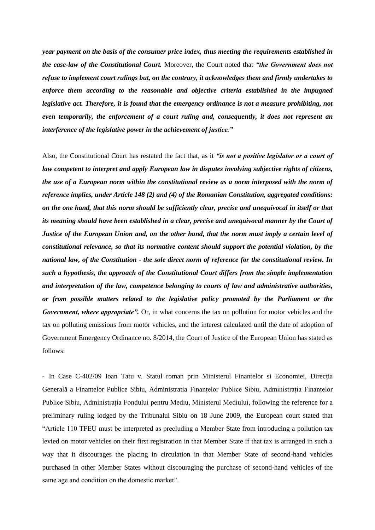*year payment on the basis of the consumer price index, thus meeting the requirements established in the case-law of the Constitutional Court.* Moreover, the Court noted that *"the Government does not refuse to implement court rulings but, on the contrary, it acknowledges them and firmly undertakes to enforce them according to the reasonable and objective criteria established in the impugned legislative act. Therefore, it is found that the emergency ordinance is not a measure prohibiting, not even temporarily, the enforcement of a court ruling and, consequently, it does not represent an interference of the legislative power in the achievement of justice."*

Also, the Constitutional Court has restated the fact that, as it *"is not a positive legislator or a court of law competent to interpret and apply European law in disputes involving subjective rights of citizens, the use of a European norm within the constitutional review as a norm interposed with the norm of reference implies, under Article 148 (2) and (4) of the Romanian Constitution, aggregated conditions: on the one hand, that this norm should be sufficiently clear, precise and unequivocal in itself or that its meaning should have been established in a clear, precise and unequivocal manner by the Court of Justice of the European Union and, on the other hand, that the norm must imply a certain level of constitutional relevance, so that its normative content should support the potential violation, by the national law, of the Constitution - the sole direct norm of reference for the constitutional review. In such a hypothesis, the approach of the Constitutional Court differs from the simple implementation and interpretation of the law, competence belonging to courts of law and administrative authorities, or from possible matters related to the legislative policy promoted by the Parliament or the Government, where appropriate".* Or, in what concerns the tax on pollution for motor vehicles and the tax on polluting emissions from motor vehicles, and the interest calculated until the date of adoption of Government Emergency Ordinance no. 8/2014, the Court of Justice of the European Union has stated as follows:

- In Case C-402/09 Ioan Tatu v. Statul roman prin Ministerul Finantelor si Economiei, Direcţia Generală a Finantelor Publice Sibiu, Administratia Finanțelor Publice Sibiu, Administrația Finanțelor Publice Sibiu, Administrația Fondului pentru Mediu, Ministerul Mediului, following the reference for a preliminary ruling lodged by the Tribunalul Sibiu on 18 June 2009, the European court stated that "Article 110 TFEU must be interpreted as precluding a Member State from introducing a pollution tax levied on motor vehicles on their first registration in that Member State if that tax is arranged in such a way that it discourages the placing in circulation in that Member State of second-hand vehicles purchased in other Member States without discouraging the purchase of second-hand vehicles of the same age and condition on the domestic market".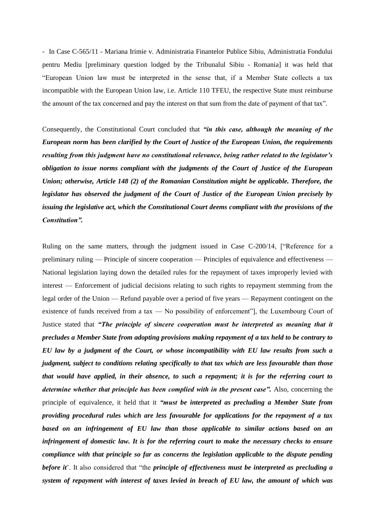- In Case C-565/11 - Mariana Irimie v. Administratia Finantelor Publice Sibiu, Administratia Fondului pentru Mediu [preliminary question lodged by the Tribunalul Sibiu - Romania] it was held that "European Union law must be interpreted in the sense that, if a Member State collects a tax incompatible with the European Union law, i.e. Article 110 TFEU, the respective State must reimburse the amount of the tax concerned and pay the interest on that sum from the date of payment of that tax".

Consequently, the Constitutional Court concluded that *"in this case, although the meaning of the European norm has been clarified by the Court of Justice of the European Union, the requirements resulting from this judgment have no constitutional relevance, being rather related to the legislator's obligation to issue norms compliant with the judgments of the Court of Justice of the European Union; otherwise, Article 148 (2) of the Romanian Constitution might be applicable. Therefore, the legislator has observed the judgment of the Court of Justice of the European Union precisely by issuing the legislative act, which the Constitutional Court deems compliant with the provisions of the Constitution".*

Ruling on the same matters, through the judgment issued in Case C-200/14, ["Reference for a preliminary ruling — Principle of sincere cooperation — Principles of equivalence and effectiveness — National legislation laying down the detailed rules for the repayment of taxes improperly levied with interest — Enforcement of judicial decisions relating to such rights to repayment stemming from the legal order of the Union — Refund payable over a period of five years — Repayment contingent on the existence of funds received from a tax — No possibility of enforcement"], the Luxembourg Court of Justice stated that "The principle of sincere cooperation must be interpreted as meaning that it *precludes a Member State from adopting provisions making repayment of a tax held to be contrary to EU law by a judgment of the Court, or whose incompatibility with EU law results from such a judgment, subject to conditions relating specifically to that tax which are less favourable than those that would have applied, in their absence, to such a repayment; it is for the referring court to determine whether that principle has been complied with in the present case".* Also, concerning the principle of equivalence, it held that it *"must be interpreted as precluding a Member State from providing procedural rules which are less favourable for applications for the repayment of a tax based on an infringement of EU law than those applicable to similar actions based on an infringement of domestic law. It is for the referring court to make the necessary checks to ensure compliance with that principle so far as concerns the legislation applicable to the dispute pending before it*'. It also considered that "the *principle of effectiveness must be interpreted as precluding a system of repayment with interest of taxes levied in breach of EU law, the amount of which was*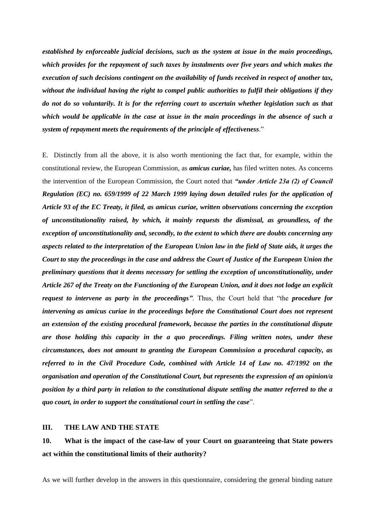*established by enforceable judicial decisions, such as the system at issue in the main proceedings, which provides for the repayment of such taxes by instalments over five years and which makes the execution of such decisions contingent on the availability of funds received in respect of another tax, without the individual having the right to compel public authorities to fulfil their obligations if they do not do so voluntarily. It is for the referring court to ascertain whether legislation such as that which would be applicable in the case at issue in the main proceedings in the absence of such a system of repayment meets the requirements of the principle of effectiveness*."

E. Distinctly from all the above, it is also worth mentioning the fact that, for example, within the constitutional review, the European Commission, as *amicus curiae,* has filed written notes. As concerns the intervention of the European Commission, the Court noted that *"under Article 23a (2) of Council Regulation (EC) no. 659/1999 of 22 March 1999 laying down detailed rules for the application of Article 93 of the EC Treaty, it filed, as amicus curiae, written observations concerning the exception of unconstitutionality raised, by which, it mainly requests the dismissal, as groundless, of the exception of unconstitutionality and, secondly, to the extent to which there are doubts concerning any aspects related to the interpretation of the European Union law in the field of State aids, it urges the Court to stay the proceedings in the case and address the Court of Justice of the European Union the preliminary questions that it deems necessary for settling the exception of unconstitutionality, under Article 267 of the Treaty on the Functioning of the European Union, and it does not lodge an explicit request to intervene as party in the proceedings"*. Thus, the Court held that "the *procedure for intervening as amicus curiae in the proceedings before the Constitutional Court does not represent an extension of the existing procedural framework, because the parties in the constitutional dispute are those holding this capacity in the a quo proceedings. Filing written notes, under these circumstances, does not amount to granting the European Commission a procedural capacity, as referred to in the Civil Procedure Code, combined with Article 14 of Law no. 47/1992 on the organisation and operation of the Constitutional Court, but represents the expression of an opinion/a position by a third party in relation to the constitutional dispute settling the matter referred to the a quo court, in order to support the constitutional court in settling the case*".

#### **III. THE LAW AND THE STATE**

# **10. What is the impact of the case-law of your Court on guaranteeing that State powers act within the constitutional limits of their authority?**

As we will further develop in the answers in this questionnaire, considering the general binding nature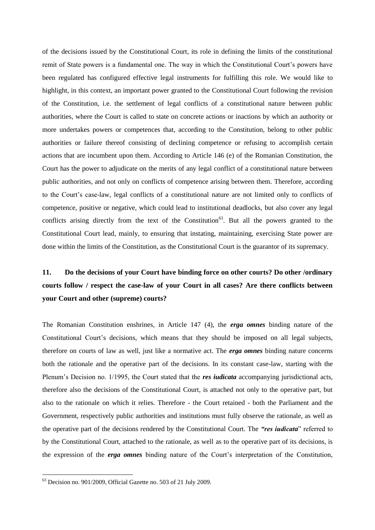of the decisions issued by the Constitutional Court, its role in defining the limits of the constitutional remit of State powers is a fundamental one. The way in which the Constitutional Court's powers have been regulated has configured effective legal instruments for fulfilling this role. We would like to highlight, in this context, an important power granted to the Constitutional Court following the revision of the Constitution, i.e. the settlement of legal conflicts of a constitutional nature between public authorities, where the Court is called to state on concrete actions or inactions by which an authority or more undertakes powers or competences that, according to the Constitution, belong to other public authorities or failure thereof consisting of declining competence or refusing to accomplish certain actions that are incumbent upon them. According to Article 146 (e) of the Romanian Constitution, the Court has the power to adjudicate on the merits of any legal conflict of a constitutional nature between public authorities, and not only on conflicts of competence arising between them. Therefore, according to the Court's case-law, legal conflicts of a constitutional nature are not limited only to conflicts of competence, positive or negative, which could lead to institutional deadlocks, but also cover any legal conflicts arising directly from the text of the Constitution<sup>63</sup>. But all the powers granted to the Constitutional Court lead, mainly, to ensuring that instating, maintaining, exercising State power are done within the limits of the Constitution, as the Constitutional Court is the guarantor of its supremacy.

# **11. Do the decisions of your Court have binding force on other courts? Do other /ordinary courts follow / respect the case-law of your Court in all cases? Are there conflicts between your Court and other (supreme) courts?**

The Romanian Constitution enshrines, in Article 147 (4), the *erga omnes* binding nature of the Constitutional Court's decisions, which means that they should be imposed on all legal subjects, therefore on courts of law as well, just like a normative act. The *erga omnes* binding nature concerns both the rationale and the operative part of the decisions. In its constant case-law, starting with the Plenum's Decision no. 1/1995, the Court stated that the *res iudicata* accompanying jurisdictional acts, therefore also the decisions of the Constitutional Court, is attached not only to the operative part, but also to the rationale on which it relies. Therefore - the Court retained - both the Parliament and the Government, respectively public authorities and institutions must fully observe the rationale, as well as the operative part of the decisions rendered by the Constitutional Court. The *"res iudicata*" referred to by the Constitutional Court, attached to the rationale, as well as to the operative part of its decisions, is the expression of the *erga omnes* binding nature of the Court's interpretation of the Constitution,

 $^{63}$  Decision no. 901/2009, Official Gazette no. 503 of 21 July 2009.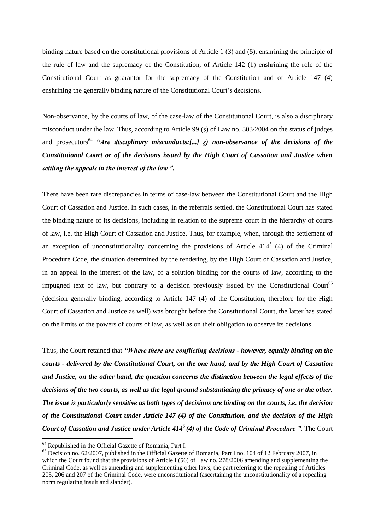binding nature based on the constitutional provisions of Article 1 (3) and (5), enshrining the principle of the rule of law and the supremacy of the Constitution, of Article 142 (1) enshrining the role of the Constitutional Court as guarantor for the supremacy of the Constitution and of Article 147 (4) enshrining the generally binding nature of the Constitutional Court's decisions.

Non-observance, by the courts of law, of the case-law of the Constitutional Court, is also a disciplinary misconduct under the law. Thus, according to Article 99 (ş) of Law no. 303/2004 on the status of judges and prosecutors<sup>64</sup> "Are disciplinary misconducts:[...] *s*) non-observance of the decisions of the *Constitutional Court or of the decisions issued by the High Court of Cassation and Justice when settling the appeals in the interest of the law ".*

There have been rare discrepancies in terms of case-law between the Constitutional Court and the High Court of Cassation and Justice. In such cases, in the referrals settled, the Constitutional Court has stated the binding nature of its decisions, including in relation to the supreme court in the hierarchy of courts of law, i.e. the High Court of Cassation and Justice. Thus, for example, when, through the settlement of an exception of unconstitutionality concerning the provisions of Article  $414<sup>5</sup>$  (4) of the Criminal Procedure Code, the situation determined by the rendering, by the High Court of Cassation and Justice, in an appeal in the interest of the law, of a solution binding for the courts of law, according to the impugned text of law, but contrary to a decision previously issued by the Constitutional Court<sup>65</sup> (decision generally binding, according to Article 147 (4) of the Constitution, therefore for the High Court of Cassation and Justice as well) was brought before the Constitutional Court, the latter has stated on the limits of the powers of courts of law, as well as on their obligation to observe its decisions.

Thus, the Court retained that *"Where there are conflicting decisions - however, equally binding on the courts - delivered by the Constitutional Court, on the one hand, and by the High Court of Cassation and Justice, on the other hand, the question concerns the distinction between the legal effects of the decisions of the two courts, as well as the legal ground substantiating the primacy of one or the other. The issue is particularly sensitive as both types of decisions are binding on the courts, i.e. the decision of the Constitutional Court under Article 147 (4) of the Constitution, and the decision of the High Court of Cassation and Justice under Article 414<sup>5</sup>(4) of the Code of Criminal Procedure ".* The Court

<sup>64</sup> Republished in the Official Gazette of Romania, Part I.

<sup>&</sup>lt;sup>65</sup> Decision no. 62/2007, published in the Official Gazette of Romania, Part I no. 104 of 12 February 2007, in which the Court found that the provisions of Article I (56) of Law no. 278/2006 amending and supplementing the Criminal Code, as well as amending and supplementing other laws, the part referring to the repealing of Articles 205, 206 and 207 of the Criminal Code, were unconstitutional (ascertaining the unconstitutionality of a repealing norm regulating insult and slander).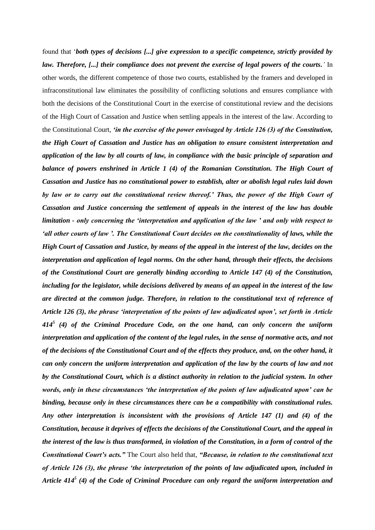found that '*both types of decisions [...] give expression to a specific competence, strictly provided by law. Therefore, [...] their compliance does not prevent the exercise of legal powers of the courts.'* In other words, the different competence of those two courts, established by the framers and developed in infraconstitutional law eliminates the possibility of conflicting solutions and ensures compliance with both the decisions of the Constitutional Court in the exercise of constitutional review and the decisions of the High Court of Cassation and Justice when settling appeals in the interest of the law. According to the Constitutional Court, *'in the exercise of the power envisaged by Article 126 (3) of the Constitution, the High Court of Cassation and Justice has an obligation to ensure consistent interpretation and application of the law by all courts of law, in compliance with the basic principle of separation and balance of powers enshrined in Article 1 (4) of the Romanian Constitution. The High Court of Cassation and Justice has no constitutional power to establish, alter or abolish legal rules laid down by law or to carry out the constitutional review thereof.' Thus, the power of the High Court of Cassation and Justice concerning the settlement of appeals in the interest of the law has double limitation - only concerning the 'interpretation and application of the law ' and only with respect to 'all other courts of law '. The Constitutional Court decides on the constitutionality of laws, while the High Court of Cassation and Justice, by means of the appeal in the interest of the law, decides on the interpretation and application of legal norms. On the other hand, through their effects, the decisions of the Constitutional Court are generally binding according to Article 147 (4) of the Constitution, including for the legislator, while decisions delivered by means of an appeal in the interest of the law are directed at the common judge. Therefore, in relation to the constitutional text of reference of Article 126 (3), the phrase 'interpretation of the points of law adjudicated upon', set forth in Article 414<sup>5</sup> (4) of the Criminal Procedure Code, on the one hand, can only concern the uniform interpretation and application of the content of the legal rules, in the sense of normative acts, and not of the decisions of the Constitutional Court and of the effects they produce, and, on the other hand, it can only concern the uniform interpretation and application of the law by the courts of law and not by the Constitutional Court, which is a distinct authority in relation to the judicial system. In other words, only in these circumstances 'the interpretation of the points of law adjudicated upon' can be binding, because only in these circumstances there can be a compatibility with constitutional rules. Any other interpretation is inconsistent with the provisions of Article 147 (1) and (4) of the Constitution, because it deprives of effects the decisions of the Constitutional Court, and the appeal in the interest of the law is thus transformed, in violation of the Constitution, in a form of control of the Constitutional Court's acts."* The Court also held that, *"Because, in relation to the constitutional text of Article 126 (3), the phrase 'the interpretation of the points of law adjudicated upon, included in Article 414<sup>5</sup> (4) of the Code of Criminal Procedure can only regard the uniform interpretation and*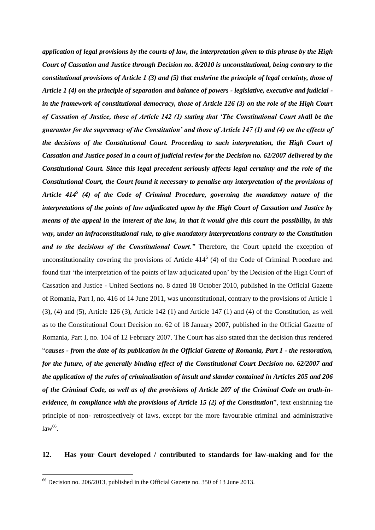*application of legal provisions by the courts of law, the interpretation given to this phrase by the High Court of Cassation and Justice through Decision no. 8/2010 is unconstitutional, being contrary to the constitutional provisions of Article 1 (3) and (5) that enshrine the principle of legal certainty, those of Article 1 (4) on the principle of separation and balance of powers - legislative, executive and judicial in the framework of constitutional democracy, those of Article 126 (3) on the role of the High Court of Cassation of Justice, those of Article 142 (1) stating that 'The Constitutional Court shall be the guarantor for the supremacy of the Constitution' and those of Article 147 (1) and (4) on the effects of the decisions of the Constitutional Court. Proceeding to such interpretation, the High Court of Cassation and Justice posed in a court of judicial review for the Decision no. 62/2007 delivered by the Constitutional Court. Since this legal precedent seriously affects legal certainty and the role of the Constitutional Court, the Court found it necessary to penalise any interpretation of the provisions of Article 414<sup>5</sup> (4) of the Code of Criminal Procedure, governing the mandatory nature of the interpretations of the points of law adjudicated upon by the High Court of Cassation and Justice by means of the appeal in the interest of the law, in that it would give this court the possibility, in this way, under an infraconstitutional rule, to give mandatory interpretations contrary to the Constitution and to the decisions of the Constitutional Court."* Therefore, the Court upheld the exception of unconstitutionality covering the provisions of Article  $414<sup>5</sup>$  (4) of the Code of Criminal Procedure and found that 'the interpretation of the points of law adjudicated upon' by the Decision of the High Court of Cassation and Justice - United Sections no. 8 dated 18 October 2010, published in the Official Gazette of Romania, Part I, no. 416 of 14 June 2011, was unconstitutional, contrary to the provisions of Article 1 (3), (4) and (5), Article 126 (3), Article 142 (1) and Article 147 (1) and (4) of the Constitution, as well as to the Constitutional Court Decision no. 62 of 18 January 2007, published in the Official Gazette of Romania, Part I, no. 104 of 12 February 2007. The Court has also stated that the decision thus rendered "*causes - from the date of its publication in the Official Gazette of Romania, Part I - the restoration, for the future, of the generally binding effect of the Constitutional Court Decision no. 62/2007 and the application of the rules of criminalisation of insult and slander contained in Articles 205 and 206 of the Criminal Code, as well as of the provisions of Article 207 of the Criminal Code on truth-inevidence*, *in compliance with the provisions of Article 15 (2) of the Constitution*", text enshrining the principle of non- retrospectively of laws, except for the more favourable criminal and administrative  $law<sup>66</sup>$ .

### **12. Has your Court developed / contributed to standards for law-making and for the**

 $66$  Decision no. 206/2013, published in the Official Gazette no. 350 of 13 June 2013.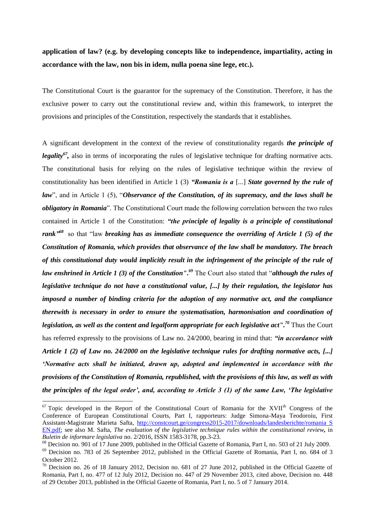# **application of law? (e.g. by developing concepts like to independence, impartiality, acting in accordance with the law, non bis in idem, nulla poena sine lege, etc.).**

The Constitutional Court is the guarantor for the supremacy of the Constitution. Therefore, it has the exclusive power to carry out the constitutional review and, within this framework, to interpret the provisions and principles of the Constitution, respectively the standards that it establishes.

A significant development in the context of the review of constitutionality regards *the principle of legality*<sup>67</sup>, also in terms of incorporating the rules of legislative technique for drafting normative acts. The constitutional basis for relying on the rules of legislative technique within the review of constitutionality has been identified in Article 1 (3) *"Romania is a* [...] *State governed by the rule of law*", and in Article 1 (5), "Observance of the Constitution, of its supremacy, and the laws shall be *obligatory in Romania*". The Constitutional Court made the following correlation between the two rules contained in Article 1 of the Constitution: *"the principle of legality is a principle of constitutional rank" <sup>68</sup>* so that "law *breaking has as immediate consequence the overriding of Article 1 (5) of the Constitution of Romania, which provides that observance of the law shall be mandatory. The breach of this constitutional duty would implicitly result in the infringement of the principle of the rule of law enshrined in Article 1 (3) of the Constitution". <sup>69</sup>* The Court also stated that "*although the rules of legislative technique do not have a constitutional value, [...] by their regulation, the legislator has imposed a number of binding criteria for the adoption of any normative act, and the compliance therewith is necessary in order to ensure the systematisation, harmonisation and coordination of legislation, as well as the content and legalform appropriate for each legislative act". <sup>70</sup>* Thus the Court has referred expressly to the provisions of Law no. 24/2000, bearing in mind that: *"in accordance with Article 1 (2) of Law no. 24/2000 on the legislative technique rules for drafting normative acts, [...] 'Normative acts shall be initiated, drawn up, adopted and implemented in accordance with the provisions of the Constitution of Romania, republished, with the provisions of this law, as well as with the principles of the legal order', and, according to Article 3 (1) of the same Law, 'The legislative* 

 $67$  Topic developed in the Report of the Constitutional Court of Romania for the XVII<sup>th</sup> Congress of the Conference of European Constitutional Courts, Part I, rapporteurs: Judge Simona-Maya Teodoroiu, First Assistant-Magistrate Marieta Safta, [http://constcourt.ge/congress2015-2017/downloads/landesberichte/romania S](http://constcourt.ge/congress2015-2017/downloads/landesberichte/romania_S_EN.pdf)  [EN.pdf;](http://constcourt.ge/congress2015-2017/downloads/landesberichte/romania_S_EN.pdf) see also M. Safta, *The evaluation of the legislative technique rules within the constitutional review,* in *Buletin de informare legislativa* no. 2/2016, ISSN 1583-3178, pp.3-23.

<sup>&</sup>lt;sup>68</sup> Decision no. 901 of 17 June 2009, published in the Official Gazette of Romania, Part I, no. 503 of 21 July 2009.

<sup>69</sup> Decision no. 783 of 26 September 2012, published in the Official Gazette of Romania, Part I, no. 684 of 3 October 2012.

 $70$  Decision no. 26 of 18 January 2012, Decision no. 681 of 27 June 2012, published in the Official Gazette of Romania, Part I, no. 477 of 12 July 2012, Decision no. 447 of 29 November 2013, cited above, Decision no. 448 of 29 October 2013, published in the Official Gazette of Romania, Part I, no. 5 of 7 January 2014.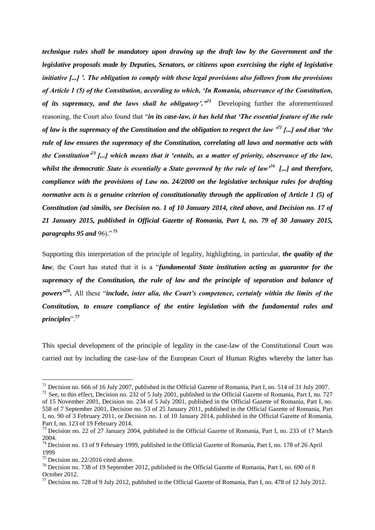*technique rules shall be mandatory upon drawing up the draft law by the Government and the legislative proposals made by Deputies, Senators, or citizens upon exercising the right of legislative initiative [...] '. The obligation to comply with these legal provisions also follows from the provisions of Article 1 (5) of the Constitution, according to which, 'In Romania, observance of the Constitution,*  of its supremacy, and the laws shall be obligatory'.<sup>"</sup> Developing further the aforementioned reasoning, the Court also found that "*in its case-law, it has held that 'The essential feature of the rule of law is the supremacy of the Constitution and the obligation to respect the law '<sup>72</sup> [...] and that 'the rule of law ensures the supremacy of the Constitution, correlating all laws and normative acts with the Constitution'<sup>73</sup> [...] which means that it 'entails, as a matter of priority, observance of the law, whilst the democratic State is essentially a State governed by the rule of law'<sup>74</sup> [...] and therefore, compliance with the provisions of Law no. 24/2000 on the legislative technique rules for drafting normative acts is a genuine criterion of constitutionality through the application of Article 1 (5) of Constitution (ad similis, see Decision no. 1 of 10 January 2014, cited above, and Decision no. 17 of 21 January 2015, published in Official Gazette of Romania, Part I, no. 79 of 30 January 2015, paragraphs 95 and* 96)." *<sup>75</sup>*

Supporting this interpretation of the principle of legality, highlighting, in particular, *the quality of the law*, the Court has stated that it is a "*fundamental State institution acting as guarantor for the supremacy of the Constitution, the rule of law and the principle of separation and balance of*  powers<sup>, y76</sup>. All these "*include, inter alia, the Court's competence, certainly within the limits of the Constitution, to ensure compliance of the entire legislation with the fundamental rules and principles*".*<sup>77</sup>*

This special development of the principle of legality in the case-law of the Constitutional Court was carried out by including the case-law of the European Court of Human Rights whereby the latter has

<u>.</u>

 $^{71}$  Decision no. 666 of 16 July 2007, published in the Official Gazette of Romania, Part I, no. 514 of 31 July 2007.

 $^{72}$  See, to this effect, Decision [no. 232 o](http://lege5.ro/Gratuit/gmydknzw/decizia-nr-232-2001-referitoare-la-exceptia-de-neconstitutionalitate-a-dispozitiilor-art-1-lit-a-din-legea-nr-12-1990-privind-protejarea-populatiei-impotriva-unor-activitati-comerciale-ilicite-republi/7?pid=&d=2)f 5 July 2001, published in the Official Gazette of Romania, Part I, no. 727 of 15 November 2001, Decision [no. 234 o](http://lege5.ro/Gratuit/gmydmnjv/decizia-nr-234-2001-referitoare-la-exceptia-de-neconstitutionalitate-a-prevederilor-art-305-si-312-din-codul-de-procedura-civila/7?pid=&d=2016-04-17)f 5 July 2001, published in the Official Gazette of Romania, Part I, no. 558 of 7 September 2001, Decision [no. 53 o](http://lege5.ro/Gratuit/ge2danruhe/decizia-nr-53-2011-referitoare-la-admiterea-sesizarii-de-neconstitutionalitate-a-hotararii-plenului-senatului-nr-43-din-22-decembrie-2010-privind-validarea-magistratilor-alesi-ca-membri-ai-consiliului/7?pid=&d)f 25 January 2011, published in the Official Gazette of Romania, Part I, no. 90 of 3 February 2011, or Decision [no. 1 o](http://lege5.ro/Gratuit/gm4taobzha/decizia-nr-1-2014-asupra-obiectiei-de-neconstitutionalitate-a-legii-privind-stabilirea-unor-masuri-de-descentralizare-a-unor-competente-exercitate-de-unele-ministere-si-organe-de-specialitate-ale-admi/7?pid=&d)f 10 January 2014, published in the Official Gazette of Romania, Part I, no. 123 of 19 February 2014.

<sup>&</sup>lt;sup>73</sup> Decision [no. 22 o](http://lege5.ro/Gratuit/guzdanbu/decizia-nr-22-2004-referitoare-la-respingerea-exceptiei-de-neconstitutionalitate-a-dispozitiilor-art-26-alin-3-din-legea-nr-112-1995-pentru-reglementarea-situatiei-juridice-a-unor-imobile-cu-destinati/7?pid=&d=2)f 27 January 2004, published in the Official Gazette of Romania, Part I, no. 233 of 17 March 2004.

 $74$  Decision [no. 13 o](http://lege5.ro/Gratuit/gizdinzx/decizia-nr-13-1999-referitoare-la-exceptia-de-neconstitutionalitate-a-art-2-pct-11-din-legea-nr-61-1991-pentru-sanctionarea-faptelor-de-incalcare-a-unor-norme-de-convietuire-sociala-a-ordinii-si-linis/7?pid=&d=2)f 9 February 1999, published in the Official Gazette of Romania, Part I, no. 178 of 26 April 1999

<sup>75</sup> Decision no. 22/2016 cited above.

<sup>&</sup>lt;sup>76</sup> Decision no. 738 of 19 September 2012, published in the Official Gazette of Romania, Part I, no. 690 of 8 October 2012.

 $^{77}$  Decision no. 728 of 9 July 2012, published in the Official Gazette of Romania, Part I, no. 478 of 12 July 2012.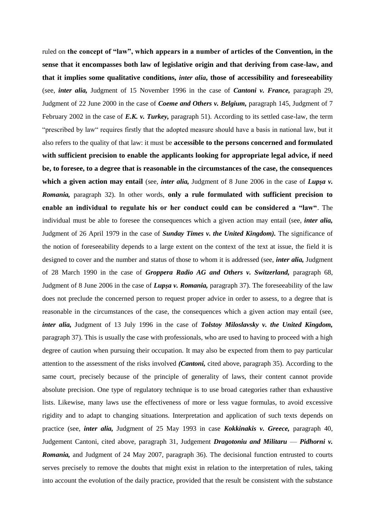ruled on **the concept of "law", which appears in a number of articles of the Convention, in the sense that it encompasses both law of legislative origin and that deriving from case-law, and that it implies some qualitative conditions,** *inter alia***, those of accessibility and foreseeability**  (see, *inter alia,* Judgment of 15 November 1996 in the case of *Cantoni v. France,* paragraph 29, Judgment of 22 June 2000 in the case of *Coeme and Others v. Belgium,* paragraph 145, Judgment of 7 February 2002 in the case of *E.K. v. Turkey,* paragraph 51). According to its settled case-law, the term "prescribed by law" requires firstly that the adopted measure should have a basis in national law, but it also refers to the quality of that law: it must be **accessible to the persons concerned and formulated with sufficient precision to enable the applicants looking for appropriate legal advice, if need be, to foresee, to a degree that is reasonable in the circumstances of the case, the consequences which a given action may entail** (see, *inter alia,* Judgment of 8 June 2006 in the case of *Lupşa v. Romania,* paragraph 32). In other words, **only a rule formulated with sufficient precision to enable an individual to regulate his or her conduct could can be considered a "law"**. The individual must be able to foresee the consequences which a given action may entail (see, *inter alia,* Judgment of 26 April 1979 in the case of *Sunday Times v. the United Kingdom).* The significance of the notion of foreseeability depends to a large extent on the context of the text at issue, the field it is designed to cover and the number and status of those to whom it is addressed (see, *inter alia,* Judgment of 28 March 1990 in the case of *Groppera Radio AG and Others v. Switzerland,* paragraph 68, Judgment of 8 June 2006 in the case of *Lupşa v. Romania,* paragraph 37). The foreseeability of the law does not preclude the concerned person to request proper advice in order to assess, to a degree that is reasonable in the circumstances of the case, the consequences which a given action may entail (see, *inter alia,* Judgment of 13 July 1996 in the case of *Tolstoy Miloslavsky v. the United Kingdom,* paragraph 37). This is usually the case with professionals, who are used to having to proceed with a high degree of caution when pursuing their occupation. It may also be expected from them to pay particular attention to the assessment of the risks involved *(Cantoni,* cited above, paragraph 35). According to the same court, precisely because of the principle of generality of laws, their content cannot provide absolute precision. One type of regulatory technique is to use broad categories rather than exhaustive lists. Likewise, many laws use the effectiveness of more or less vague formulas, to avoid excessive rigidity and to adapt to changing situations. Interpretation and application of such texts depends on practice (see, *inter alia,* Judgment of 25 May 1993 in case *Kokkinakis v. Greece,* paragraph 40, Judgement Cantoni, cited above, paragraph 31, Judgement *Dragotoniu and Militaru* — *Pidhorni v. Romania,* and Judgment of 24 May 2007, paragraph 36). The decisional function entrusted to courts serves precisely to remove the doubts that might exist in relation to the interpretation of rules, taking into account the evolution of the daily practice, provided that the result be consistent with the substance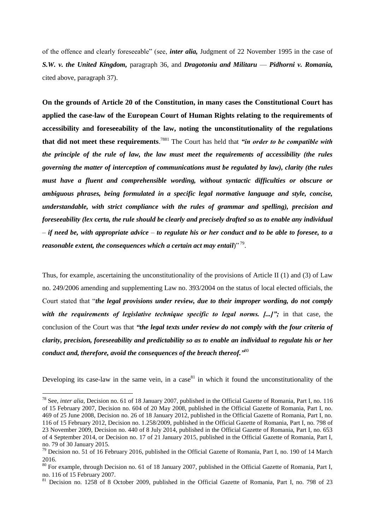of the offence and clearly foreseeable" (see, *inter alia,* Judgment of 22 November 1995 in the case of *S.W. v. the United Kingdom,* paragraph 36, and *Dragotoniu and Militaru* — *Pidhorni v. Romania,* cited above, paragraph 37).

**On the grounds of Article 20 of the Constitution, in many cases the Constitutional Court has applied the case-law of the European Court of Human Rights relating to the requirements of accessibility and foreseeability of the law, noting the unconstitutionality of the regulations that did not meet these requirements**. <sup>7881</sup> The Court has held that *"in order to be compatible with the principle of the rule of law, the law must meet the requirements of accessibility (the rules governing the matter of interception of communications must be regulated by law), clarity (the rules must have a fluent and comprehensible wording, without syntactic difficulties or obscure or ambiguous phrases, being formulated in a specific legal normative language and style, concise, understandable, with strict compliance with the rules of grammar and spelling), precision and foreseeability (lex certa, the rule should be clearly and precisely drafted so as to enable any individual* – *if need be, with appropriate advice* – *to regulate his or her conduct and to be able to foresee, to a reasonable extent, the consequences which a certain act may entail*)" 79 .

Thus, for example, ascertaining the unconstitutionality of the provisions of Article II (1) and (3) of Law no. 249/2006 amending and supplementing Law no. 393/2004 on the status of local elected officials, the Court stated that "*the legal provisions under review, due to their improper wording, do not comply with the requirements of legislative technique specific to legal norms. [...]";* in that case, the conclusion of the Court was that *"the legal texts under review do not comply with the four criteria of clarity, precision, foreseeability and predictability so as to enable an individual to regulate his or her conduct and, therefore, avoid the consequences of the breach thereof."* 80

Developing its case-law in the same vein, in a case  $81$  in which it found the unconstitutionality of the

<sup>78</sup> See, *inter alia,* Decision [no. 61 o](http://lege5.ro/Gratuit/geydgmjqge/decizia-nr-61-2007-referitoare-la-admiterea-exceptiei-de-neconstitutionalitate-a-dispozitiilor-art-ii-alin-1-si-3-din-legea-nr-249-2006-pentru-modificarea-si-completarea-legii-nr-393-2004-privind-stat?pid=&d=2)f 18 January 2007, published in the Official Gazette of Romania, Part I, no. 116 of 15 February 2007, Decision [no. 604 o](http://lege5.ro/Gratuit/geytanrzhe/decizia-nr-604-2008-referitoare-la-exceptia-de-neconstitutionalitate-a-prevederilor-art-121-din-legea-nr-122-2006-privind-azilul-in-romania?pid=&d=2016-05-14)f 20 May 2008, published in the Official Gazette of Romania, Part I, no. 469 of 25 June 2008, Decision [no. 26 o](http://lege5.ro/Gratuit/gmytemrtge/decizia-nr-26-2012-referitoare-la-admiterea-obiectiei-de-neconstitutionalitate-a-dispozitiilor-art-5-alin-2-art-49-alin-2-art-54-si-art-56-din-legea-privind-amplasarea-si-autorizarea-mijloacelor-de-pu?pid=&d=2)f 18 January 2012, published in the Official Gazette of Romania, Part I, no. 116 of 15 February 2012, Decision [no. 1.258/2009,](http://lege5.ro/Gratuit/gezdsobqgq/decizia-nr-1258-2009-referitoare-la-admiterea-exceptiei-de-neconstitutionalitate-a-prevederilor-legii-nr-298-2008-privind-retinerea-datelor-generate-sau-prelucrate-de-furnizorii-de-servicii-de-comunic?pid=&d=2) published in the Official Gazette of Romania, Part I, no. 798 of 23 November 2009, Decision [no. 440 o](http://lege5.ro/Gratuit/gqydimryg4/decizia-nr-440-2014-referitoare-la-respingerea-exceptiei-de-neconstitutionalitate-a-dispozitiilor-legii-nr-82-2012-privind-retinerea-datelor-generate-sau-prelucrate-de-furnizorii-de-retele-publice-de-?pid=&d=2)f 8 July 2014, published in the Official Gazette of Romania, Part I, no. 653 of 4 September 2014, or Decision [no. 17 o](http://lege5.ro/Gratuit/guzdomrqha/decizia-nr-17-2015-asupra-admiterii-obiectiei-de-neconstitutionalitate-a-dispozitiilor-legii-privind-securitatea-cibernetica-a-romaniei?pid=&d=2016-05-14)f 21 January 2015, published in the Official Gazette of Romania, Part I, no. 79 of 30 January 2015.

<sup>&</sup>lt;sup>79</sup> Decision no. 51 of 16 February 2016, published in the Official Gazette of Romania, Part I, no. 190 of 14 March 2016.

<sup>&</sup>lt;sup>80</sup> For example, through Decision no. 61 of 18 January 2007, published in the Official Gazette of Romania, Part I, no. 116 of 15 February 2007.

<sup>&</sup>lt;sup>81</sup> Decision no. 1258 of 8 October 2009, published in the Official Gazette of Romania, Part I, no. 798 of 23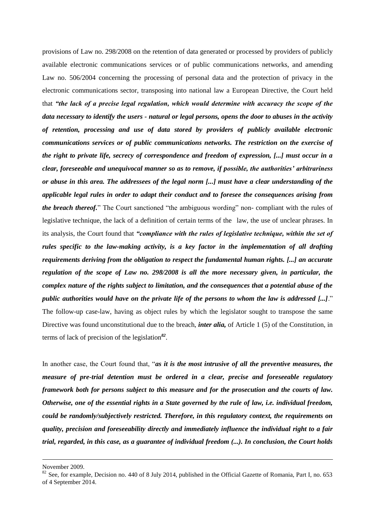provisions of Law no. 298/2008 on the retention of data generated or processed by providers of publicly available electronic communications services or of public communications networks, and amending Law no. 506/2004 concerning the processing of personal data and the protection of privacy in the electronic communications sector, transposing into national law a European Directive, the Court held that *"the lack of a precise legal regulation, which would determine with accuracy the scope of the data necessary to identify the users - natural or legal persons, opens the door to abuses in the activity of retention, processing and use of data stored by providers of publicly available electronic communications services or of public communications networks. The restriction on the exercise of the right to private life, secrecy of correspondence and freedom of expression, [...] must occur in a clear, foreseeable and unequivocal manner so as to remove, if possible, the authorities' arbitrariness or abuse in this area. The addressees of the legal norm [...] must have a clear understanding of the applicable legal rules in order to adapt their conduct and to foresee the consequences arising from the breach thereof.*" The Court sanctioned "the ambiguous wording" non- compliant with the rules of legislative technique, the lack of a definition of certain terms of the law, the use of unclear phrases. In its analysis, the Court found that *"compliance with the rules of legislative technique, within the set of rules specific to the law-making activity, is a key factor in the implementation of all drafting requirements deriving from the obligation to respect the fundamental human rights. [...] an accurate regulation of the scope of Law no. 298/2008 is all the more necessary given, in particular, the complex nature of the rights subject to limitation, and the consequences that a potential abuse of the public authorities would have on the private life of the persons to whom the law is addressed [...]*." The follow-up case-law, having as object rules by which the legislator sought to transpose the same Directive was found unconstitutional due to the breach, *inter alia,* of Article 1 (5) of the Constitution, in terms of lack of precision of the legislation*<sup>82</sup>* .

In another case, the Court found that, "*as it is the most intrusive of all the preventive measures, the measure of pre-trial detention must be ordered in a clear, precise and foreseeable regulatory framework both for persons subject to this measure and for the prosecution and the courts of law. Otherwise, one of the essential rights in a State governed by the rule of law, i.e. individual freedom, could be randomly/subjectively restricted. Therefore, in this regulatory context, the requirements on quality, precision and foreseeability directly and immediately influence the individual right to a fair trial, regarded, in this case, as a guarantee of individual freedom (...). In conclusion, the Court holds* 

November 2009.

 $82$  See, for example, Decision no. 440 of 8 July 2014, published in the Official Gazette of Romania, Part I, no. 653 of 4 September 2014.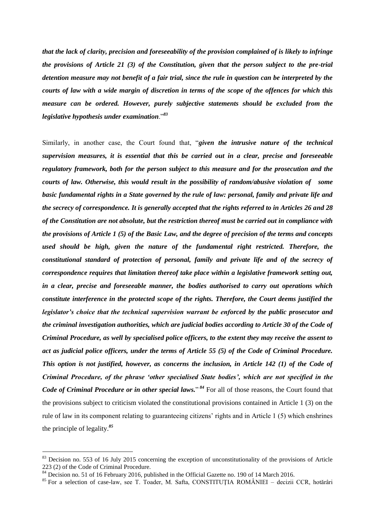*that the lack of clarity, precision and foreseeability of the provision complained of is likely to infringe the provisions of Article 21 (3) of the Constitution, given that the person subject to the pre-trial detention measure may not benefit of a fair trial, since the rule in question can be interpreted by the courts of law with a wide margin of discretion in terms of the scope of the offences for which this measure can be ordered. However, purely subjective statements should be excluded from the legislative hypothesis under examination*."*<sup>83</sup>*

Similarly, in another case, the Court found that, "*given the intrusive nature of the technical supervision measures, it is essential that this be carried out in a clear, precise and foreseeable regulatory framework, both for the person subject to this measure and for the prosecution and the courts of law. Otherwise, this would result in the possibility of random/abusive violation of some basic fundamental rights in a State governed by the rule of law: personal, family and private life and the secrecy of correspondence. It is generally accepted that the rights referred to in Articles 26 and 28 of the Constitution are not absolute, but the restriction thereof must be carried out in compliance with the provisions of Article 1 (5) of the Basic Law, and the degree of precision of the terms and concepts used should be high, given the nature of the fundamental right restricted. Therefore, the constitutional standard of protection of personal, family and private life and of the secrecy of correspondence requires that limitation thereof take place within a legislative framework setting out, in a clear, precise and foreseeable manner, the bodies authorised to carry out operations which constitute interference in the protected scope of the rights. Therefore, the Court deems justified the legislator's choice that the technical supervision warrant be enforced by the public prosecutor and the criminal investigation authorities, which are judicial bodies according to Article 30 of the Code of Criminal Procedure, as well by specialised police officers, to the extent they may receive the assent to act as judicial police officers, under the terms of Article 55 (5) of the Code of Criminal Procedure. This option is not justified, however, as concerns the inclusion, in Article 142 (1) of the Code of Criminal Procedure, of the phrase 'other specialised State bodies', which are not specified in the*  Code of Criminal Procedure or in other special laws."<sup>84</sup> For all of those reasons, the Court found that the provisions subject to criticism violated the constitutional provisions contained in Article 1 (3) on the rule of law in its component relating to guaranteeing citizens' rights and in Article 1 (5) which enshrines the principle of legality.*<sup>85</sup>*

<sup>&</sup>lt;sup>83</sup> Decision no. 553 of 16 July 2015 concerning the exception of unconstitutionality of the provisions of Article 223 (2) of the Code of Criminal Procedure.

<sup>&</sup>lt;sup>84</sup> Decision no. 51 of 16 February 2016, published in the Official Gazette no. 190 of 14 March 2016.

<sup>85</sup> For a selection of case-law, see T. Toader, M. Safta, CONSTITUŢIA ROMÂNIEI – decizii CCR, hotărâri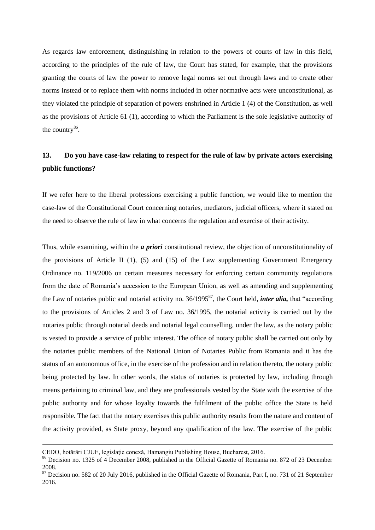As regards law enforcement, distinguishing in relation to the powers of courts of law in this field, according to the principles of the rule of law, the Court has stated, for example, that the provisions granting the courts of law the power to remove legal norms set out through laws and to create other norms instead or to replace them with norms included in other normative acts were unconstitutional, as they violated the principle of separation of powers enshrined in Article 1 (4) of the Constitution, as well as the provisions of Article 61 (1), according to which the Parliament is the sole legislative authority of the country $86$ .

## **13. Do you have case-law relating to respect for the rule of law by private actors exercising public functions?**

If we refer here to the liberal professions exercising a public function, we would like to mention the case-law of the Constitutional Court concerning notaries, mediators, judicial officers, where it stated on the need to observe the rule of law in what concerns the regulation and exercise of their activity.

Thus, while examining, within the *a priori* constitutional review, the objection of unconstitutionality of the provisions of Article II  $(1)$ ,  $(5)$  and  $(15)$  of the Law supplementing Government Emergency Ordinance no. 119/2006 on certain measures necessary for enforcing certain community regulations from the date of Romania's accession to the European Union, as well as amending and supplementing the Law of notaries public and notarial activity no. 36/1995<sup>87</sup>, the Court held, *inter alia*, that "according to the provisions of Articles 2 and 3 of Law no. 36/1995, the notarial activity is carried out by the notaries public through notarial deeds and notarial legal counselling, under the law, as the notary public is vested to provide a service of public interest. The office of notary public shall be carried out only by the notaries public members of the National Union of Notaries Public from Romania and it has the status of an autonomous office, in the exercise of the profession and in relation thereto, the notary public being protected by law. In other words, the status of notaries is protected by law, including through means pertaining to criminal law, and they are professionals vested by the State with the exercise of the public authority and for whose loyalty towards the fulfilment of the public office the State is held responsible. The fact that the notary exercises this public authority results from the nature and content of the activity provided, as State proxy, beyond any qualification of the law. The exercise of the public

CEDO, hotărâri CJUE, legislaţie conexă, Hamangiu Publishing House, Bucharest, 2016.

<sup>&</sup>lt;sup>86</sup> Decision no. 1325 of 4 December 2008, published in the Official Gazette of Romania no. 872 of 23 December 2008.

 $87$  Decision no. 582 of 20 July 2016, published in the Official Gazette of Romania, Part I, no. 731 of 21 September 2016.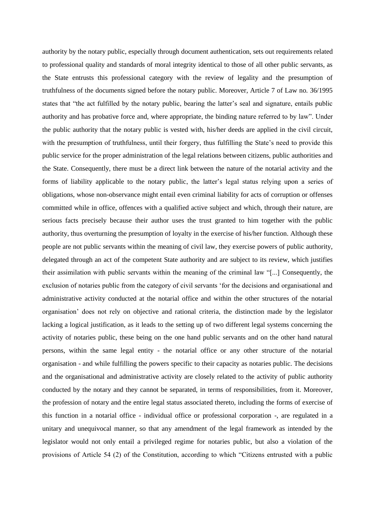authority by the notary public, especially through document authentication, sets out requirements related to professional quality and standards of moral integrity identical to those of all other public servants, as the State entrusts this professional category with the review of legality and the presumption of truthfulness of the documents signed before the notary public. Moreover, Article 7 of Law no. 36/1995 states that "the act fulfilled by the notary public, bearing the latter's seal and signature, entails public authority and has probative force and, where appropriate, the binding nature referred to by law". Under the public authority that the notary public is vested with, his/her deeds are applied in the civil circuit, with the presumption of truthfulness, until their forgery, thus fulfilling the State's need to provide this public service for the proper administration of the legal relations between citizens, public authorities and the State. Consequently, there must be a direct link between the nature of the notarial activity and the forms of liability applicable to the notary public, the latter's legal status relying upon a series of obligations, whose non-observance might entail even criminal liability for acts of corruption or offenses committed while in office, offences with a qualified active subject and which, through their nature, are serious facts precisely because their author uses the trust granted to him together with the public authority, thus overturning the presumption of loyalty in the exercise of his/her function. Although these people are not public servants within the meaning of civil law, they exercise powers of public authority, delegated through an act of the competent State authority and are subject to its review, which justifies their assimilation with public servants within the meaning of the criminal law "[...] Consequently, the exclusion of notaries public from the category of civil servants 'for the decisions and organisational and administrative activity conducted at the notarial office and within the other structures of the notarial organisation' does not rely on objective and rational criteria, the distinction made by the legislator lacking a logical justification, as it leads to the setting up of two different legal systems concerning the activity of notaries public, these being on the one hand public servants and on the other hand natural persons, within the same legal entity - the notarial office or any other structure of the notarial organisation - and while fulfilling the powers specific to their capacity as notaries public. The decisions and the organisational and administrative activity are closely related to the activity of public authority conducted by the notary and they cannot be separated, in terms of responsibilities, from it. Moreover, the profession of notary and the entire legal status associated thereto, including the forms of exercise of this function in a notarial office - individual office or professional corporation -, are regulated in a unitary and unequivocal manner, so that any amendment of the legal framework as intended by the legislator would not only entail a privileged regime for notaries public, but also a violation of the provisions of Article 54 (2) of the Constitution, according to which "Citizens entrusted with a public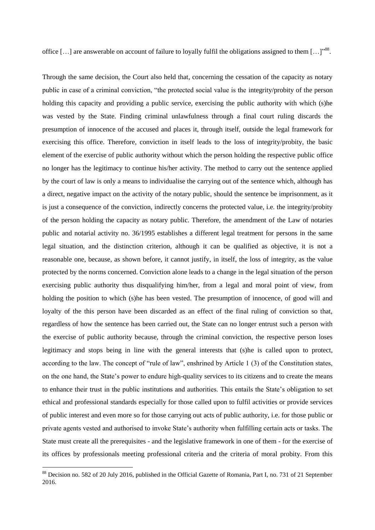office [...] are answerable on account of failure to loyally fulfil the obligations assigned to them  $[...]^{388}$ .

Through the same decision, the Court also held that, concerning the cessation of the capacity as notary public in case of a criminal conviction, "the protected social value is the integrity/probity of the person holding this capacity and providing a public service, exercising the public authority with which (s)he was vested by the State. Finding criminal unlawfulness through a final court ruling discards the presumption of innocence of the accused and places it, through itself, outside the legal framework for exercising this office. Therefore, conviction in itself leads to the loss of integrity/probity, the basic element of the exercise of public authority without which the person holding the respective public office no longer has the legitimacy to continue his/her activity. The method to carry out the sentence applied by the court of law is only a means to individualise the carrying out of the sentence which, although has a direct, negative impact on the activity of the notary public, should the sentence be imprisonment, as it is just a consequence of the conviction, indirectly concerns the protected value, i.e. the integrity/probity of the person holding the capacity as notary public. Therefore, the amendment of the Law of notaries public and notarial activity no. 36/1995 establishes a different legal treatment for persons in the same legal situation, and the distinction criterion, although it can be qualified as objective, it is not a reasonable one, because, as shown before, it cannot justify, in itself, the loss of integrity, as the value protected by the norms concerned. Conviction alone leads to a change in the legal situation of the person exercising public authority thus disqualifying him/her, from a legal and moral point of view, from holding the position to which (s)he has been vested. The presumption of innocence, of good will and loyalty of the this person have been discarded as an effect of the final ruling of conviction so that, regardless of how the sentence has been carried out, the State can no longer entrust such a person with the exercise of public authority because, through the criminal conviction, the respective person loses legitimacy and stops being in line with the general interests that (s)he is called upon to protect, according to the law. The concept of "rule of law", enshrined by Article 1 (3) of the Constitution states, on the one hand, the State's power to endure high-quality services to its citizens and to create the means to enhance their trust in the public institutions and authorities. This entails the State's obligation to set ethical and professional standards especially for those called upon to fulfil activities or provide services of public interest and even more so for those carrying out acts of public authority, i.e. for those public or private agents vested and authorised to invoke State's authority when fulfilling certain acts or tasks. The State must create all the prerequisites - and the legislative framework in one of them - for the exercise of its offices by professionals meeting professional criteria and the criteria of moral probity. From this

<sup>&</sup>lt;sup>88</sup> Decision no. 582 of 20 July 2016, published in the Official Gazette of Romania, Part I, no. 731 of 21 September 2016.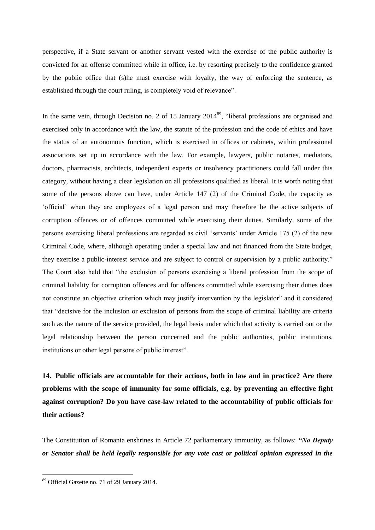perspective, if a State servant or another servant vested with the exercise of the public authority is convicted for an offense committed while in office, i.e. by resorting precisely to the confidence granted by the public office that (s)he must exercise with loyalty, the way of enforcing the sentence, as established through the court ruling, is completely void of relevance".

In the same vein, through Decision no. 2 of 15 January 2014<sup>89</sup>, "liberal professions are organised and exercised only in accordance with the law, the statute of the profession and the code of ethics and have the status of an autonomous function, which is exercised in offices or cabinets, within professional associations set up in accordance with the law. For example, lawyers, public notaries, mediators, doctors, pharmacists, architects, independent experts or insolvency practitioners could fall under this category, without having a clear legislation on all professions qualified as liberal. It is worth noting that some of the persons above can have, under Article 147 (2) of the Criminal Code, the capacity as 'official' when they are employees of a legal person and may therefore be the active subjects of corruption offences or of offences committed while exercising their duties. Similarly, some of the persons exercising liberal professions are regarded as civil 'servants' under Article 175 (2) of the new Criminal Code, where, although operating under a special law and not financed from the State budget, they exercise a public-interest service and are subject to control or supervision by a public authority." The Court also held that "the exclusion of persons exercising a liberal profession from the scope of criminal liability for corruption offences and for offences committed while exercising their duties does not constitute an objective criterion which may justify intervention by the legislator" and it considered that "decisive for the inclusion or exclusion of persons from the scope of criminal liability are criteria such as the nature of the service provided, the legal basis under which that activity is carried out or the legal relationship between the person concerned and the public authorities, public institutions, institutions or other legal persons of public interest".

**14. Public officials are accountable for their actions, both in law and in practice? Are there problems with the scope of immunity for some officials, e.g. by preventing an effective fight against corruption? Do you have case-law related to the accountability of public officials for their actions?**

The Constitution of Romania enshrines in Article 72 parliamentary immunity, as follows: *"No Deputy or Senator shall be held legally responsible for any vote cast or political opinion expressed in the* 

<sup>&</sup>lt;sup>89</sup> Official Gazette no. 71 of 29 January 2014.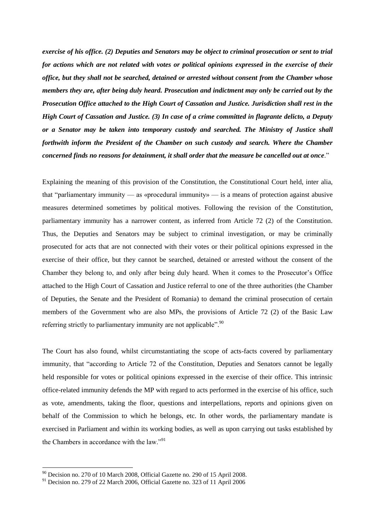*exercise of his office. (2) Deputies and Senators may be object to criminal prosecution or sent to trial for actions which are not related with votes or political opinions expressed in the exercise of their office, but they shall not be searched, detained or arrested without consent from the Chamber whose members they are, after being duly heard. Prosecution and indictment may only be carried out by the Prosecution Office attached to the High Court of Cassation and Justice. Jurisdiction shall rest in the High Court of Cassation and Justice. (3) In case of a crime committed in flagrante delicto, a Deputy or a Senator may be taken into temporary custody and searched. The Ministry of Justice shall forthwith inform the President of the Chamber on such custody and search. Where the Chamber concerned finds no reasons for detainment, it shall order that the measure be cancelled out at once*."

Explaining the meaning of this provision of the Constitution, the Constitutional Court held, inter alia, that "parliamentary immunity — as «procedural immunity» — is a means of protection against abusive measures determined sometimes by political motives. Following the revision of the Constitution, parliamentary immunity has a narrower content, as inferred from Article 72 (2) of the Constitution. Thus, the Deputies and Senators may be subject to criminal investigation, or may be criminally prosecuted for acts that are not connected with their votes or their political opinions expressed in the exercise of their office, but they cannot be searched, detained or arrested without the consent of the Chamber they belong to, and only after being duly heard. When it comes to the Prosecutor's Office attached to the High Court of Cassation and Justice referral to one of the three authorities (the Chamber of Deputies, the Senate and the President of Romania) to demand the criminal prosecution of certain members of the Government who are also MPs, the provisions of Article 72 (2) of the Basic Law referring strictly to parliamentary immunity are not applicable".  $90$ 

The Court has also found, whilst circumstantiating the scope of acts-facts covered by parliamentary immunity, that "according to Article 72 of the Constitution, Deputies and Senators cannot be legally held responsible for votes or political opinions expressed in the exercise of their office. This intrinsic office-related immunity defends the MP with regard to acts performed in the exercise of his office, such as vote, amendments, taking the floor, questions and interpellations, reports and opinions given on behalf of the Commission to which he belongs, etc. In other words, the parliamentary mandate is exercised in Parliament and within its working bodies, as well as upon carrying out tasks established by the Chambers in accordance with the law."<sup>91</sup>

 $90$  Decision no. 270 of 10 March 2008, Official Gazette no. 290 of 15 April 2008.

 $91$  Decision no. 279 of 22 March 2006, Official Gazette no. 323 of 11 April 2006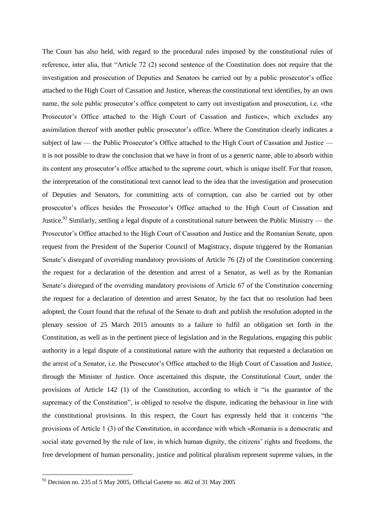The Court has also held, with regard to the procedural rules imposed by the constitutional rules of reference, inter alia, that "Article 72 (2) second sentence of the Constitution does not require that the investigation and prosecution of Deputies and Senators be carried out by a public prosecutor's office attached to the High Court of Cassation and Justice, whereas the constitutional text identifies, by an own name, the sole public prosecutor's office competent to carry out investigation and prosecution, i.e. «the Prosecutor's Office attached to the High Court of Cassation and Justice», which excludes any assimilation thereof with another public prosecutor's office. Where the Constitution clearly indicates a subject of law — the Public Prosecutor's Office attached to the High Court of Cassation and Justice it is not possible to draw the conclusion that we have in front of us a generic name, able to absorb within its content any prosecutor's office attached to the supreme court, which is unique itself. For that reason, the interpretation of the constitutional text cannot lead to the idea that the investigation and prosecution of Deputies and Senators, for committing acts of corruption, can also be carried out by other prosecutor's offices besides the Prosecutor's Office attached to the High Court of Cassation and Justice.<sup>92</sup> Similarly, settling a legal dispute of a constitutional nature between the Public Ministry — the Prosecutor's Office attached to the High Court of Cassation and Justice and the Romanian Senate, upon request from the President of the Superior Council of Magistracy, dispute triggered by the Romanian Senate's disregard of overriding mandatory provisions of Article 76 (2) of the Constitution concerning the request for a declaration of the detention and arrest of a Senator, as well as by the Romanian Senate's disregard of the overriding mandatory provisions of Article 67 of the Constitution concerning the request for a declaration of detention and arrest Senator, by the fact that no resolution had been adopted, the Court found that the refusal of the Senate to draft and publish the resolution adopted in the plenary session of 25 March 2015 amounts to a failure to fulfil an obligation set forth in the Constitution, as well as in the pertinent piece of legislation and in the Regulations, engaging this public authority in a legal dispute of a constitutional nature with the authority that requested a declaration on the arrest of a Senator, i.e. the Prosecutor's Office attached to the High Court of Cassation and Justice, through the Minister of Justice. Once ascertained this dispute, the Constitutional Court, under the provisions of Article 142 (1) of the Constitution, according to which it "is the guarantor of the supremacy of the Constitution", is obliged to resolve the dispute, indicating the behaviour in line with the constitutional provisions. In this respect, the Court has expressly held that it concerns "the provisions of Article 1 (3) of the Constitution, in accordance with which «Romania is a democratic and social state governed by the rule of law, in which human dignity, the citizens' rights and freedoms, the free development of human personality, justice and political pluralism represent supreme values, in the

 $92$  Decision no. 235 of 5 May 2005, Official Gazette no. 462 of 31 May 2005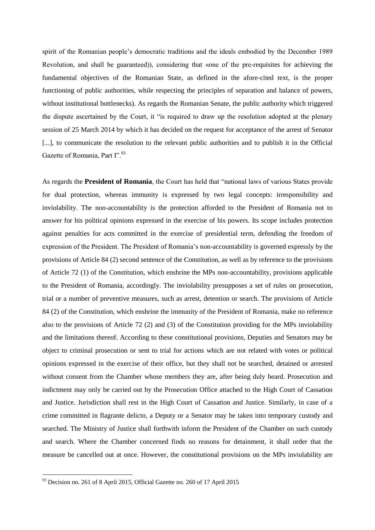spirit of the Romanian people's democratic traditions and the ideals embodied by the December 1989 Revolution, and shall be guaranteed)), considering that «one of the pre-requisites for achieving the fundamental objectives of the Romanian State, as defined in the afore-cited text, is the proper functioning of public authorities, while respecting the principles of separation and balance of powers, without institutional bottlenecks). As regards the Romanian Senate, the public authority which triggered the dispute ascertained by the Court, it "is required to draw up the resolution adopted at the plenary session of 25 March 2014 by which it has decided on the request for acceptance of the arrest of Senator [...], to communicate the resolution to the relevant public authorities and to publish it in the Official Gazette of Romania, Part I".93

As regards the **President of Romania**, the Court has held that "national laws of various States provide for dual protection, whereas immunity is expressed by two legal concepts: irresponsibility and inviolability. The non-accountability is the protection afforded to the President of Romania not to answer for his political opinions expressed in the exercise of his powers. Its scope includes protection against penalties for acts committed in the exercise of presidential term, defending the freedom of expression of the President. The President of Romania's non-accountability is governed expressly by the provisions of Article 84 (2) second sentence of the Constitution, as well as by reference to the provisions of Article 72 (1) of the Constitution, which enshrine the MPs non-accountability, provisions applicable to the President of Romania, accordingly. The inviolability presupposes a set of rules on prosecution, trial or a number of preventive measures, such as arrest, detention or search. The provisions of Article 84 (2) of the Constitution, which enshrine the immunity of the President of Romania, make no reference also to the provisions of Article 72 (2) and (3) of the Constitution providing for the MPs inviolability and the limitations thereof. According to these constitutional provisions, Deputies and Senators may be object to criminal prosecution or sent to trial for actions which are not related with votes or political opinions expressed in the exercise of their office, but they shall not be searched, detained or arrested without consent from the Chamber whose members they are, after being duly heard. Prosecution and indictment may only be carried out by the Prosecution Office attached to the High Court of Cassation and Justice. Jurisdiction shall rest in the High Court of Cassation and Justice. Similarly, in case of a crime committed in flagrante delicto, a Deputy or a Senator may be taken into temporary custody and searched. The Ministry of Justice shall forthwith inform the President of the Chamber on such custody and search. Where the Chamber concerned finds no reasons for detainment, it shall order that the measure be cancelled out at once. However, the constitutional provisions on the MPs inviolability are

 $93$  Decision no. 261 of 8 April 2015, Official Gazette no. 260 of 17 April 2015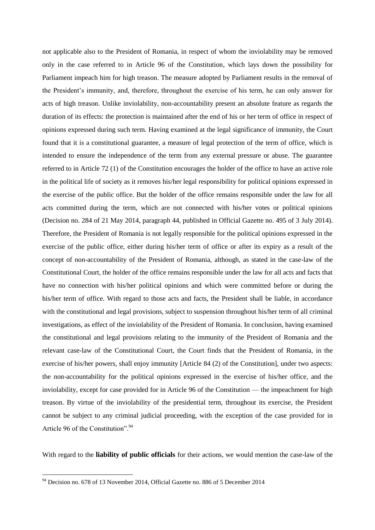not applicable also to the President of Romania, in respect of whom the inviolability may be removed only in the case referred to in Article 96 of the Constitution, which lays down the possibility for Parliament impeach him for high treason. The measure adopted by Parliament results in the removal of the President's immunity, and, therefore, throughout the exercise of his term, he can only answer for acts of high treason. Unlike inviolability, non-accountability present an absolute feature as regards the duration of its effects: the protection is maintained after the end of his or her term of office in respect of opinions expressed during such term. Having examined at the legal significance of immunity, the Court found that it is a constitutional guarantee, a measure of legal protection of the term of office, which is intended to ensure the independence of the term from any external pressure or abuse. The guarantee referred to in Article 72 (1) of the Constitution encourages the holder of the office to have an active role in the political life of society as it removes his/her legal responsibility for political opinions expressed in the exercise of the public office. But the holder of the office remains responsible under the law for all acts committed during the term, which are not connected with his/her votes or political opinions (Decision no. 284 of 21 May 2014, paragraph 44, published in Official Gazette no. 495 of 3 July 2014). Therefore, the President of Romania is not legally responsible for the political opinions expressed in the exercise of the public office, either during his/her term of office or after its expiry as a result of the concept of non-accountability of the President of Romania, although, as stated in the case-law of the Constitutional Court, the holder of the office remains responsible under the law for all acts and facts that have no connection with his/her political opinions and which were committed before or during the his/her term of office. With regard to those acts and facts, the President shall be liable, in accordance with the constitutional and legal provisions, subject to suspension throughout his/her term of all criminal investigations, as effect of the inviolability of the President of Romania. In conclusion, having examined the constitutional and legal provisions relating to the immunity of the President of Romania and the relevant case-law of the Constitutional Court, the Court finds that the President of Romania, in the exercise of his/her powers, shall enjoy immunity [Article 84 (2) of the Constitution], under two aspects: the non-accountability for the political opinions expressed in the exercise of his/her office, and the inviolability, except for case provided for in Article 96 of the Constitution — the impeachment for high treason. By virtue of the inviolability of the presidential term, throughout its exercise, the President cannot be subject to any criminal judicial proceeding, with the exception of the case provided for in Article 96 of the Constitution".<sup>94</sup>

With regard to the **liability of public officials** for their actions, we would mention the case-law of the

 $94$  Decision no. 678 of 13 November 2014, Official Gazette no. 886 of 5 December 2014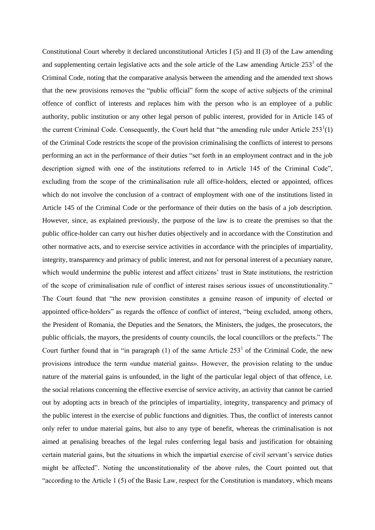Constitutional Court whereby it declared unconstitutional Articles I (5) and II (3) of the Law amending and supplementing certain legislative acts and the sole article of the Law amending Article  $253<sup>1</sup>$  of the Criminal Code, noting that the comparative analysis between the amending and the amended text shows that the new provisions removes the "public official" form the scope of active subjects of the criminal offence of conflict of interests and replaces him with the person who is an employee of a public authority, public institution or any other legal person of public interest, provided for in Article 145 of the current Criminal Code. Consequently, the Court held that "the amending rule under Article  $253<sup>1</sup>(1)$ of the Criminal Code restricts the scope of the provision criminalising the conflicts of interest to persons performing an act in the performance of their duties "set forth in an employment contract and in the job description signed with one of the institutions referred to in Article 145 of the Criminal Code", excluding from the scope of the criminalisation rule all office-holders, elected or appointed, offices which do not involve the conclusion of a contract of employment with one of the institutions listed in Article 145 of the Criminal Code or the performance of their duties on the basis of a job description. However, since, as explained previously, the purpose of the law is to create the premises so that the public office-holder can carry out his/her duties objectively and in accordance with the Constitution and other normative acts, and to exercise service activities in accordance with the principles of impartiality, integrity, transparency and primacy of public interest, and not for personal interest of a pecuniary nature, which would undermine the public interest and affect citizens' trust in State institutions, the restriction of the scope of criminalisation rule of conflict of interest raises serious issues of unconstitutionality." The Court found that "the new provision constitutes a genuine reason of impunity of elected or appointed office-holders" as regards the offence of conflict of interest, "being excluded, among others, the President of Romania, the Deputies and the Senators, the Ministers, the judges, the prosecutors, the public officials, the mayors, the presidents of county councils, the local councillors or the prefects." The Court further found that in "in paragraph  $(1)$  of the same Article 253<sup>1</sup> of the Criminal Code, the new provisions introduce the term «undue material gains». However, the provision relating to the undue nature of the material gains is unfounded, in the light of the particular legal object of that offence, i.e. the social relations concerning the effective exercise of service activity, an activity that cannot be carried out by adopting acts in breach of the principles of impartiality, integrity, transparency and primacy of the public interest in the exercise of public functions and dignities. Thus, the conflict of interests cannot only refer to undue material gains, but also to any type of benefit, whereas the criminalisation is not aimed at penalising breaches of the legal rules conferring legal basis and justification for obtaining certain material gains, but the situations in which the impartial exercise of civil servant's service duties might be affected". Noting the unconstitutionality of the above rules, the Court pointed out that "according to the Article 1 (5) of the Basic Law, respect for the Constitution is mandatory, which means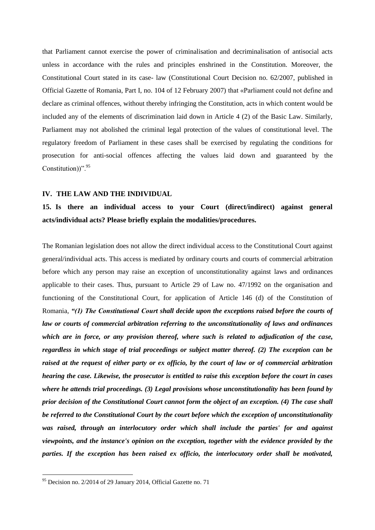that Parliament cannot exercise the power of criminalisation and decriminalisation of antisocial acts unless in accordance with the rules and principles enshrined in the Constitution. Moreover, the Constitutional Court stated in its case- law (Constitutional Court Decision no. 62/2007, published in Official Gazette of Romania, Part I, no. 104 of 12 February 2007) that «Parliament could not define and declare as criminal offences, without thereby infringing the Constitution, acts in which content would be included any of the elements of discrimination laid down in Article 4 (2) of the Basic Law. Similarly, Parliament may not abolished the criminal legal protection of the values of constitutional level. The regulatory freedom of Parliament in these cases shall be exercised by regulating the conditions for prosecution for anti-social offences affecting the values laid down and guaranteed by the Constitution)".<sup>95</sup>

#### **IV. THE LAW AND THE INDIVIDUAL**

### **15. Is there an individual access to your Court (direct/indirect) against general acts/individual acts? Please briefly explain the modalities/procedures.**

The Romanian legislation does not allow the direct individual access to the Constitutional Court against general/individual acts. This access is mediated by ordinary courts and courts of commercial arbitration before which any person may raise an exception of unconstitutionality against laws and ordinances applicable to their cases. Thus, pursuant to Article 29 of Law no. 47/1992 on the organisation and functioning of the Constitutional Court, for application of Article 146 (d) of the Constitution of Romania, *"(1) The Constitutional Court shall decide upon the exceptions raised before the courts of law or courts of commercial arbitration referring to the unconstitutionality of laws and ordinances which are in force, or any provision thereof, where such is related to adjudication of the case, regardless in which stage of trial proceedings or subject matter thereof. (2) The exception can be raised at the request of either party or ex officio, by the court of law or of commercial arbitration hearing the case. Likewise, the prosecutor is entitled to raise this exception before the court in cases where he attends trial proceedings. (3) Legal provisions whose unconstitutionality has been found by prior decision of the Constitutional Court cannot form the object of an exception. (4) The case shall be referred to the Constitutional Court by the court before which the exception of unconstitutionality was raised, through an interlocutory order which shall include the parties' for and against viewpoints, and the instance's opinion on the exception, together with the evidence provided by the parties. If the exception has been raised ex officio, the interlocutory order shall be motivated,* 

<sup>95</sup> Decision no. 2/2014 of 29 January 2014, Official Gazette no. 71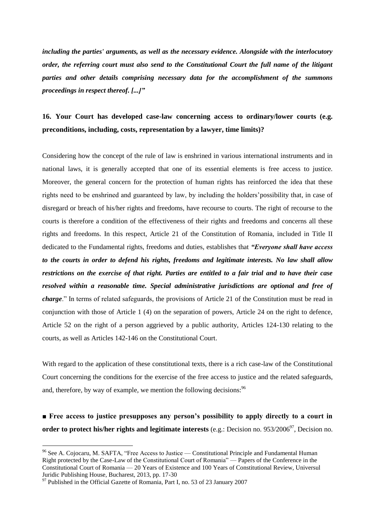*including the parties' arguments, as well as the necessary evidence. Alongside with the interlocutory order, the referring court must also send to the Constitutional Court the full name of the litigant parties and other details comprising necessary data for the accomplishment of the summons proceedings in respect thereof. [...]"*

# **16. Your Court has developed case-law concerning access to ordinary/lower courts (e.g. preconditions, including, costs, representation by a lawyer, time limits)?**

Considering how the concept of the rule of law is enshrined in various international instruments and in national laws, it is generally accepted that one of its essential elements is free access to justice. Moreover, the general concern for the protection of human rights has reinforced the idea that these rights need to be enshrined and guaranteed by law, by including the holders'possibility that, in case of disregard or breach of his/her rights and freedoms, have recourse to courts. The right of recourse to the courts is therefore a condition of the effectiveness of their rights and freedoms and concerns all these rights and freedoms. In this respect, Article 21 of the Constitution of Romania, included in Title II dedicated to the Fundamental rights, freedoms and duties, establishes that *"Everyone shall have access to the courts in order to defend his rights, freedoms and legitimate interests. No law shall allow restrictions on the exercise of that right. Parties are entitled to a fair trial and to have their case resolved within a reasonable time. Special administrative jurisdictions are optional and free of charge*." In terms of related safeguards, the provisions of Article 21 of the Constitution must be read in conjunction with those of Article 1 (4) on the separation of powers, Article 24 on the right to defence, Article 52 on the right of a person aggrieved by a public authority, Articles 124-130 relating to the courts, as well as Articles 142-146 on the Constitutional Court.

With regard to the application of these constitutional texts, there is a rich case-law of the Constitutional Court concerning the conditions for the exercise of the free access to justice and the related safeguards, and, therefore, by way of example, we mention the following decisions:  $96$ 

■ Free access to justice presupposes any person's possibility to apply directly to a court in **order to protect his/her rights and legitimate interests** (e.g.: Decision no. 953/2006<sup>97</sup>, Decision no.

<u>.</u>

 $96$  See A. Cojocaru, M. SAFTA, "Free Access to Justice — Constitutional Principle and Fundamental Human Right protected by the Case-Law of the Constitutional Court of Romania" — Papers of the Conference in the Constitutional Court of Romania — 20 Years of Existence and 100 Years of Constitutional Review, Universul Juridic Publishing House, Bucharest, 2013, pp. 17-30

<sup>&</sup>lt;sup>97</sup> Published in the Official Gazette of Romania, Part I, no. 53 of 23 January 2007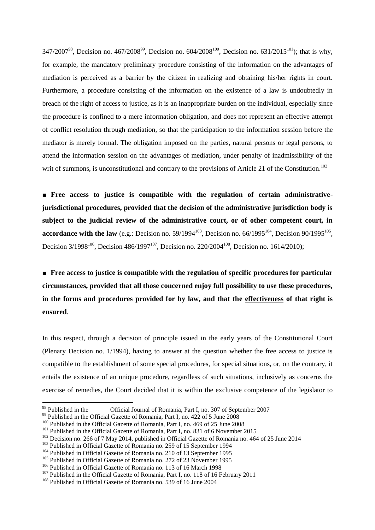347/2007<sup>98</sup>, Decision no. 467/2008<sup>99</sup>, Decision no. 604/2008<sup>100</sup>, Decision no. 631/2015<sup>101</sup>); that is why, for example, the mandatory preliminary procedure consisting of the information on the advantages of mediation is perceived as a barrier by the citizen in realizing and obtaining his/her rights in court. Furthermore, a procedure consisting of the information on the existence of a law is undoubtedly in breach of the right of access to justice, as it is an inappropriate burden on the individual, especially since the procedure is confined to a mere information obligation, and does not represent an effective attempt of conflict resolution through mediation, so that the participation to the information session before the mediator is merely formal. The obligation imposed on the parties, natural persons or legal persons, to attend the information session on the advantages of mediation, under penalty of inadmissibility of the writ of summons, is unconstitutional and contrary to the provisions of Article 21 of the Constitution.<sup>102</sup>

■ Free access to justice is compatible with the regulation of certain administrative**jurisdictional procedures, provided that the decision of the administrative jurisdiction body is subject to the judicial review of the administrative court, or of other competent court, in accordance with the law** (e.g.: Decision no.  $59/1994^{103}$ , Decision no.  $66/1995^{104}$ , Decision  $90/1995^{105}$ , Decision 3/1998<sup>106</sup>, Decision 486/1997<sup>107</sup>, Decision no. 220/2004<sup>108</sup>, Decision no. 1614/2010);

■ Free access to justice is compatible with the regulation of specific procedures for particular **circumstances, provided that all those concerned enjoy full possibility to use these procedures, in the forms and procedures provided for by law, and that the effectiveness of that right is ensured**.

In this respect, through a decision of principle issued in the early years of the Constitutional Court (Plenary Decision no. 1/1994), having to answer at the question whether the free access to justice is compatible to the establishment of some special procedures, for special situations, or, on the contrary, it entails the existence of an unique procedure, regardless of such situations, inclusively as concerns the exercise of remedies, the Court decided that it is within the exclusive competence of the legislator to

<sup>&</sup>lt;sup>98</sup> Published in the Official Journal of Romania, Part I, no. 307 of September 2007

<sup>&</sup>lt;sup>99</sup> Published in the Official Gazette of Romania, Part I, no. 422 of 5 June 2008

<sup>&</sup>lt;sup>100</sup> Published in the Official Gazette of Romania, Part I, no. 469 of 25 June 2008

<sup>&</sup>lt;sup>101</sup> Published in the Official Gazette of Romania, Part I, no. 831 of 6 November 2015

<sup>&</sup>lt;sup>102</sup> Decision no. 266 of 7 May 2014, published in Official Gazette of Romania no. 464 of 25 June 2014

<sup>&</sup>lt;sup>103</sup> Published in Official Gazette of Romania no. 259 of 15 September 1994

<sup>&</sup>lt;sup>104</sup> Published in Official Gazette of Romania no. 210 of 13 September 1995

<sup>&</sup>lt;sup>105</sup> Published in Official Gazette of Romania no. 272 of 23 November 1995

<sup>106</sup> Published in Official Gazette of Romania no. 113 of 16 March 1998

<sup>&</sup>lt;sup>107</sup> Published in the Official Gazette of Romania, Part I, no. 118 of 16 February 2011

<sup>108</sup> Published in Official Gazette of Romania no. 539 of 16 June 2004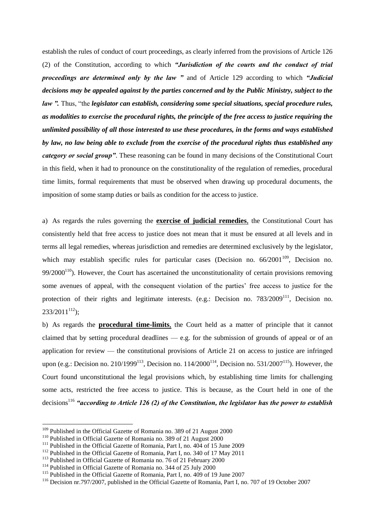establish the rules of conduct of court proceedings, as clearly inferred from the provisions of Article 126 (2) of the Constitution, according to which *"Jurisdiction of the courts and the conduct of trial proceedings are determined only by the law "* and of Article 129 according to which *"Judicial decisions may be appealed against by the parties concerned and by the Public Ministry, subject to the law ".* Thus, "the *legislator can establish, considering some special situations, special procedure rules, as modalities to exercise the procedural rights, the principle of the free access to justice requiring the unlimited possibility of all those interested to use these procedures, in the forms and ways established by law, no law being able to exclude from the exercise of the procedural rights thus established any category or social group"*. These reasoning can be found in many decisions of the Constitutional Court in this field, when it had to pronounce on the constitutionality of the regulation of remedies, procedural time limits, formal requirements that must be observed when drawing up procedural documents, the imposition of some stamp duties or bails as condition for the access to justice.

a) As regards the rules governing the **exercise of judicial remedies**, the Constitutional Court has consistently held that free access to justice does not mean that it must be ensured at all levels and in terms all legal remedies, whereas jurisdiction and remedies are determined exclusively by the legislator, which may establish specific rules for particular cases (Decision no.  $66/2001^{109}$ , Decision no.  $99/2000^{110}$ ). However, the Court has ascertained the unconstitutionality of certain provisions removing some avenues of appeal, with the consequent violation of the parties' free access to justice for the protection of their rights and legitimate interests. (e.g.: Decision no.  $783/2009^{11}$ , Decision no.  $233/2011^{112}$ ;

b) As regards the **procedural time-limits**, the Court held as a matter of principle that it cannot claimed that by setting procedural deadlines — e.g. for the submission of grounds of appeal or of an application for review — the constitutional provisions of Article 21 on access to justice are infringed upon (e.g.: Decision no. 210/1999<sup>113</sup>, Decision no. 114/2000<sup>114</sup>, Decision no. 531/2007<sup>115</sup>). However, the Court found unconstitutional the legal provisions which, by establishing time limits for challenging some acts, restricted the free access to justice. This is because, as the Court held in one of the decisions<sup>116</sup> "according to Article 126 (2) of the Constitution, the legislator has the power to establish

<sup>&</sup>lt;sup>109</sup> Published in the Official Gazette of Romania no. 389 of 21 August 2000

<sup>110</sup> Published in Official Gazette of Romania no. 389 of 21 August 2000

<sup>&</sup>lt;sup>111</sup> Published in the Official Gazette of Romania, Part I, no. 404 of 15 June 2009

<sup>&</sup>lt;sup>112</sup> Published in the Official Gazette of Romania, Part I, no. 340 of 17 May 2011

<sup>113</sup> Published in Official Gazette of Romania no. 76 of 21 February 2000

<sup>&</sup>lt;sup>114</sup> Published in Official Gazette of Romania no. 344 of 25 July 2000

<sup>&</sup>lt;sup>115</sup> Published in the Official Gazette of Romania, Part I, no. 409 of 19 June 2007

<sup>116</sup> Decision nr.797/2007, published in the Official Gazette of Romania, Part I, no. 707 of 19 October 2007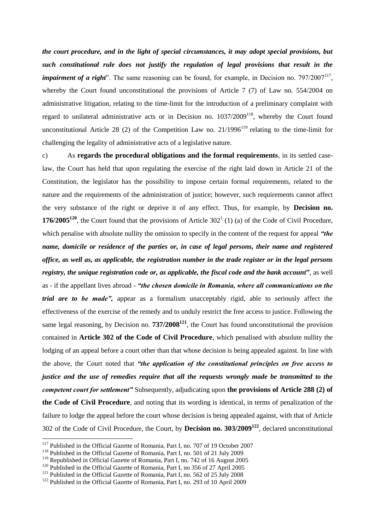*the court procedure, and in the light of special circumstances, it may adopt special provisions, but such constitutional rule does not justify the regulation of legal provisions that result in the impairment of a right*". The same reasoning can be found, for example, in Decision no. 797/2007<sup>117</sup>, whereby the Court found unconstitutional the provisions of Article 7 (7) of Law no. 554/2004 on administrative litigation, relating to the time-limit for the introduction of a preliminary complaint with regard to unilateral administrative acts or in Decision no.  $1037/2009^{118}$ , whereby the Court found unconstitutional Article 28 (2) of the Competition Law no.  $21/1996<sup>119</sup>$  relating to the time-limit for challenging the legality of administrative acts of a legislative nature.

c) As **regards the procedural obligations and the formal requirements**, in its settled caselaw, the Court has held that upon regulating the exercise of the right laid down in Article 21 of the Constitution, the legislator has the possibility to impose certain formal requirements, related to the nature and the requirements of the administration of justice; however, such requirements cannot affect the very substance of the right or deprive it of any effect. Thus, for example, by **Decision no. 176/2005<sup>120</sup>**, the Court found that the provisions of Article  $302<sup>1</sup>$  (1) (a) of the Code of Civil Procedure, which penalise with absolute nullity the omission to specify in the content of the request for appeal *"the name, domicile or residence of the parties or, in case of legal persons, their name and registered office, as well as, as applicable, the registration number in the trade register or in the legal persons registry, the unique registration code or, as applicable, the fiscal code and the bank account***"**, as well as - if the appellant lives abroad - *"the chosen domicile in Romania, where all communications on the trial are to be made",* appear as a formalism unacceptably rigid, able to seriously affect the effectiveness of the exercise of the remedy and to unduly restrict the free access to justice. Following the same legal reasoning, by Decision no. **737/2008<sup>121</sup>**, the Court has found unconstitutional the provision contained in **Article 302 of the Code of Civil Procedure**, which penalised with absolute nullity the lodging of an appeal before a court other than that whose decision is being appealed against. In line with the above, the Court noted that *"the application of the constitutional principles on free access to justice and the use of remedies require that all the requests wrongly made be transmitted to the competent court for settlement"* Subsequently, adjudicating upon **the provisions of Article 288 (2) of the Code of Civil Procedure**, and noting that its wording is identical, in terms of penalization of the failure to lodge the appeal before the court whose decision is being appealed against, with that of Article 302 of the Code of Civil Procedure, the Court, by **Decision no. 303/2009<sup>122</sup>**, declared unconstitutional

<sup>&</sup>lt;sup>117</sup> Published in the Official Gazette of Romania, Part I, no. 707 of 19 October 2007

<sup>118</sup> Published in the Official Gazette of Romania, Part I, no. 501 of 21 July 2009

<sup>&</sup>lt;sup>119</sup> Republished in Official Gazette of Romania, Part I, no. 742 of 16 August 2005

<sup>&</sup>lt;sup>120</sup> Published in the Official Gazette of Romania, Part I, no 356 of 27 April 2005

<sup>&</sup>lt;sup>121</sup> Published in the Official Gazette of Romania, Part I, no. 562 of 25 July 2008

<sup>&</sup>lt;sup>122</sup> Published in the Official Gazette of Romania, Part I, no. 293 of 10 April 2009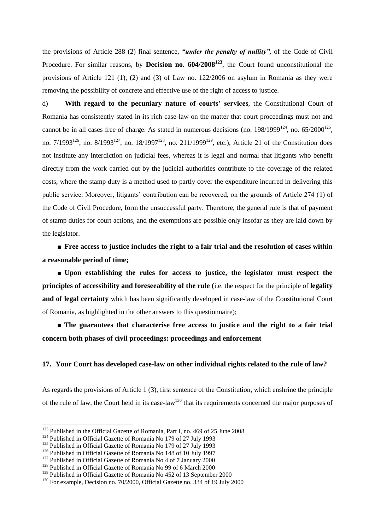the provisions of Article 288 (2) final sentence, *"under the penalty of nullity",* of the Code of Civil Procedure. For similar reasons, by **Decision no. 604/2008<sup>123</sup>**, the Court found unconstitutional the provisions of Article 121 (1), (2) and (3) of Law no. 122/2006 on asylum in Romania as they were removing the possibility of concrete and effective use of the right of access to justice.

d) **With regard to the pecuniary nature of courts' services**, the Constitutional Court of Romania has consistently stated in its rich case-law on the matter that court proceedings must not and cannot be in all cases free of charge. As stated in numerous decisions (no.  $198/1999^{124}$ , no.  $65/2000^{125}$ , no. 7/1993<sup>126</sup>, no. 8/1993<sup>127</sup>, no. 18/1997<sup>128</sup>, no. 211/1999<sup>129</sup>, etc.), Article 21 of the Constitution does not institute any interdiction on judicial fees, whereas it is legal and normal that litigants who benefit directly from the work carried out by the judicial authorities contribute to the coverage of the related costs, where the stamp duty is a method used to partly cover the expenditure incurred in delivering this public service. Moreover, litigants' contribution can be recovered, on the grounds of Article 274 (1) of the Code of Civil Procedure, form the unsuccessful party. Therefore, the general rule is that of payment of stamp duties for court actions, and the exemptions are possible only insofar as they are laid down by the legislator.

■ **Free access to justice includes the right to a fair trial and the resolution of cases within a reasonable period of time;**

■ **Upon establishing the rules for access to justice, the legislator must respect the principles of accessibility and foreseeability of the rule (**i.e. the respect for the principle of **legality and of legal certainty** which has been significantly developed in case-law of the Constitutional Court of Romania, as highlighted in the other answers to this questionnaire);

■ **The guarantees that characterise free access to justice and the right to a fair trial concern both phases of civil proceedings: proceedings and enforcement**

#### **17. Your Court has developed case-law on other individual rights related to the rule of law?**

As regards the provisions of Article 1 (3), first sentence of the Constitution, which enshrine the principle of the rule of law, the Court held in its case-law<sup>130</sup> that its requirements concerned the major purposes of

<sup>&</sup>lt;sup>123</sup> Published in the Official Gazette of Romania, Part I, no. 469 of 25 June 2008

<sup>&</sup>lt;sup>124</sup> Published in Official Gazette of Romania No 179 of 27 July 1993

<sup>&</sup>lt;sup>125</sup> Published in Official Gazette of Romania No 179 of 27 July 1993

<sup>126</sup> Published in Official Gazette of Romania No 148 of 10 July 1997

<sup>&</sup>lt;sup>127</sup> Published in Official Gazette of Romania No 4 of 7 January 2000

<sup>&</sup>lt;sup>128</sup> Published in Official Gazette of Romania No 99 of 6 March 2000

<sup>&</sup>lt;sup>129</sup> Published in Official Gazette of Romania No 452 of 13 September 2000

<sup>&</sup>lt;sup>130</sup> For example, Decision no. 70/2000, Official Gazette no. 334 of 19 July 2000